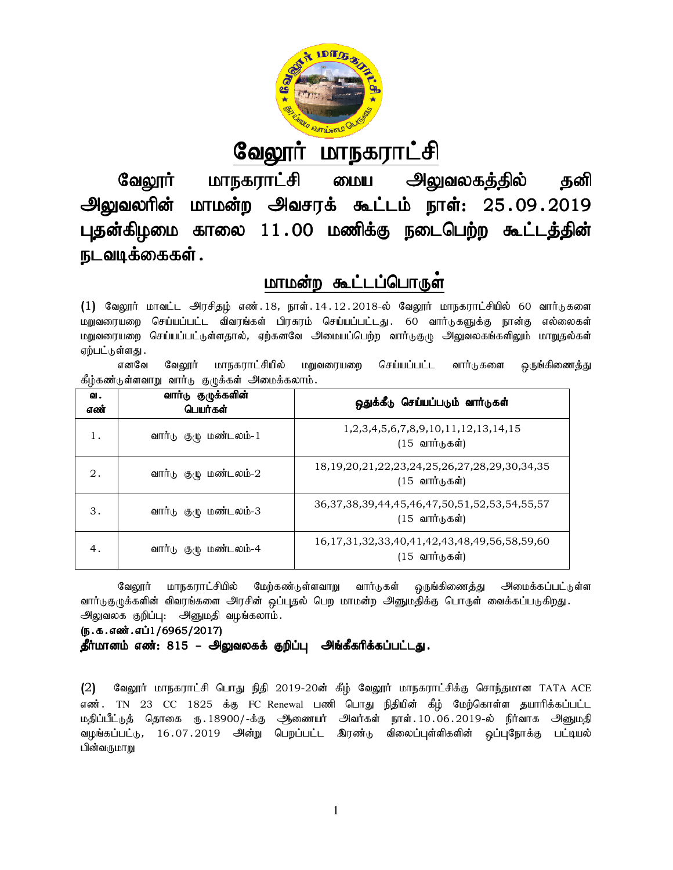

# <u>வேலூர் மாநகராட்சி</u>

வேலூர் மாநகராட்சி மைய அலுவலகத்தில் தனி அலுவலரின் மாமன்ற அவசரக் கூட்டம் நாள்: 25 புதன்கிழமை காலை 11.00 மணிக்கு நடைபெற்ற கூட்டத்தின் நடவடிக்கைகள் .

## <u>மாமன்ற கூட்டப்பொருள்</u>

|                                                                                                                                                                                                                                                                                                                                                                                                                                                                                                           |                                                    | வேலூர் மாநகராட்சி                                                                                       |  |  |                      |  | <u> பைய அலுவலகத்தில்</u>                                                       |  | தனி |
|-----------------------------------------------------------------------------------------------------------------------------------------------------------------------------------------------------------------------------------------------------------------------------------------------------------------------------------------------------------------------------------------------------------------------------------------------------------------------------------------------------------|----------------------------------------------------|---------------------------------------------------------------------------------------------------------|--|--|----------------------|--|--------------------------------------------------------------------------------|--|-----|
|                                                                                                                                                                                                                                                                                                                                                                                                                                                                                                           |                                                    | அலுவலரின் மாமன்ற அவசரக் கூட்டம் நாள்: 25.09.2019                                                        |  |  |                      |  |                                                                                |  |     |
|                                                                                                                                                                                                                                                                                                                                                                                                                                                                                                           | புதன்கிழமை காலை 11.00 மணிக்கு நடைபெற்ற கூட்டத்தின் |                                                                                                         |  |  |                      |  |                                                                                |  |     |
|                                                                                                                                                                                                                                                                                                                                                                                                                                                                                                           | நடவடிக்கைகள் .                                     |                                                                                                         |  |  |                      |  |                                                                                |  |     |
|                                                                                                                                                                                                                                                                                                                                                                                                                                                                                                           |                                                    |                                                                                                         |  |  | மாமன்ற கூட்டப்பொருள் |  |                                                                                |  |     |
| (1) வேலூர் மாவட்ட அரசிதழ் எண்.18, நாள்.14.12.2018-ல் வேலூர் மாநகராட்சியில் 60 வார்டுகளை<br>செய்யப்பட்ட விவரங்கள் பிரசுரம் செய்யப்பட்டது. 60 வார்டுகளுக்கு நான்கு எல்லைகள்<br>மறுவரையறை<br>மறுவரையறை செய்யப்பட்டுள்ளதால், ஏற்கனவே அமையப்பெற்ற வார்டுகுழு அலுவலகங்களிலும் மாறுதல்கள்<br>ஏற்பட்டுள்ளது .<br>மாநகராட்சியில்<br>செய்யப்பட்ட<br>எனவே<br>வேலூர்<br>மறுவரையறை<br>வார்டுகளை<br>ஒருங்கிணைத்து<br>கீழ்கண்டுள்ளவாறு வார்டு குழுக்கள் அமைக்கலாம்.                                                      |                                                    |                                                                                                         |  |  |                      |  |                                                                                |  |     |
| ഖ.<br>எண்                                                                                                                                                                                                                                                                                                                                                                                                                                                                                                 |                                                    | வார்டு குழுக்களின்<br>பெயர்கள்                                                                          |  |  |                      |  | ஒதுக்கீடு செய்யப்படும் வார்டுகள்                                               |  |     |
| 1.                                                                                                                                                                                                                                                                                                                                                                                                                                                                                                        |                                                    | வார்டு குழு மண்டலம்-1                                                                                   |  |  |                      |  | 1, 2, 3, 4, 5, 6, 7, 8, 9, 10, 11, 12, 13, 14, 15<br>$(15$ வார்டுகள்)          |  |     |
| 2.                                                                                                                                                                                                                                                                                                                                                                                                                                                                                                        |                                                    | 18, 19, 20, 21, 22, 23, 24, 25, 26, 27, 28, 29, 30, 34, 35<br>வார்டு குழு மண்டலம்-2<br>$(15$ வார்டுகள்) |  |  |                      |  |                                                                                |  |     |
| 3.                                                                                                                                                                                                                                                                                                                                                                                                                                                                                                        |                                                    | வார்டு குழு மண்டலம்-3                                                                                   |  |  |                      |  | 36, 37, 38, 39, 44, 45, 46, 47, 50, 51, 52, 53, 54, 55, 57<br>$(15$ வார்டுகள்) |  |     |
| 4.                                                                                                                                                                                                                                                                                                                                                                                                                                                                                                        |                                                    | வார்டு குழு மண்டலம்-4                                                                                   |  |  |                      |  | 16, 17, 31, 32, 33, 40, 41, 42, 43, 48, 49, 56, 58, 59, 60<br>$(15$ வார்டுகள்) |  |     |
| மாநகராட்சியில் மேற்கண்டுள்ளவாறு<br>வார்டுகள் ஒருங்கிணைத்து அமைக்கப்பட்டுள்ள<br>வேலூர்<br>வார்டுகுருக்களின் விவரங்களை அரசின் ஒப்புதல் பெற மாமன்ற அனுமதிக்கு பொருள் வைக்கப்படுகிறது.<br>அலுவலக குறிப்பு: அனுமதி வழங்கலாம்.<br>(ந.க.எண்.எப்1/6965/2017)<br>தீர்மானம் எண்: 815 – அலுவலகக் குறிப்பு அங்கீகரிக்கப்பட்டது.<br>(2)<br>வேலூர் மாநகராட்சி பொது நிதி 2019-20ன் கீழ் வேலூர் மாநகராட்சிக்கு சொந்தமான TATA ACE<br>TN 23 CC 1825 க்கு FC Renewal பணி பொது நிதியின் கீழ் மேற்கொள்ள தயாரிக்கப்பட்ட<br>எண். |                                                    |                                                                                                         |  |  |                      |  |                                                                                |  |     |
| மதிப்பீட்டுத் தொகை ரு.18900/-க்கு ஆணையர் அவர்கள் நாள்.10.06.2019-ல் நிர்வாக அனுமதி<br>வழங்கப்பட்டு, 16.07.2019 அன்று பெறப்பட்ட இரண்டு விலைப்புள்ளிகளின் ஒப்புநோக்கு<br>பட்டியல்                                                                                                                                                                                                                                                                                                                           |                                                    |                                                                                                         |  |  |                      |  |                                                                                |  |     |

### (ந.க.எண்.எப்1/6965/2017)

எண். TN 23 CC 1825 க்கு FC Renewal பணி பொது நிதியின் கீழ் மேற்கொள்ள தயாரிக்கப்பட்ட எண். TN 23 CC 1825 க்கு FC Renewal பணி பொது ந்தியின் கீழ் மேற்கொள்ள தயாரிக்கப்பட்ட<br>மதிப்பீட்டுத் தொகை ரு.18900/-க்கு ஆணையர் அவர்கள் நாள்.10.06.2019-ல் நிர்வாக அனுமதி வமங்கப்பட்டு, 16.07.2019 அன்று பெறப்பட்ட இரண்டு விலைப்புள்ளிகளின் வப்புரோக்கு பட்டியல் பின்வருமாறு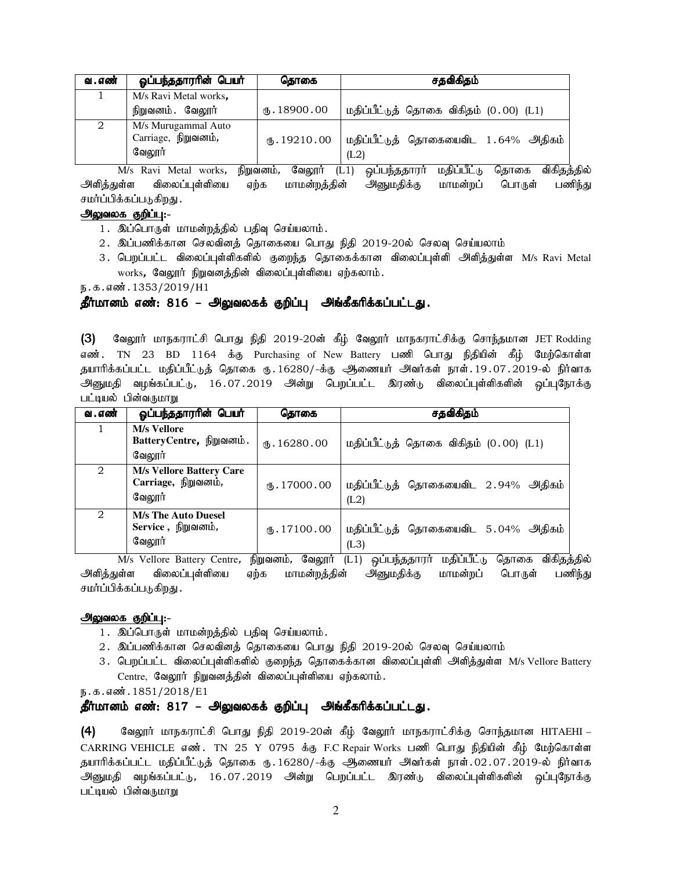| வ . எண் | ஓப்பந்ததாரரின் பெயர்                                 | கொகை           | சதவிகிதம்                                    |
|---------|------------------------------------------------------|----------------|----------------------------------------------|
|         | M/s Ravi Metal works.                                |                |                                              |
|         | நிறுவனம். வேலூர்                                     | (B.18900.00)   | மதிப்பீட்டுத் தொகை விகிதம் (0.00) (L1)       |
| റ       | M/s Murugammal Auto<br>Carriage, நிறுவனம்,<br>வேலூர் | $($ 5.19210.00 | மதிப்பீட்டுத் தொகையைவிட 1.64% அதிகம்<br>(L2) |

M/s Ravi Metal works, நிறுவனம், வேலூர் (L1) ஒப்பந்ததாரர் மதிப்பீட்டு தொகை விகிதத்தில் .<br>அளித்துள்ள விலைப்புள்ளியை ஏற்க மாமன்றத்தின் அனுமதிக்கு மாமன்றப் பொருள் பணிந்து சமர்ப்பிக்கப்படுகிறது .

### அலுவலக குறிப்பு:-

- 1. இப்பொருள் மாமன்றத்தில் பதிவு செய்யலாம்.
- 2. இப்பணிக்கான செலவினத் தொகையை பொது நிதி 2019-20ல் செலவு செய்யலாம்
- 3. பெறப்பட்ட விலைப்புள்ளிகளில் குறைந்த தொகைக்கான விலைப்புள்ளி அளித்துள்ள M/s Ravi Metal  $works$ , வேலூர் நிறுவனத்தின் விலைப்புள்ளியை ஏற்கலாம்.

ந.க.எண்.1353/2019/H1

### தீர்மானம் எண்: 816 – அலுவலகக் குறிப்பு அங்கீகரிக்கப்பட்டது.

(3) வேலூர் மாநகராட்சி பொது நிதி 2019-20ன் கீழ் வேலூர் மாநகராட்சிக்கு சொந்தமான JET Rodding எண். TN 23 BD 1164 க்கு Purchasing of New Battery பணி பொது நிதியின் கீழ் மேற்கொள்ள தயாரிக்கப்பட்ட மதிப்பீட்டுத் தொகை ரு. 16280/-க்கு ஆணையர் அவர்கள் நாள். 19.07.2019-ல் நிர்வாக அனுமதி வழங்கப்பட்டு, 16.07.2019 அன்று பெறப்பட்ட இரண்டு விலைப்புள்ளிகளின் ஒப்புநோக்கு பட்டியல் பின்வருமாறு

| வ . எண்        | ஓப்பந்ததாரரின் பெயர்                                             | தொகை         | சதவிகிதம்                                                                                                                   |
|----------------|------------------------------------------------------------------|--------------|-----------------------------------------------------------------------------------------------------------------------------|
|                | <b>M/s Vellore</b><br>BatteryCentre, நிறுவனம்.<br>வேலாா்         | (B.16280.00) | மதிப்பீட்டுத் தொகை விகிதம் (0.00) (L1)                                                                                      |
| 2              | <b>M/s Vellore Battery Care</b><br>Carriage, நிறுவனம்,<br>வேலாா் | (B.17000.00) | மதிப்பீட்டுத் தொகையைவிட 2.94% அதிகம்<br>(L2)                                                                                |
| $\overline{2}$ | <b>M/s The Auto Duesel</b><br>Service, நிறுவனம்,<br>வேலூர்       | (B.17100.00) | மதிப்பீட்டுத் தொகையைவிட 5.04% அதிகம்<br>(L3)<br>$\mathbf{O} \bullet \mathbf{O} \bullet$<br>$\circ$ $\circ$<br>$\sim$ $\sim$ |

M/s Vellore Battery Centre, நிறுவனம், வேலூா் (L1) ஒப்பந்ததாரா் மதிப்பீட்டு தொகை விகிதத்தில் அளித்துள்ள விலைப்புள்ளியை ஏற்க மாமன்றத்தின் அனுமதிக்கு மாமன்றப் பொருள் பணிந்து சமர்ப்பிக்கப்படுகிறது .

### அலுவலக குறிப்பு:-

- 1. இப்பொருள் மாமன்றத்தில் பதிவு செய்யலாம்.
- 2. இப்பணிக்கான செலவினத் தொகையை பொது நிதி 2019-20ல் செலவு செய்யலாம்
- 3. பெறப்பட்ட விலைப்புள்ளிகளில் குறைந்த தொகைக்கான விலைப்புள்ளி அளித்துள்ள M/s Vellore Battery  $Centre$ , வேலூர் நிறுவனத்தின் விலைப்புள்ளியை ஏற்கலாம்.

ந.க.எண். 1851/2018/E1

### தீர்மானம் எண்: 817 – அலுவலகக் குறிப்பு அங்கீகரிக்கப்பட்டது.

 $(4)$  Bிஷூர் மாநகராட்சி பொது நிதி 2019-20ன் கீழ் வேலூர் மாநகராட்சிக்கு சொந்தமான HITAEHI – CARRING VEHICLE எண். TN 25 Y 0795 க்கு F.C Repair Works பணி பொது நிதியின் கீழ் மேற்கொள்ள தயாரிக்கப்பட்ட மதிப்பீட்டுத் தொகை ரு. 16280/-க்கு ஆணையர் அவர்கள் நாள். 02.07.2019-ல் நிர்வாக அனுமதி வழங்கப்பட்டு, 16.07.2019 அன்று பெறப்பட்ட இரண்டு விலைப்புள்ளிகளின் ஒப்புநோக்கு பட்டியல் பின்வருமாறு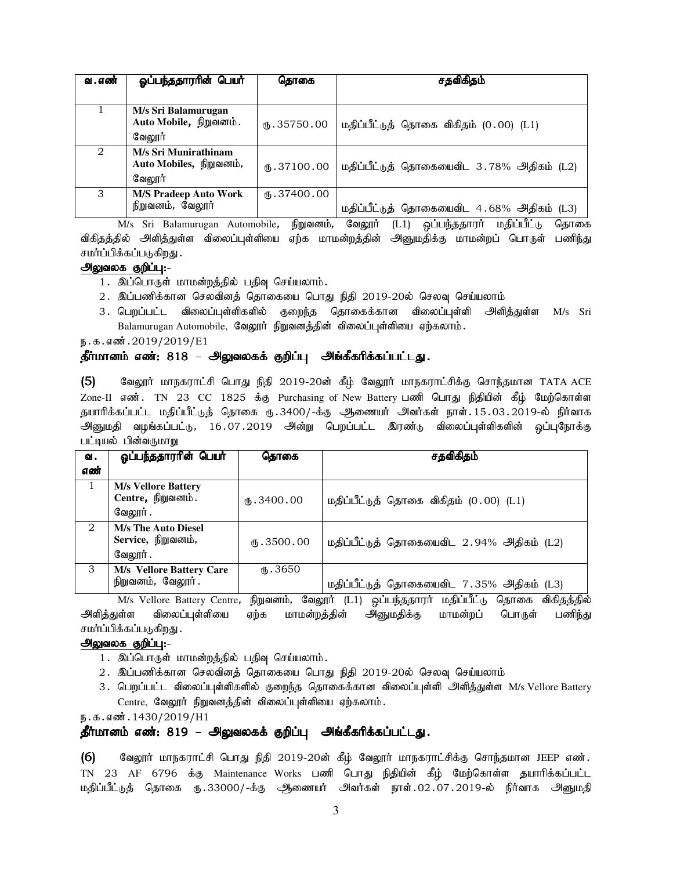| வ . எண்               | ஓப்பந்ததாரரின் பெயர்                                      | கொகை             | சதவிகிதம்                                 |
|-----------------------|-----------------------------------------------------------|------------------|-------------------------------------------|
|                       |                                                           |                  |                                           |
|                       | M/s Sri Balamurugan<br>Auto Mobile, நிறுவனம்.<br>வேலூர்   | (B.35750.00)     | மதிப்பீட்டுத் தொகை விகிதம் (0.00) (L1)    |
| $\mathcal{D}_{\cdot}$ | M/s Sri Munirathinam<br>Auto Mobiles, நிறுவனம்,<br>வேலூர் | (B.37100.00)     | மதிப்பீட்டுத் தொகையைவிட 3.78% அதிகம் (L2) |
| 3                     | <b>M/S Pradeep Auto Work</b><br>நிறுவனம், வேலூர்          | $\Phi$ .37400.00 | மதிப்பீட்டுத் தொகையைவிட 4.68% அதிகம் (L3) |

M/s Sri Balamurugan Automobile, நிறுவனம், வேலூர் (L1) ஒப்பந்ததாரர் மதிப்பீட்டு தொகை விகிதத்தில் அளித்துள்ள விலைப்புள்ளியை ஏற்க மாமன்றத்தின் அனுமதிக்கு மாமன்றப் பொருள் பணிந்து சமர்ப்பிக்கப்படுகிறது .

### அலுவலக குறிப்பு:-

- 1. இப்பொருள் மாமன்றத்தில் பதிவு செய்யலாம்.
- 2. இப்பணிக்கான செலவினத் தொகையை பொது நிதி 2019-20ல் செலவு செய்யலாம்
- 3. பெறப்பட்ட விலைப்புள்ளிகளில் குறைந்த தொகைக்கான விலைப்புள்ளி அளித்துள்ள M/s Sri Balamurugan Automobile, வேலூர் நிறுவனத்தின் விலைப்புள்ளியை ஏற்கலாம்.

ந.க.எண்.2019/2019/E1

### தீர்மானம் எண்: 818 – அலுவலகக் குறிப்பு அங்கீகரிக்கப்பட்டது.

(5) கேலூர் மாநகராட்சி பொது நிதி 2019-20ன் கீழ் வேலூர் மாநகராட்சிக்கு சொந்தமான TATA ACE Zone-II எண். TN 23 CC 1825 க்கு Purchasing of New Battery பணி பொது நிதியின் கீழ் மேற்கொள்ள தயாரிக்கப்பட்ட மதிப்பீட்டுத் தொகை ரு.3400/-க்கு ஆணையர் அவர்கள் நாள்.15.03.2019-ல் நிர்வாக அனுமதி வழங்கப்பட்டு, 16.07.2019 அன்று பெறப்பட்ட இரண்டு விலைப்புள்ளிகளின் ஒப்புநோக்கு பட்டியல் பின்வருமாறு

| ഖ.                            | ஓப்பந்ததாரரின் பெயர்                                         | தொகை                       | சதவிகிதம்                                 |
|-------------------------------|--------------------------------------------------------------|----------------------------|-------------------------------------------|
| எண்                           |                                                              |                            |                                           |
|                               | <b>M/s Vellore Battery</b><br>Centre, நிறுவனம்.<br>வேலூர் .  | (B.3400.00)                | மதிப்பீட்டுத் தொகை விகிதம் (0.00) (L1)    |
| $\mathfrak{D}_{\mathfrak{p}}$ | <b>M/s The Auto Diesel</b><br>Service, நிறுவனம்,<br>வேலூர் . | $($ <sup>16</sup> .3500.00 | மதிப்பீட்டுத் தொகையைவிட 2.94% அதிகம் (L2) |
| 3                             | <b>M/s Vellore Battery Care</b><br>நிறுவனம், வேலூர்.         | $\times$ 3650              | மதிப்பீட்டுத் தொகையைவிட 7.35% அதிகம் (L3) |

M/s Vellore Battery Centre, நிறுவனம், வேலூர் (L1) ஒப்பந்ததாரர் மதிப்பீட்டு தொகை விகிதத்தில் அளித்துள்ள விலைப்புள்ளியை ஏற்க மாமன்றத்தின் அனுமதிக்கு மாமன்றப் பொருள் பணிந்து சமர்ப்பிக்கப்படுகிறது .

### அலுவலக குறிப்பு:-

- 1. இப்பொருள் மாமன்றத்தில் பதிவு செய்யலாம்.
- $2$ . இப்பணிக்கான செலவினக் தொகையை பொது நிதி 2019-20ல் செலவு செய்யலாம்
- 3. பெறப்பட்ட விலைப்புள்ளிகளில் குறைந்த தொகைக்கான விலைப்புள்ளி அளித்துள்ள M/s Vellore Battery Centre, வேலூர் நிறுவனத்தின் விலைப்புள்ளியை ஏற்கலாம்.

ந.க.எண். 1430/2019/H1

### தீர்மானம் எண்: 819 – அலுவலகக் குறிப்பு அங்கீகரிக்கப்பட்டது.

 $(6)$  Bிஷூர் மாநகராட்சி பொது நிதி 2019-20ன் கீழ் வேலூர் மாநகராட்சிக்கு சொந்தமான JEEP எண். TN 23 AF 6796 க்கு Maintenance Works பணி பொது நிதியின் கீழ் மேற்கொள்ள தயாரிக்கப்பட்ட மதிப்பீட்டுத் தொகை ரு.33000/-க்கு ஆணையர் அவர்கள் நாள்.02.07.2019-ல் நிர்வாக அனுமதி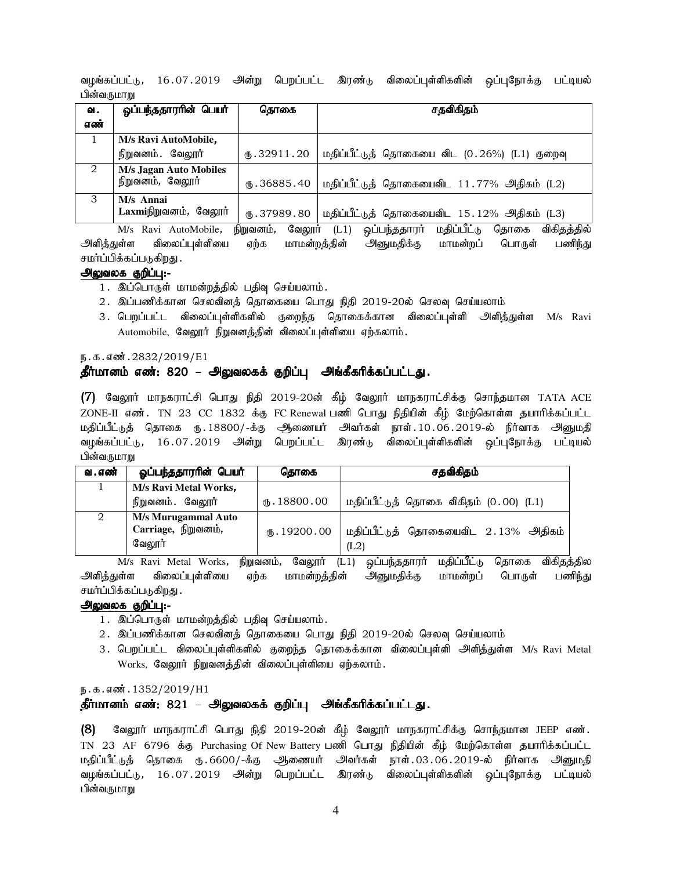வமங்கப்பட்டு, 16.07.2019 அன்று பெறப்பட்ட இரண்டு விலைப்புள்ளிகளின் லப்புரோக்கு பட்டியல் பின்வருமாறு

| வ.  | ஓப்பந்ததாரரின் பெயர்                              | கொகை               | சதவிகிதம்                                    |
|-----|---------------------------------------------------|--------------------|----------------------------------------------|
| எண் |                                                   |                    |                                              |
|     | M/s Ravi AutoMobile.                              |                    |                                              |
|     | நிறுவனம். வேலூர்                                  | (B.32911.20)       | மதிப்பீட்டுத் தொகையை விட (0.26%) (L1) குறைவு |
| 2   | <b>M/s Jagan Auto Mobiles</b><br>நிறுவனம், வேலூர் | (B.36885.40)       | மதிப்பீட்டுத் தொகையைவிட 11.77% அதிகம் (L2)   |
| 3   | M/s Annai<br>Laxmiநிறுவனம், வேலூர்                | $\omega$ .37989.80 | மதிப்பீட்டுத் தொகையைவிட 15.12% அதிகம் (L3)   |

M/s Ravi AutoMobile, நிறுவனம், வேலூர் (L1) ஒப்பந்ததாரர் மதிப்பீட்டு தொகை விகிதத்தில் .<br>அளித்துள்ள விலைப்புள்ளியை ஏற்க மாமன்றத்தின் அனுமதிக்கு மாமன்றப் பொருள் பணிந்து சமர்ப்பிக்கப்படுகிறது .

### அலுவலக குறிப்பு:-

- 1. இப்பொருள் மாமன்றத்தில் பதிவு செய்யலாம்.
- 2. இப்பணிக்கான செலவினத் தொகையை பொது நிதி 2019-20ல் செலவு செய்யலாம்
- 3. பெறப்பட்ட விலைப்புள்ளிகளில் குறைந்த தொகைக்கான விலைப்புள்ளி அளித்துள்ள M/s Ravi Automobile, வேலூர் நிறுவனத்தின் விலைப்புள்ளியை ஏற்கலாம்.

#### ந.க.எண்.2832/2019/E1

### தீர்மானம் எண்: 820 – அலுவலகக் குறிப்பு அங்கீகரிக்கப்பட்டது.

 $(7)$  வேலூர் மாநகராட்சி பொது நிதி 2019-20ன் கீழ் வேலூர் மாநகராட்சிக்கு சொந்தமான TATA ACE ZONE-II எண். TN 23 CC 1832 க்கு FC Renewal பணி பொது நிதியின் கீழ் மேற்கொள்ள தயாரிக்கப்பட்ட மதிப்பீட்டுத் தொகை ரு. 18800/-க்கு ஆணையர் அவர்கள் நாள் . 10 . 06 . 2019-ல் நிர்வாக அனுமதி வழங்கப்பட்டு, 16.07.2019 அன்று பெறப்பட்ட இரண்டு விலைப்புள்ளிகளின் ஒப்புநோக்கு பட்டியல் பின்வருமாறு

| வ . எண் | ஓப்பந்ததாரரின் பெயர்                                        | தொகை         | சதவிகிதம்                                    |
|---------|-------------------------------------------------------------|--------------|----------------------------------------------|
|         | M/s Ravi Metal Works,                                       |              |                                              |
|         | நிறுவனம். வேலூர்                                            | (B.18800.00) | மதிப்பீட்டுத் தொகை விகிதம் (0.00) (L1)       |
|         | <b>M/s Murugammal Auto</b><br>Carriage, நிறுவனம்,<br>வேலூர் | (B.19200.00) | மதிப்பீட்டுத் தொகையைவிட 2.13% அதிகம்<br>(L2) |

M/s Ravi Metal Works, நிறுவனம், வேலூர் (L1) ஒப்பந்ததாரர் மதிப்பீட்டு தொகை விகிதத்தில அளித்துள்ள விலைப்புள்ளியை ஏற்க மாமன்றத்தின் அனுமதிக்கு மாமன்றப் பொருள் பணிந்து சமர்ப்பிக்கப்படுகிறது .

#### அலுவலக குறிப்பு:-

- 1. இப்பொருள் மாமன்றத்தில் பதிவு செய்யலாம்.
- 2. இப்பணிக்கான செலவினத் தொகையை பொது நிதி 2019-20ல் செலவு செய்யலாம்
- 3. பெறப்பட்ட விலைப்புள்ளிகளில் குறைந்த தொகைக்கான விலைப்புள்ளி அளித்துள்ள M/s Ravi Metal Works, வேலூர் நிறுவனத்தின் விலைப்புள்ளியை ஏற்கலாம்.

ந.க.எண்.1352/2019/H1

### தீர்மானம் எண்: 821 – அலுவலகக் குறிப்பு அங்கீகரிக்கப்பட்டது.

 $(8)$  வேலூர் மாநகராட்சி பொது நிதி 2019-20ன் கீழ் வேலூர் மாநகராட்சிக்கு சொந்தமான JEEP எண். TN 23 AF 6796 க்கு Purchasing Of New Battery பணி பொது நிதியின் கீழ் மேற்கொள்ள தயாரிக்கப்பட்ட மதிப்பீட்டுத் தொகை ரு.6600/-க்கு ஆணையர் அவர்கள் நாள்.03.06.2019-ல் நிர்வாக அனுமதி வழங்கப்பட்டு, 16.07.2019 அன்று பெறப்பட்ட இரண்டு விலைப்புள்ளிகளின் ஒப்புநோக்கு பட்டியல் பின்வருமாறு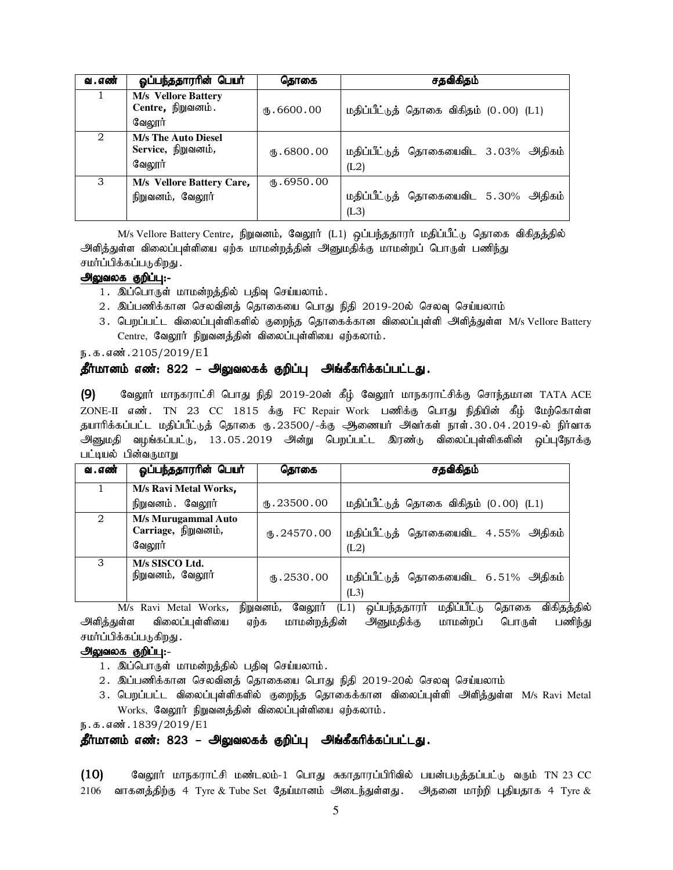| வ . எண் | ஓப்பந்ததாரரின் பெயர்                                       | கொகை                  | சதவிகிதம்                                    |
|---------|------------------------------------------------------------|-----------------------|----------------------------------------------|
|         | <b>M/s</b> Vellore Battery<br>Centre, நிறுவனம்.<br>வேலூர்  | (B.6600.00)           | மதிப்பீட்டுத் தொகை விகிதம் (0.00) (L1)       |
| 2       | <b>M/s The Auto Diesel</b><br>Service, நிறுவனம்,<br>வேலூர் | $\mathbf{t}$ .6800.00 | மதிப்பீட்டுத் தொகையைவிட 3.03% அதிகம்<br>(L2) |
| 3       | M/s Vellore Battery Care,<br>நிறுவனம், வேலூர்              | (D.6950.00)           | மதிப்பீட்டுத் தொகையைவிட 5.30% அதிகம்<br>(L3) |

M/s Vellore Battery Centre, நிறுவனம், வேலூர் (L1) ஒப்பந்ததாரர் மதிப்பீட்டு தொகை விகிதத்தில் அளித்துள்ள விலைப்புள்ளியை ஏற்க மாமன்றத்தின் அனுமதிக்கு மாமன்றப் பொருள் பணிந்து சமர்ப்பிக்கப்படுகிறது .

### அலுவலக குறிப்பு:-

- 1. இப்பொருள் மாமன்றத்தில் பதிவு செய்யலாம்.
- 2. இப்பணிக்கான செலவினத் தொகையை பொது நிதி 2019-20ல் செலவு செய்யலாம்
- 3. பெறப்பட்ட விலைப்புள்ளிகளில் குறைந்த தொகைக்கான விலைப்புள்ளி அளித்துள்ள M/s Vellore Battery  $Centre,$  வேலூர் நிறுவனத்தின் விலைப்புள்ளியை ஏற்கலாம்.

 $n.5.5$ ன். $2105/2019/E1$ 

#### தீர்மானம் எண்: 822 – அலுவலகக் குறிப்பு அங்கீகரிக்கப்பட்டது.

 $(9)$  Bிஷூர் மாநகராட்சி பொது நிதி 2019-20ன் கீழ் வேலூர் மாநகராட்சிக்கு சொந்தமான TATA ACE ZONE-II எண். TN 23 CC 1815 க்கு FC Repair Work பணிக்கு பொது நிதியின் கீழ் மேற்கொள்ள தயாரிக்கப்பட்ட மதிப்பீட்டுத் தொகை ரு.23500/-க்கு ஆணையர் அவர்கள் நாள்.30.04.2019-ல் நிர்வாக அனுமதி வழங்கப்பட்டு, 13.05.2019 அன்று பெறப்பட்ட இரண்டு விலைப்புள்ளிகளின் ஒப்புநோக்கு பட்டியல் பின்வருமாறு

| வ . எண்                     | ஓப்பந்ததாராின் பெயா்                                 | தொகை                 | சதவிகிதம்                                    |
|-----------------------------|------------------------------------------------------|----------------------|----------------------------------------------|
|                             | M/s Ravi Metal Works,                                |                      |                                              |
|                             | நிறுவனம். வேலூர்                                     | (B.23500.00)         | மதிப்பீட்டுத் தொகை விகிதம் (0.00) (L1)       |
| $\mathcal{D}_{\mathcal{L}}$ | M/s Murugammal Auto<br>Carriage, நிறுவனம்,<br>வேலூர் | (B.24570.00)         | மதிப்பீட்டுத் தொகையைவிட 4.55% அதிகம்<br>(L2) |
| 3                           | M/s SISCO Ltd.<br>நிறுவனம், வேலூர்                   | $\mathbf{0}.2530.00$ | மதிப்பீட்டுத் தொகையைவிட 6.51% அதிகம்<br>(L3) |

M/s Ravi Metal Works, நிறுவனம், வேலூர் (L1) ஒப்பந்ததாரர் மதிப்பீட்டு தொகை விகிதத்தில் அளித்துள்ள விலைப்புள்ளியை ஏற்க மாமன்றத்தின் அனுமதிக்கு மாமன்றப் பொருள் பணிந்து சமர்ப்பிக்கப்படுகிறது .

### அலுவலக குறிப்பு:-

- 1. இப்பொருள் மாமன்றத்தில் பதிவு செய்யலாம்.
- 2. இப்பணிக்கான செலவினத் தொகையை பொது நிதி 2019-20ல் செலவு செய்யலாம்
- 3. பெறப்பட்ட விலைப்புள்ளிகளில் குறைந்த தொகைக்கான விலைப்புள்ளி அளித்துள்ள M/s Ravi Metal Works, வேலூர் நிறுவனத்தின் விலைப்புள்ளியை ஏற்கலாம்.

ந.க.எண். $1839/2019/E1$ 

#### தீர்மானம் எண்: 823 – அலுவலகக் குறிப்பு அங்கீகரிக்கப்பட்டது.

 $(10)$  Baலூர் மாநகராட்சி மண்டலம்-1 பொது சுகாதாரப்பிரிவில் பயன்படுத்தப்பட்டு வரும் TN 23 CC  $2106$  வாகனத்திற்கு 4 Tyre & Tube Set தேய்மானம் அடைந்துள்ளது . அதனை மாற்றி புதியதாக 4 Tyre &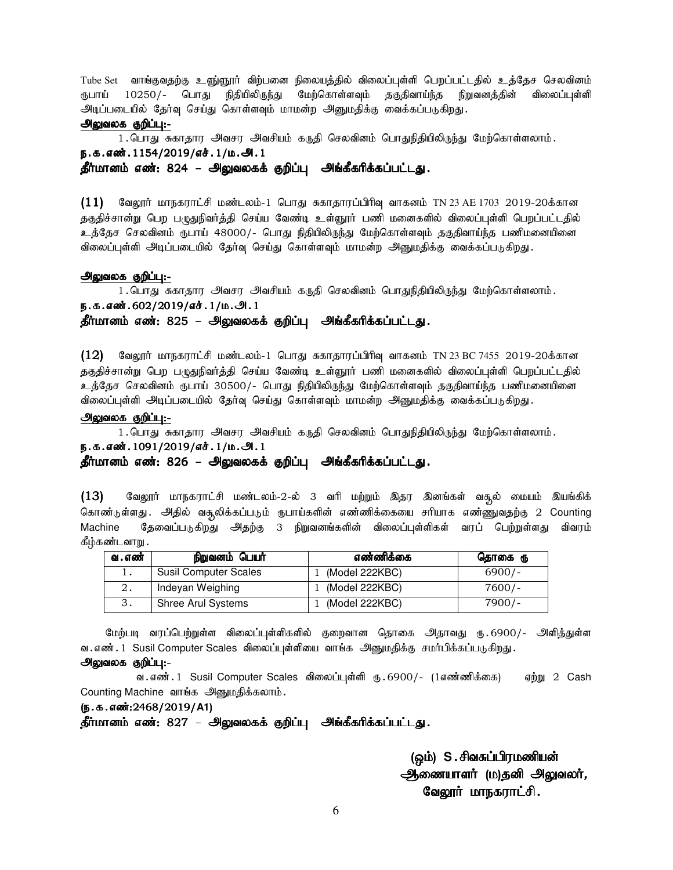Tube Set வாங்குவதற்கு உளு்ளூா் விற்பனை நிலையத்தில் விலைப்புள்ளி பெறப்பட்டதில் உத்தேச செலவினம் ரூபாய் 10250/- பொது நிதியிலிருந்து மேற்கொள்ளவும் தகுதிவாய்ந்த நிறுவனத்தின் விலைப்புள்ளி அடிப்படையில் தேர்வு செய்து கொள்ளவும் மாமன்ற அனுமதிக்கு வைக்கப்படுகிறது.

#### அலுவலக குறிப்பு:-

1. பொது சுகாதார அவசர அவசியம் கருதி செலவினம் பொதுநிதியிலிருந்து மேற்கொள்ளலாம். ந.க.எண்.1154/2019/எச்.1/ம.அ.1 தீர்மானம் எண்: 824 – அலுவலகக் குறிப்பு அங்கீகரிக்கப்பட்டது.

 $(11)$  வேலூர் மாநகராட்சி மண்டலம்-1 பொது சுகாதாரப்பிரிவு வாகனம் TN 23 AE 1703 2019-20க்கான தகுதிச்சான்று பெற பழுதுநிவர்த்தி செய்ய வேண்டி உள்ளூரர் பணி மனைகளில் விலைப்புள்ளி பெறப்பட்டதில் உத்தேச செலவினம் ருபாய் 48000/- பொது நிதியிலிருந்து மேற்கொள்ளவும் தகுதிவாய்ந்த பணிமனையினை விலைப்புள்ளி அடிப்படையில் தேர்வு செய்து கொள்ளவும் மாமன்ற அனுமதிக்கு வைக்கப்படுகிறது.

#### அலுவலக குறிப்பு:-

1. பொது சுகாதார அவசர அவசியம் கருதி செலவினம் பொதுநிதியிலிருந்து மேற்கொள்ளலாம்.

ந.க.எண்.602/2019/எச்.1/ம.அ.1

தீர்மானம் எண்: 825 – அலுவலகக் குறிப்பு அங்கீகரிக்கப்பட்டது.

 $(12)$  வேலூர் மாநகராட்சி மண்டலம்-1 பொது சுகாதாரப்பிரிவு வாகனம் TN 23 BC 7455 2019-20க்கான தகுதிச்சான்று பெற பமுதுநிவர்த்தி செய்ய வேண்டி உள்ளூர் பணி மனைகளில் விலைப்புள்ளி பெறப்பட்டதில் உத்தேச செலவினம் ரூபாய் 30500/- பொது நிதியிலிருந்து மேற்கொள்ளவும் தகுதிவாய்ந்த பணிமனையினை விலைப்புள்ளி அடிப்படையில் தேர்வு செய்து கொள்ளவும் மாமன்ற அனுமதிக்கு வைக்கப்படுகிறது.

#### அலுவலக குறிப்பு:-

1. பொது சுகாதார அவசர அவசியம் கருதி செலவினம் பொதுநிதியிலிருந்து மேற்கொள்ளலாம்.

ந.க.எண். 1091/2019/எச். 1/ம.அ. 1

### தீர்மானம் எண்: 826 – அலுவலகக் குறிப்பு அங்கீகரிக்கப்பட்டது.

 $(13)$  Baலூர் மாநகராட்சி மண்டலம்-2-ல் 3 வரி மற்றும் இதர இனங்கள் வசூல் மையம் இயங்கிக் கொண்டுள்ளது . அதில் வசூலிக்கப்படும் ருபாய்களின் எண்ணிக்கையை சரியாக எண்ணுவதற்கு 2 Counting Machine தேவைப்படுகிறது அதற்கு 3 நிறுவனங்களின் விலைப்புள்ளிகள் வரப் பெற்றுள்ளது விவரம் கீழ்கண்டவாறு .

| வ . எண் | நிறுவனம் பெயர்               | எண்ணிக்கை      | தொகை ரு  |
|---------|------------------------------|----------------|----------|
|         | <b>Susil Computer Scales</b> | (Model 222KBC) | $6900/-$ |
|         | Indeyan Weighing             | (Model 222KBC) | $7600/-$ |
|         | <b>Shree Arul Systems</b>    | (Model 222KBC) | $7900/-$ |

மேற்படி வரப்பெற்றுள்ள விலைப்புள்ளிகளில் குறைவான தொகை அதாவது ரு.6900/- அளித்துள்ள வ . எண் . 1 Susil Computer Scales விலைப்புள்ளியை வாங்க அனுமதிக்கு சமா்பிக்கப்படுகிறது .

### அலுவலக குறிப்பு:-

வ. எண். 1 Susil Computer Scales விலைப்புள்ளி ரு. 6900/- (1எண்ணிக்கை) – ஏற்று 2 Cash Counting Machine வாங்க அனுமதிக்கலாம்.

(ந.க.எண்:2468/2019/A1)

தீர்மானம் எண்: 827 – அலுவலகக் குறிப்பு அங்கீகரிக்கப்பட்டது.

(ஒம்) S.சிவசுப்பிரமணியன் <u>ஆணையாளர் (ம)த</u>னி அலுவலர், வேலூர் மாநகராட்சி.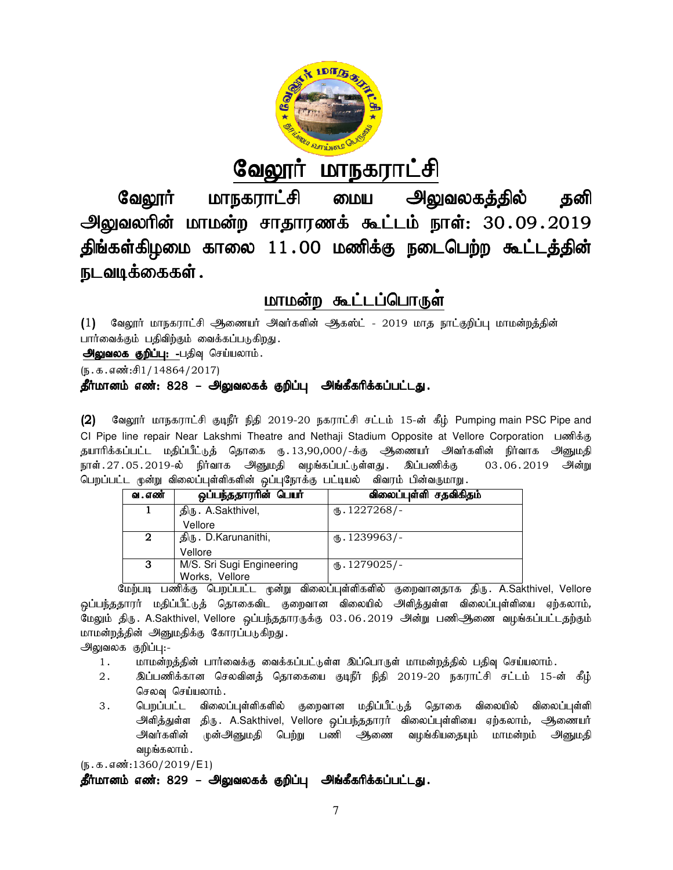

#### வேலூர் மாநகராட்சி

வேலூர் மாநகராட்சி மைய அலுவலகத்தில் தனி அலுவலரின் மாமன்ற சாதாரணக் கூட்டம் நாள்: 30.09.2019 திங்கள்கிழமை காலை 11.00 மணிக்கு நடைபெற்ற கூட்டத்தின் நடவடிக்கைகள். BtY]h; ;: eilbgw;w

## மாமன்ற கூட்டப்பொருள்

(1) வேலூர் மாநகராட்சி ஆணையர் அவர்களின் ஆகஸ்ட் - 2019 மாத நாட்குறிப்பு மாமன்றத்தின் பார்வைக்கும் பதிவிற்கும் வைக்கப்படுகிறது.

அலுவலக குறிப்பு: -பதிவு செய்யலாம்.

 $(5.5.5.5\text{...})$ 

### தீர்மானம் எண்: 828 – அலுவலகக் குறிப்பு அங்கீகரிக்கப்பட்டது.

(2) வேலூர் மாநகராட்சி குடிநீர் நிதி 2019-20 நகராட்சி சட்டம் 15-ன் கீழ் Pumping main PSC Pipe and (2) வேலூர் மாநகராட்சி குடிநீர் நிதி 2019-20 நகராட்சி சட்டம் 15-ன் கீழ் Pumping main PSC Pipe and<br>CI Pipe line repair Near Lakshmi Theatre and Nethaji Stadium Opposite at Vellore Corporation பணிக்கு தயாரிக்கப்பட்ட மதிப்பீட்டுத் தொகை ரு..13,90,000/-க்கு ஆணையர் அவர்களின் நிர்வாக அனுமதி நாள்.27.05.2019-ல் நிர்வாக அனுமதி வழங்கப்பட்டுள்ளது. இப்பணிக்கு 03.06.2019 அன்று பெறப்பட்ட முன்று விலைப்புள்ளிகளின் ஒப்புநோக்கு பட்டியல் விவரம் பின்வருமாறு.

|                                                                                  |                                                                                                   | .05.2019-ல் நிர்வாக அனுமதி வழங்கப்பட்டுள்ளது. இப்பணிக்கு                     | 03.06.2019 அன்று |  |  |
|----------------------------------------------------------------------------------|---------------------------------------------------------------------------------------------------|------------------------------------------------------------------------------|------------------|--|--|
|                                                                                  | ட முன்று விலைப்புள்ளிகளின் ஒப்புநோக்கு பட்டியல்  விவரம் பின்வருமாறு.                              |                                                                              |                  |  |  |
| வ . எண்                                                                          | ஒப்பந்ததார <del>ா</del> ின் பெயா்                                                                 | விலைப்புள்ளி சதவிகிதம்                                                       |                  |  |  |
| 1                                                                                | திரு. A.Sakthivel,                                                                                | $(B.1227268)$ -                                                              |                  |  |  |
|                                                                                  | Vellore                                                                                           |                                                                              |                  |  |  |
| $\overline{2}$                                                                   | திரு. D.Karunanithi,                                                                              | $m.1239963/-$                                                                |                  |  |  |
|                                                                                  | Vellore                                                                                           |                                                                              |                  |  |  |
| 3                                                                                | M/S. Sri Sugi Engineering                                                                         | $(B.1279025)$ -                                                              |                  |  |  |
|                                                                                  | Works, Vellore                                                                                    |                                                                              |                  |  |  |
|                                                                                  | மற்படி பணிக்கு பெறப்பட்ட முன்று விலைப்புள்ளிகளில் குறைவானதாக திரு. A.Sakthivel, Vellore           |                                                                              |                  |  |  |
| ராரர் மதிப்பீட்டுத் தொகைவிட குறைவான விலையில் அளித்துள்ள விலைப்புள்ளியை ஏற்கலாம், |                                                                                                   |                                                                              |                  |  |  |
|                                                                                  | நிரு . A.Sakthivel, Vellore  ஒப்பந்ததாரருக்கு  03 . 06 . 2019   அன்று  பணிஆணை  வழங்கப்பட்டதற்கும் |                                                                              |                  |  |  |
| ந்தின் அனுமதிக்கு கோரப்படுகிறது.                                                 |                                                                                                   |                                                                              |                  |  |  |
| க குறிப்பு:-                                                                     |                                                                                                   |                                                                              |                  |  |  |
| மாமன்றத்தின் பார்வைக்கு வைக்கப்பட்டுள்ள இப்பொருள் மாமன்றத்தில் பதிவு செய்யலாம்.  |                                                                                                   |                                                                              |                  |  |  |
|                                                                                  |                                                                                                   | இப்பணிக்கான செலவினத் தொகையை குடிநீர் நிதி 2019-20 நகராட்சி சட்டம் 15-ன் கீழ் |                  |  |  |

மேற்படி பணிக்கு பெறப்பட்ட முன்று விலைப்புள்ளிகளில் குறைவானதாக திரு. A.Sakthivel, Vellore <u>ஒ</u>ப்பந்ததாரர் மதிப்பீட்டுத் தொகைவிட குறைவான விலையில் அளித்துள்ள விலைப்புள்ளியை ஏற்கலாம், மேலும் திரு. A.Sakthivel, Vellore ஒப்பந்ததாரருக்கு 03.06.2019 அன்று பணிஆிணை வழங்கப்பட்டதற்கும் மாமன்றத்தின் அனுமதிக்கு கோரப்படுகிறது.

அலுவலக குறிப்பு:-

- 1. khr மன்றத்தின் பார்வைக்கு வைக்கப்பட்டுள்ள இப்பொருள் மாமன்றத்தில் பதிவு செய்யலாம்.
- 2. ng;gzpf;fhd brytpdj; bjhifia FoePh; epjp 2019 FoePh; 2019-20 efuhl;rp rl;lk; 15 செலவு செய்யலாம்.
- 3 . பெறப்பட்ட விலைப்புள்ளிகளில் குறைவான மதிப்பீட்டுத் தொகை விலையில் விலைப்புள்ளி பெறப்பட்ட விலைப்புள்ளிகளில் குறைவான மதிப்பீட்டுத் தொகை விலையில் விலைப்புள்ளி<br>அளித்துள்ள திரு. A.Sakthivel, Vellore ஒப்பந்ததாரர் விலைப்புள்ளியை ஏற்கலாம், ஆணையர் அவர்களின் முன்அனுமதி பெற்று பணி ஆணை வழங்கியதையும் மாமன்றம் அனுமதி வழங்கலாம்.

 $(5.5.5.5\omega)(2019/E1)$ 

தீர்மானம் எண்: 829 – அலுவலகக் குறிப்பு அங்கீகரிக்கப்பட்டது.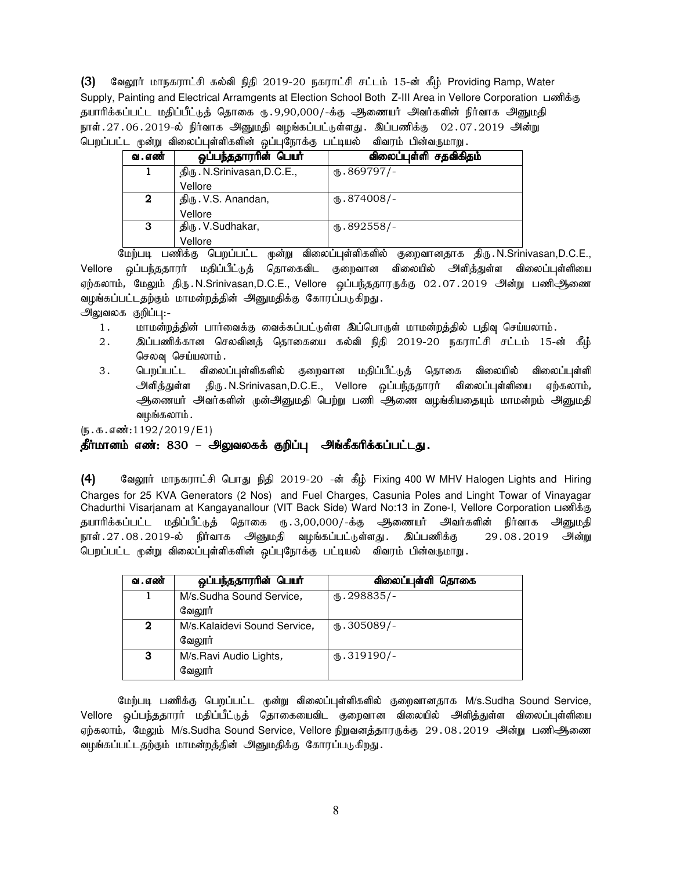(3) மேலூர் மாநகராட்சி கல்வி நிதி 2019-20 நகராட்சி சட்டம் 15-ன் கீழ் Providing Ramp, Water Supply, Painting and Electrical Arramgents at Election School Both Z-III Area in Vellore Corporation பணிக்கு தயாரிக்கப்பட்ட மதிப்பீட்டுத் தொகை ரு. 9,90,000/-க்கு அணையர் அவர்களின் நிர்வாக அனுமதி நாள். $27.06.2019$ -ல் நிர்வாக அனுமதி வழங்கப்பட்டுள்ளது. இப்பணிக்கு  $02.07.2019$  அன்று பெறப்பட்ட மூன்று விலைப்புள்ளிகளின் ஒப்புநோக்கு பட்டியல் விவரம் பின்வருமாறு

| வ . எண் | ஒப்பந்ததாரரின் பெயர்        | விலைப்புள்ளி சதவிகிதம் |
|---------|-----------------------------|------------------------|
|         | திரு. N.Srinivasan, D.C.E., | $\mathbf{0}.869797$ /- |
|         | Vellore                     |                        |
| 2       | திரு. V.S. Anandan,         | (ճ. 874008/-           |
|         | Vellore                     |                        |
| 3       | திரு. V.Sudhakar,           | $\omega$ .892558/-     |
|         | Vellore                     |                        |

மேற்படி பணிக்கு பெறப்பட்ட முன்று விலைப்புள்ளிகளில் குறைவானதாக திரு.N.Srinivasan,D.C.E., Vellore ஒப்பந்ததாரர் மதிப்பீட்டுத் தொகைவிட குறைவான விலையில் அி்வத்துள்ள விலைப்புள்ளியை ஏற்கலாம், மேலும் திரு.N.Srinivasan,D.C.E., Vellore ஒப்பந்ததாரருக்கு 02.07.2019 அன்று பணிஆணை வழங்கப்பட்டதற்கும் மாமன்றத்தின் அனுமதிக்கு கோரப்படுகிறது.

அலுவலக குறிப்பு:-

- 1. khkd;wj;jpd; ghh;itf;F itf;fg;gl;Ls;s ng;bghUs; khkd;wj;jpy; gjpt[ bra;ayhk;.
- 2. ng;gzpf;fhd brytpdj; bjhifia fy;tp epjp 2019-20 efuhl;rp rl;lk; 15-d; fPH; செலவு செய்யலாம்.
- 3 . பெறப்பட்ட விலைப்புள்ளிகளில் குறைவான மதிப்பீட்டுத் தொகை விலையில் விலைப்புள்ளி அளித்துள்ள திரு.N.Srinivasan,D.C.E., Vellore ஒப்பந்ததாரர் விலைப்புள்ளியை ஏற்கலாம், அணையர் அவர்களின் முன்அனுமதி பெற்று பணி ஆணை வழங்கியதையும் மாமன்றம் அனுமதி வழங்கலாம் .

 $(5.5.5.5\omega(1192/2019/E1))$ 

### தீர்மானம் எண்: 830 – அலுவலகக் குறிப்பு அங்கீகரிக்கப்பட்டது.

(4) குலூர் மாநகராட்சி பொது நிதி 2019-20 -ன் கீம் Fixing 400 W MHV Halogen Lights and Hiring Charges for 25 KVA Generators (2 Nos) and Fuel Charges, Casunia Poles and Linght Towar of Vinayagar Chadurthi Visarjanam at Kangayanallour (VIT Back Side) Ward No:13 in Zone-I, Vellore Corporation பணிக்கு தயாரிக்கப்பட்ட மதிப்பீட்டுத் தொகை ரு.3,00,000/-க்கு ஆணையர் அவர்களின் நிர்வாக அனுமதி நாள்.27.08.2019-ல் நிர்வாக அனுமதி வழங்கப்பட்டுள்ளது. இப்பணிக்கு 29.08.2019 அன்று பெறப்பட்ட முன்று விலைப்புள்ளிகளின் ஒப்புநோக்கு பட்டியல் விவரம் பின்வருமாறு.

| வ . எண் | ஒப்பந்ததாரரின் பெயர்         | விலைப்புள்ளி தொகை     |
|---------|------------------------------|-----------------------|
|         | M/s.Sudha Sound Service,     | $th.298835/-$         |
|         | வேலூர்                       |                       |
| 2       | M/s.Kalaidevi Sound Service, | $M_{\rm b}$ .305089/- |
|         | வேலூர்                       |                       |
| 3       | M/s.Ravi Audio Lights,       | $(D.319190)$ -        |
|         | வேலூர்                       |                       |

மேற்படி பணிக்கு பெறப்பட்ட முன்று விலைப்புள்ளிகளில் குறைவானதாக M/s.Sudha Sound Service, Vellore ஒப்பந்ததூரர் மதிப்பீட்டுத் தொகையைவிட குறைவான விலையில் அளித்துள்ள விலைப்புள்ளியை ஏற்கலாம், மேலும் M/s.Sudha Sound Service, Vellore நிறுவனத்தாரருக்கு 29.08.2019 அன்று பணிஆிணை வழங்கப்பட்டதற்கும் மாமன்றத்தின் அனுமதிக்கு கோரப்படுகிறது.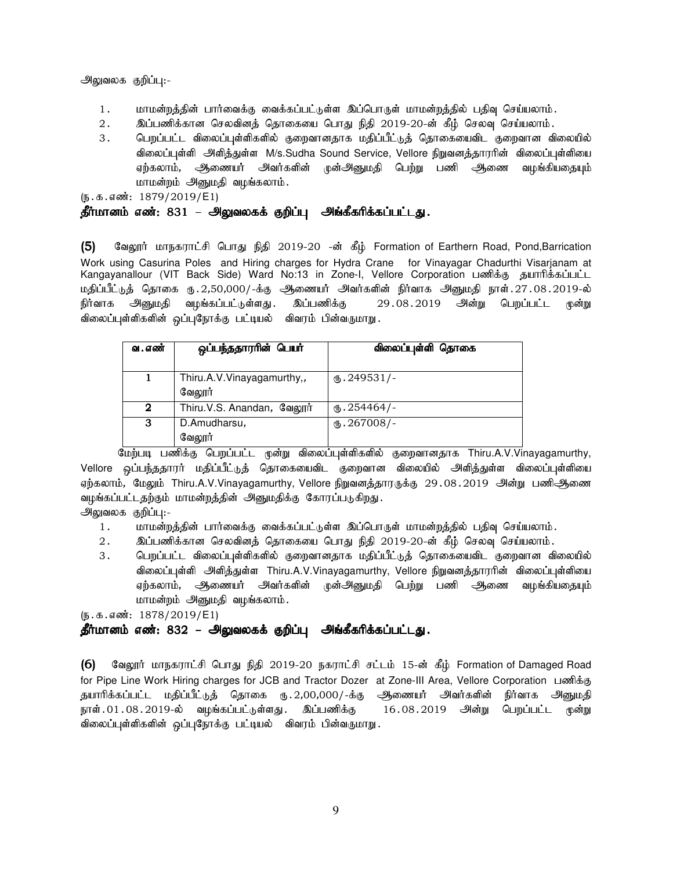அலுவலக குறிப்பு:-

- 1. மாமன்றத்தின் பார்வைக்கு வைக்கப்பட்டுள்ள இப்பொருள் மாமன்றத்தில் பதிவு செய்யலாம்.
- 2. இப்பணிக்கான செலவினத் தொகையை பொது நிதி 2019-20-ன் கீழ் செலவு செய்யலாம்.
- 3 . பெறப்பட்ட விலைப்புள்ளிகளில் குறைவானதாக மதிப்பீட்டுத் தொகையைவிட குறைவான விலையில் விலைப்புள்ளி அளித்துள்ள M/s.Sudha Sound Service, Vellore நிறுவனத்தாரரின் விலைப்புள்ளியை ஏற்கலாம், அிணையர் அவர்களின் முன்அனுமதி பெற்று பணி அிணை வழங்கியதையும் மாமன்றம் அனுமதி வழங்கலாம்.

 $(5.5.5 \cdot \text{m} \cdot \text{m} \cdot 1879/2019/\text{E1})$ 

### தீர்மானம் எண்: 831 – அலுவலகக் குறிப்பு அங்கீகரிக்கப்பட்டது.

(5) மேலூர் மாநகராட்சி பொது நிதி 2019-20 -ன் கீழ் Formation of Earthern Road, Pond,Barrication Work using Casurina Poles and Hiring charges for Hydra Crane for Vinayagar Chadurthi Visarjanam at Kangayanallour (VIT Back Side) Ward No:13 in Zone-I, Vellore Corporation பணிக்கு தயாரிக்கப்பட்ட மதிப்பீட்டுத் தொகை ரு.2,50,000/-க்கு ஆணையர் அவர்களின் நிர்வாக அனுமதி நாள்.27.08.2019-ல் நிர்வாக அனுமதி வழங்கப்பட்டுள்ளது. இப்பணிக்கு 29.08.2019 அன்று பெறப்பட்ட முன்று விலைப்புள்ளிகளின் ஒப்புநோக்கு பட்டியல் விவரம் பின்வருமாறு.

| வ . எண் | ஒப்பந்ததாரரின் பெயர்                 | விலைப்புள்ளி தொகை    |
|---------|--------------------------------------|----------------------|
|         | Thiru.A.V.Vinayagamurthy,,<br>வேலார் | $\omega$ . 249531/-  |
| 2       | Thiru.V.S. Anandan, வேலூர்           | $\omega$ . 254464/-  |
| 3       | D.Amudharsu,<br>வேலூர்               | $\text{I}5.267008/-$ |

மேற்படி பணிக்கு பெறப்பட்ட முன்று விலைப்புள்ளிகளில் குறைவானதாக Thiru.A.V.Vinayagamurthy, Vellore ஒப்பந்ததாரர் மதிப்பீட்டுத் தொகையைவிட குறைவான விலையில் அளித்துள்ள விலைப்புள்ளியை ஏற்கலாம், மேலும் Thiru.A.V.Vinayagamurthy, Vellore நிறுவனத்தாரருக்கு 29.08.2019 அன்று பணிஆணை வழங்கப்பட்டதற்கும் மாமன்றத்தின் அனுமதிக்கு கோரப்படுகிறது.

அலுவலக குறிப்பு:-

- 1. khr மன்றத்தின் பார்வைக்கு வைக்கப்பட்டுள்ள இப்பொருள் மாமன்றத்தில் பதிவு செய்யலாம்.
- 2. இப்பணிக்கான செலவினத் தொகையை பொது நிதி 2019-20-ன் கீழ் செலவு செய்யலாம்.
- 3. பெறப்பட்ட விலைப்புள்ளிகளில் குறைவானதாக மதிப்பீட்டுத் தொகையைவிட குறைவான விலையில் விலைப்புள்ளி அ்ளித்துள்ள Thiru.A.V.Vinayagamurthy, Vellore நிறுவனத்தாரரின் விலைப்புள்ளியை ஏற்கலாம், அிணையர் அவர்களின் முன்அனுமதி பெற்று பணி அணை வழங்கியதையும் மாமன்றம் அனுமதி வழங்கலாம்.

 $(5.5.5 \text{ s} \cdot \text{m} \cdot 1878/2019/\text{E1})$ 

### தீர்மானம் எண்: 832 – அலுவலகக் குறிப்பு அங்கீகரிக்கப்பட்டது.

 $(6)$  கேலூர் மாநகராட்சி பொது நிதி 2019-20 நகராட்சி சட்டம் 15-ன் கீழ் Formation of Damaged Road for Pipe Line Work Hiring charges for JCB and Tractor Dozer at Zone-III Area, Vellore Corporation பணிக்கு தயாரிக்கப்பட்ட மதிப்பீட்டுத் தொகை ரு. 2,00,000/-க்கு ஆணையர் அவர்களின் நிர்வாக அனுமதி நாள். $01.08.2019$ -ல் வழங்கப்பட்டுள்ளது. இப்பணிக்கு  $16.08.2019$  அன்று பெறப்பட்ட முன்று விலைப்புள்ளிகளின் ஒப்புநோக்கு பட்டியல் விவரம் பின்வருமாறு.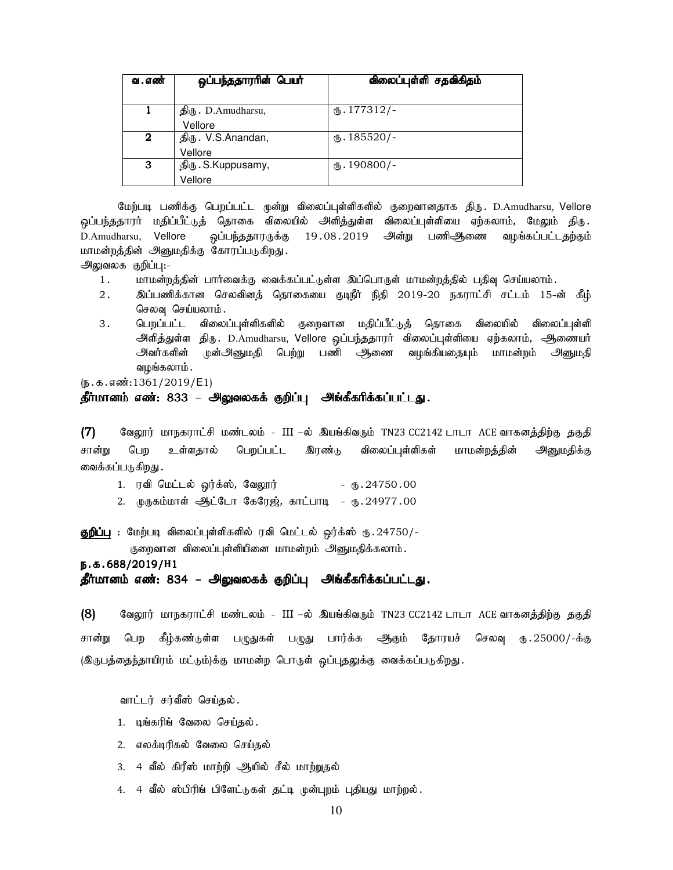| வ . எண் | ஒப்பந்ததாரரின் பெயர் | விலைப்புள்ளி சதவிகிதம் |
|---------|----------------------|------------------------|
|         |                      |                        |
|         | திரு. D.Amudharsu,   | $\omega$ . 177312/-    |
|         | Vellore              |                        |
| 2       | திரு. V.S.Anandan,   | $\omega$ . 185520/-    |
|         | Vellore              |                        |
| 3       | திரு. S.Kuppusamy,   | $(D.190800)$ -         |
|         | Vellore              |                        |

மேற்படி பணிக்கு பெறப்பட்ட முன்று விலைப்புள்ளிகளில் குறைவானதாக திரு. D.Amudharsu, Vellore <u>ஒ</u>ப்பந்ததாரர் மதிப்பீட்டுத் தொகை விலையில் அளித்துள்ள விலைப்புள்ளியை ஏற்கலாம், மேலும் திரு D.Amudharsu, Vellore ஒப்பந்ததாரருக்கு 19.08.2019 அன்று பணிஆணை வழங்கப்பட்டதற்கும் மாமன்றத்தின் அனுமதிக்கு கோரப்படுகிறது.

அலுவலக குறிப்பு:-

- 1. khkd;wj;jpd; ghh;itf;F itf;fg;gl;Ls;s ng;bghUs; khkd;wj;jpy; gjpt[ bra;ayhk;.
- 2. ng;gzpf;fhd brytpdj; bjhifia FoePh; epjp 2019-20 efuhl;rp rl;lk; 15-d; fPH; செலவு செய்யலாம்.
- 3 . பெறப்பட்ட விலைப்புள்ளிகளில் குறைவான மதிப்பீட்டுத் தொகை விலையில் விலைப்புள்ளி அளித்துள்ள திரு. D.Amudharsu, Vellore ஒப்பந்ததாரர் விலைப்புள்ளியை ஏற்கலாம், ஆணையர் அவர்களின் முன்அனுமதி பெற்று பணி ஆணை வழங்கியதையும் மாமன்றம் அனுமதி வழங்கலாம்.

 $(5.5.5.5\frac{1361}{2019/E1})$ 

### தீர்மானம் எண்: 833 – அலுவலகக் குறிப்பு அங்கீகரிக்கப்பட்டது.

 $(7)$  Baymi மாநகராட்சி மண்டலம் - III –ல் இயங்கிவரும் TN23 CC2142 டாடா ACE வாகனத்திற்கு தகுதி சான்று பெற உள்ளதால் பெறப்பட்ட இரண்டு விலைப்புள்ளிகள் மாமன்றத்தின் அனுமதிக்கு வைக்கப்படுகிறது .

- 1. utp bkl;ly; xu;f;!;, BtY]u; U}.24750.00
- 2. முருகம்மாள் ஆட்டோ கேரேஜ், காட்பாடி ரு. 24977.00

**குறிப்பு** : மேற்படி விலைப்புள்ளிகளில் ரவி மெட்டல் ஒர்க்ஸ் ரூ.24750/-

குறைவான விலைப்புள்ளியினை மாமன்றம் அனுமதிக்கலாம்.

e.f.688/2019/**H**1

தீர்மானம் எண்: 834 – அலுவலகக் குறிப்பு அங்கீகரிக்கப்பட்டது.

(8) வேலூர் மாநகராட்சி மண்டலம் - III –ல் இயங்கிவரும் TN23 CC2142 டாடா ACE வாகனத்திற்கு தகுதி சான்று பெற கீழ்கண்டுள்ள பழுதுகள் பழுது பார்க்க ஆகும் தோரயச் செலவு ரு.25000/-க்கு (இருபத்தைந்தாயிரம் மட்டும்)க்கு மாமன்ற பொருள் ஒப்புதலுக்கு வைக்கப்படுகிறது.

வாட்டர் சர்வீஸ் செய்தல்.

- 1. டிங்கரிங் வேலை செய்தல்.
- 2. எலக்டிரிகல் வேலை செய்கல்
- 3. 4 வீல் கிரீஸ் மாற்றி ஆயில் சீல் மாற்றுதல்
- 4. 4 வீல் ஸ்பிரிங் பிளேட்டுகள் தட்டி முன்புறம் புதியது மாற்றல்.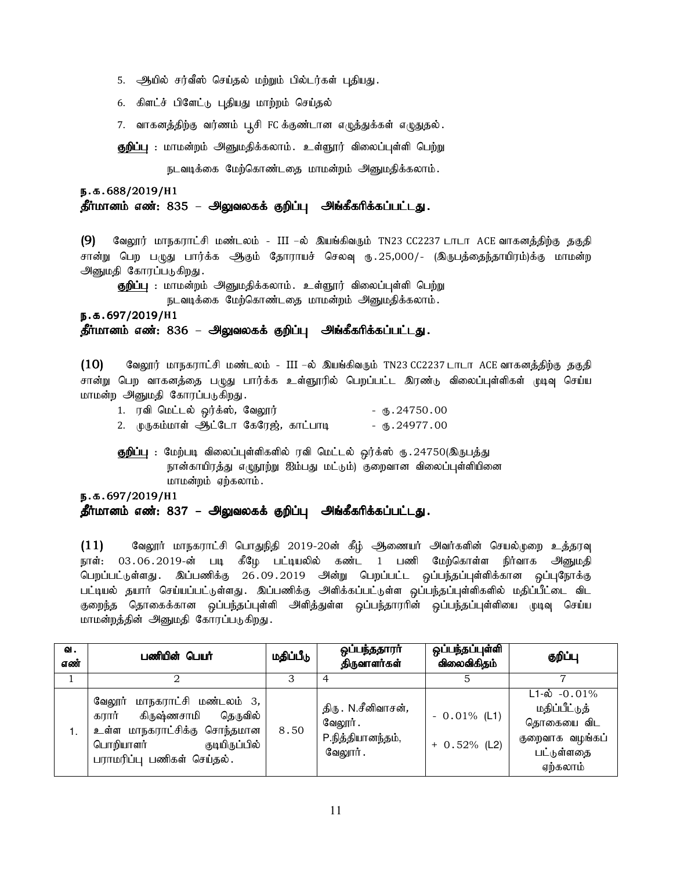- 5. அியில் சர்வீஸ் செய்தல் மற்றும் பில்டர்கள் புதியது.
- 6. கிளட்ச் பிளேட்டு புதியது மாற்றம் செய்தல்
- 7. வாகனத்திற்கு வர்ணம் பூசி FC க்குண்டான எழுத்துக்கள் எழுதுதல்.

**குறிப்பு** : மாமன்றம் அனுமதிக்கலாம். உள்ளூர் விலைப்புள்ளி பெற்று

நடவடிக்கை மேற்கொண்டதை மாமன்றம் அனுமதிக்கலாம்.

### e.f.688/2019/**H**1 தீர்மானம் எண்: 835 – அலுவலகக் குறிப்பு அங்கீகரிக்கப்பட்டது.

(9) வேலூர் மாநகராட்சி மண்டலம் - III –ல் இயங்கிவரும் TN23 CC2237 டாடா ACE வாகனத்திற்கு தகுதி சான்று பெற பழுது பார்க்க ஆகும் தோராயச் செலவு ரு.25,000/- (இருபத்தைந்தாயிரம்)க்கு மாமன்ற அனுமதி கோரப்படுகிறது.

**குறிப்பு** : மாமன்றம் அனுமதிக்கலாம். உள்ளூர் விலைப்புள்ளி பெற்று

நடவடிக்கை மேற்கொண்டதை மாமன்றம் அனுமதிக்கலாம்.

e.f.697/2019/ e.f.697/2019/**H**1

தீர்மானம் எண்: 836 – அலுவலகக் குறிப்பு அங்கீகரிக்கப்பட்டது.

 $(10)$  Baலூர் மாநகராட்சி மண்டலம் - III –ல் இயங்கிவரும் TN23 CC2237 டாடா ACE வாகனத்திற்கு தகுதி சான்று பெற வாகனத்தை பழுது பார்க்க உள்ளூரில் பெறப்பட்ட இரண்டு விலைப்புள்ளிகள் முடிவு செய்ய மாமன்ற அனுமதி கோரப்படுகிறது.

| 1. ரவி மெட்டல் ஒர்க்ஸ், வேலூர்        | - ரூ.24750.00       |
|---------------------------------------|---------------------|
| 2. முருகம்மாள் ஆட்டோ கேரேஜ், காட்பாடி | - $\times$ 24977.00 |

**குறிப்பு** : மேற்படி விலைப்புள்ளிகளில் ரவி மெட்டல் ஒர்க்ஸ் ரு.24750(இருபத்து நான்காயிரத்து எழுநூற்று ஐம்பது மட்டும்) குறைவான விலைப்புள்ளியினை மாமன்றம் ஏற்கலாம்.

### e.f.697/2019/**H**1 தீர்மானம் எண்: 837 – அலுவலகக் குறிப்பு அங்கீகரிக்கப்பட்டது.

 $(11)$  Baymi மாநகராட்சி பொதுநிதி 2019-20ன் கீழ் ஆணையர் அவர்களின் செயல்முறை உத்தரவு நாள்: 03.06.2019-ன் படி கீழே பட்டியலில் கண்ட 1 பணி மேற்கொள்ள நிர்வாக அனுமதி பெறப்பட்டுள்ளது . இப்பணிக்கு 26.09.2019 அன்று பெறப்பட்ட ஒப்பந்தப்புள்ளிக்கான ஒப்புநோக்கு பட்டியல் தயார் செய்யப்பட்டுள்ளது. இப்பணிக்கு அளிக்கப்பட்டுள்ள ஒப்பந்தப்புள்ளிகளில் மதிப்பீட்டை விட குறைந்த தொகைக்கான ஒப்பந்தப்புள்ளி அளித்துள்ள ஒப்பந்தாரரின் ஒப்பந்தப்புள்ளியை முடிவு செய்ய மாமன்றத்தின் அனுமதி கோரப்படுகிறது.

| ഖ.<br>எண் | பணியின் பெயர்                                                                                                                                                 | மதிப்பீடு | ஒப்பந்ததாரா்<br>திருவாளர்கள்                                           | ஒப்பந்தப்புள்ளி<br>விலைவிகிதம்   | குறிப்பு                                                                                                 |
|-----------|---------------------------------------------------------------------------------------------------------------------------------------------------------------|-----------|------------------------------------------------------------------------|----------------------------------|----------------------------------------------------------------------------------------------------------|
|           |                                                                                                                                                               |           |                                                                        |                                  |                                                                                                          |
| 1.        | மாநகராட்சி மண்டலம் 3,<br>வேலூர்<br>கிருஷ்ணசாமி தெருவில்<br>கரார்<br>உள்ள மாநகராட்சிக்கு சொந்தமான<br>குடியிருப்பில்<br>பொறியாளர்<br>பராமரிப்பு பணிகள் செய்தல். | 8.50      | திரு . N.சீனிவாசன் <i>,</i><br>வேலூர்.<br>P.நித்தியானந்தம்,<br>வேலூர். | $-0.01\%$ (L1)<br>$+ 0.52%$ (L2) | $L1 - \dot{\omega} - 0.01\%$<br>மதிப்பீட்டுத்<br>தொகையை விட<br>குறைவாக வழங்கப்<br>பட்டுள்ளதை<br>ஏற்கலாம் |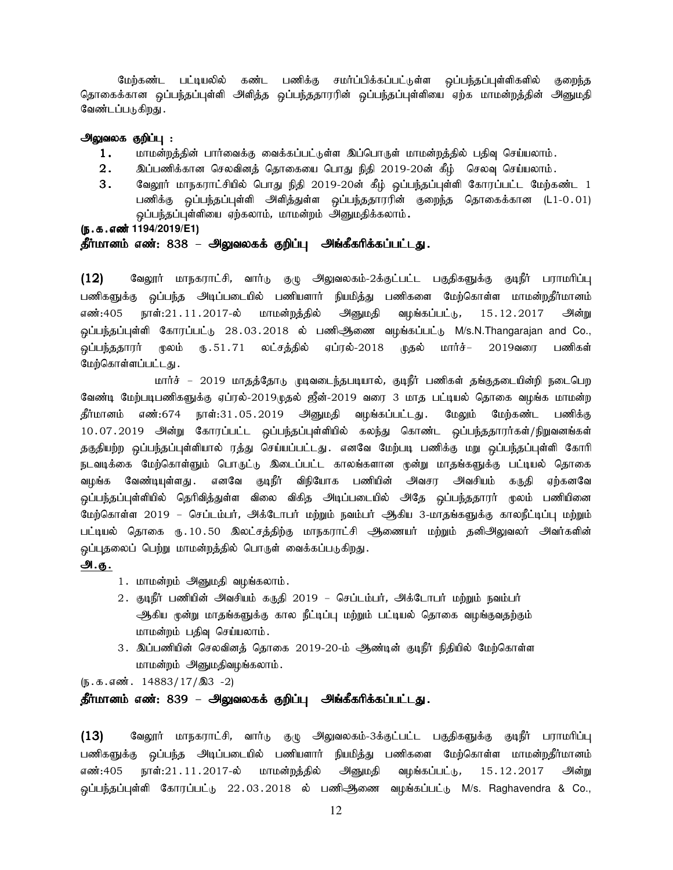மேற்கண்ட பட்டியலில் கண்ட பணிக்கு சமர்ப்பிக்கப்பட்டுள்ள வப்பந்தப்புள்ளிகளில் குறைந்த தொகைக்கான ஒப்பந்தப்புள்ளி அளித்த ஒப்பந்ததாரரின் ஒப்பந்தப்புள்ளியை ஏற்க மாமன்றத்தின் அனுமதி வேண்டப்படுகிறது .

#### அலுவலக குறிப்பு :

- $1.$  khr மன்றத்தின் பார்வைக்கு வைக்கப்பட்டுள்ள இப்பொருள் மாமன்றத்தில் பதிவு செய்யலாம்.
- $2.$   $\;$  இப்பணிக்கான செலவினத் தொகையை பொது நிதி 2019-20ன் கீழ் செலவு செய்யலாம்.
- 3. வேலூர் மாநகராட்சியில் பொது நிதி 2019-20ன் கீழ் ஒப்பந்தப்புள்ளி கோரப்பட்ட மேற்கண்ட 1 பணிக்கு ஒப்பந்தப்புள்ளி அளித்துள்ள ஒப்பந்ததாரரின் குறைந்த தொகைக்கான (L1-0.01) .<br>ஒப்பந்தப்புள்ளியை ஏற்கலாம், மாமன்றம் அ்னுமதிக்கலாம்**.**
- (ந.க.எண்<sup>1194/2019/E1)</sup>

### தீர்மானம் எண்: 838 – அலுவலகக் குறிப்பு அங்கீகரிக்கப்பட்டது.

 $(12)$  Bவலூர் மாநகராட்சி, வார்டு குழு அலுவலகம்-2க்குட்பட்ட பகுதிகளுக்கு குடிநீர் பராமரிப்பு பணிகளுக்கு ஒப்பந்த அடிப்படையில் பணியளார் நியமித்து பணிகளை மேற்கொள்ள மாமன்றதீர்மானம் எண்:405 நாள்:21.11.2017-ல் மாமன்றத்தில் அனுமதி வழங்கப்பட்டு, 15.12.2017 அன்று ஒப்பந்தப்புள்ளி கோரப்பட்டு 28.03.2018 ல் பணிஆணை வழங்கப்பட்டு M/s.N.Thangarajan and Co., .<br>ஒப்பந்ததாரர் மூலம் ரு.51.71 லட்சத்தில் ஏப்ரல்-2018 முதல் மார்ச்– 2019வரை பணிகள் மேற்கொள்ளப்பட்டது.

மார்ச் – 2019 மாதத்தோடு முடிவடைந்தபடியால், குடிநீர் பணிகள் தங்குதடையின்றி நடைபெற வேண்டி மேற்படிபணிகளுக்கு ஏப்ரல்-2019.டிதல் ஜீன்-2019 வரை 3 மாத பட்டியல் தொகை வழங்க மாமன்ற தீர்மானம் எண்:674 நாள்:31.05.2019 அனுமதி வழங்கப்பட்டது. மேலும் மேற்கண்ட பணிக்கு 10.07.2019 அன்று கோரப்பட்ட ஒப்பந்தப்புள்ளியில் கலந்து கொண்ட ஒப்பந்ததாரர்கள்/நிறுவனங்கள் தகுதியற்ற ஒப்பந்தப்புள்ளியால் ரத்து செய்யப்பட்டது. எனவே மேற்படி பணிக்கு மறு ஒப்பந்தப்புள்ளி கோரி நடவடிக்கை மேற்கொள்ளும் பொருட்டு இடைப்பட்ட காலங்களான முன்று மாதங்களுக்கு பட்டியல் தொகை வழங்க வேண்டியுள்ளது. எனவே குடிநீர் விநியோக பணியின் அவசர அவசியம் கருதி ஏற்கனவே <u>ஒ</u>ப்பந்தப்புள்ளியில் தெரிவித்துள்ள விலை விகித அடிப்படையில் அதே ஒப்பந்ததாரர் முலம் பணியினை மேற்கொள்ள 2019 – செப்டம்பர், அக்டோபர் மற்றும் நவம்பர் ஆகிய 3-மாதங்களுக்கு காலநீட்டிப்பு மற்றும் பட்டியல் தொகை ரூ. 10.50 இலட்சத்திற்கு மாநகராட்சி அணையர் மற்றும் தனிஅலுவலர் அவர்களின் ஒப்புதலைப் பெற்று மாமன்றத்தில் பொருள் வைக்கப்படுகிறது.

#### அ.கு.

- 1. மாமன்றம் அனுமதி வழங்கலாம்.
- 2. குடிநீர் பணியின் அவசியம் கருதி 2019 செப்டம்பர், அக்டோபர் மற்றும் நவம்பர் ஆகிய முன்று மாதங்களுக்கு கால நீட்டிப்பு மற்றும் பட்டியல் தொகை வழங்குவதற்கும் மாமன்றம் பதிவு செய்யலாம்.
- 3. இப்பணியின் செலவினத் தொகை 2019-20-ம் ஆண்டின் குடிநீர் நிதியில் மேற்கொள்ள மாமன்றம் அனுமதிவழங்கலாம்.

 $(\mathfrak{g.5.5.6} \text{m} \cdot \text{14883}/17/\text{a}3 - 2)$ 

#### தீர்மானம் எண்: 839 – அலுவலகக் குறிப்பு அங்கீகரிக்கப்பட்டது.

 $(13)$  கேலூர் மாநகராட்சி, வார்டு குழு அலுவலகம்-3க்குட்பட்ட பகுதிகளுக்கு குடிநீர் பராமரிப்பு பணிகளுக்கு ஒப்பந்த அடிப்படையில் பணியளார் நியமித்து பணிகளை மேற்கொள்ள மாமன்றதீர்மானம் எண்:405 நாள்:21.11.2017-ல் மாமன்றக்கில் அனுமகி வமங்கப்பட்டு, 15.12.2017 அன்று .<br>ஒப்பந்தப்புள்ளி கோரப்பட்டு 22.03.2018 ல் பணிஆணை வழங்கப்பட்டு M/s. Raghavendra & Co.,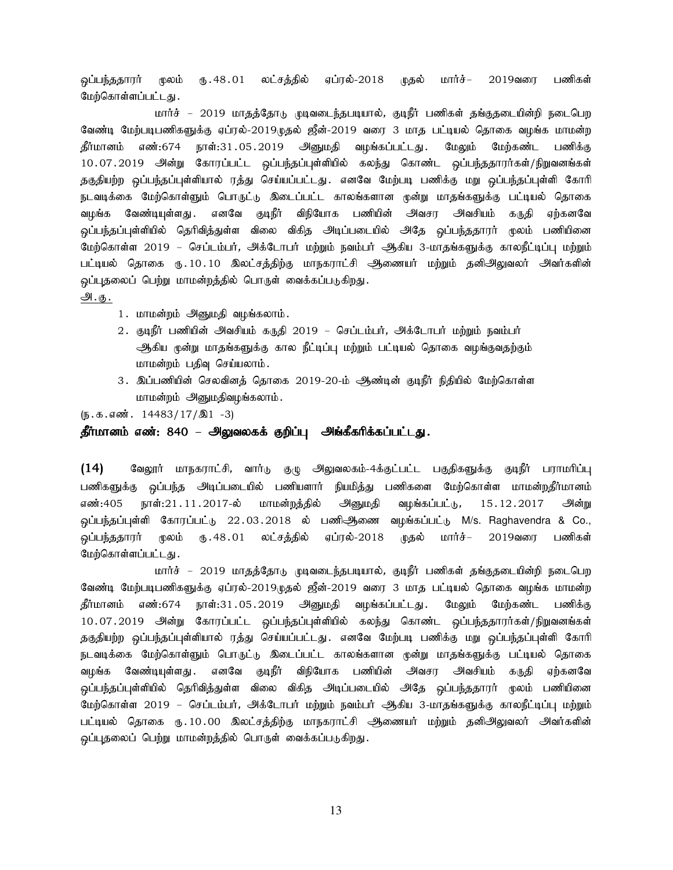<u>ஒ</u>ப்பந்ததாரர் மூலம் ரு. 48 . 01 லட்சத்தில் ஏப்ரல்-2018 முதல் மார்ச்– 2019வரை பணிகள் மேற்கொள்ளப்பட்டது.

மார்ச் – 2019 மாதத்தோடு முடிவடைந்தபடியால், குடிநீர் பணிகள் தங்குதடையின்றி நடைபெற வேண்டி மேற்படிபணிகளுக்கு ஏப்ரல்-2019முதல் ஜீன்-2019 வரை 3 மாத பட்டியல் தொகை வழங்க மாமன்ற தீர்மானம் எண்:674 நாள்:31.05.2019 அனுமதி வழங்கப்பட்டது. மேலும் மேற்கண்ட பணிக்கு 10.07.2019 அன்று கோரப்பட்ட ஒப்பந்தப்புள்ளியில் கலந்து கொண்ட ஒப்பந்ததாரர்கள்/நிறுவனங்கள் தகுதியற்ற ஒப்பந்தப்புள்ளியால் ரத்து செய்யப்பட்டது. எனவே மேற்படி பணிக்கு மறு ஒப்பந்தப்புள்ளி கோரி .<br>நடவடிக்கை மேற்கொள்ளும் பொருட்டு இடைப்பட்ட காலங்களான முன்று மாதங்களுக்கு பட்டியல் தொகை வழங்க வேண்டியுள்ளது. எனவே குடிநீர் விநியோக பணியின் அவசர அவசியம் கருதி ஏற்கனவே <u>ஒ</u>ப்பந்தப்புள்ளியில் தெரிவித்துள்ள விலை விகித அடிப்படையில் அதே ஒப்பந்ததாரர் முலம் பணியினை மேற்கொள்ள 2019 – செப்டம்பர், அக்டோபர் மற்றும் நவம்பர் ஆகிய 3-மாதங்களுக்கு காலநீட்டிப்பு மற்றும் பட்டியல் தொகை ரூ. 10. 10 இலட்சத்திற்கு மாநகராட்சி அணையர் மற்றும் தனிஅலுவலர் அவர்களின் ஒப்புதலைப் பெற்று மாமன்றத்தில் பொருள் வைக்கப்படுகிறது. அ.கு.

- 1. மாமன்றம் அனுமதி வழங்கலாம்.
- 2. குடிநீர் பணியின் அவசியம் கருதி 2019 செப்டம்பர், அக்டோபர் மற்றும் நவம்பர் ஆகிய முன்று மாதங்களுக்கு கால நீட்டிப்பு மற்றும் பட்டியல் தொகை வழங்குவதற்கும். மாமன்றம் பதிவு செய்யலாம்.
- 3. இப்பணியின் செலவினத் தொகை 2019-20-ம் ஆண்டின் குடிநீர் நிதியில் மேற்கொள்ள மாமன்றம் அனுமதிவழங்கலாம்.

 $(\mathfrak{g.5.5.6} \text{m}^2. 14483/17/\text{m}1 - 3)$ 

### தீர்மானம் எண்: 840 – அலுவலகக் குறிப்பு அங்கீகரிக்கப்பட்டது.

 $(14)$  Bவலூர் மாநகராட்சி, வார்டு குழு அலுவலகம்-4க்குட்பட்ட பகுதிகளுக்கு குடிநீர் பராமரிப்பு பணிகளுக்கு ஒப்பந்த அடிப்படையில் பணியளார் நியமித்து பணிகளை மேற்கொள்ள மாமன்றதீர்மானம் எண்:405 நாள்:21.11.2017-ல் மாமன்றத்தில் அனுமதி வழங்கப்பட்டு, 15.12.2017 அன்று ் ஒப்பந்தப்புள்ளி கோரப்பட்டு 22.03.2018 ல் பணிஆிணை வழங்கப்பட்டு M/s. Raghavendra & Co., <u>ஒ</u>ப்பந்ததாரர் முலம் ரு.48.01 லட்சத்தில் ஏப்ரல்-2018 முதல் மார்ச்– 2019வரை பணிகள் மேற்கொள்ளப்பட்டது .

மார்ச் – 2019 மாதத்தோடு முடிவடைந்தபடியால், குடிநீர் பணிகள் தங்குதடையின்றி நடைபெற வேண்டி மேற்படிபணிகளுக்கு ஏப்ரல்-2019முதல் ஜீன்-2019 வரை 3 மாத பட்டியல் தொகை வழங்க மாமன்ற தீர்மானம் எண்:674 நாள்:31.05.2019 அனுமதி வழங்கப்பட்டது. மேலும் மேற்கண்ட பணிக்கு 10.07.2019 அன்று கோரப்பட்ட ஒப்பந்தப்புள்ளியில் கலந்து கொண்ட ஒப்பந்ததாரர்கள்/நிறுவனங்கள் தகுதியற்ற ஒப்பந்தப்புள்ளியால் ரத்து செய்யப்பட்டது. எனவே மேற்படி பணிக்கு மறு ஒப்பந்தப்புள்ளி கோரி நடவடிக்கை மேற்கொள்ளும் பொருட்டு இடைப்பட்ட காலங்களான முன்று மாதங்களுக்கு பட்டியல் தொகை வழங்க வேண்டியுள்ளது. எனவே குடிநீர் விநியோக பணியின் அவசர அவசியம் கருதி ஏற்கனவே <u>ஒ</u>ப்பந்தப்புள்ளியில் தெரிவித்துள்ள விலை விகித அடிப்படையில் அதே ஒப்பந்ததாரர் முலம் பணியினை மேற்கொள்ள 2019 – செப்டம்பர், அக்டோபர் மற்றும் நவம்பர் ஆகிய 3-மாதங்களுக்கு காலநீட்டிப்பு மற்றும் பட்டியல் தொகை ரூ. 10.00 இலட்சத்திற்கு மாநகராட்சி ஆணையர் மற்றும் தனிஅலுவலர் அவர்களின் ஒப்புதலைப் பெற்று மாமன்றத்தில் பொருள் வைக்கப்படுகிறது.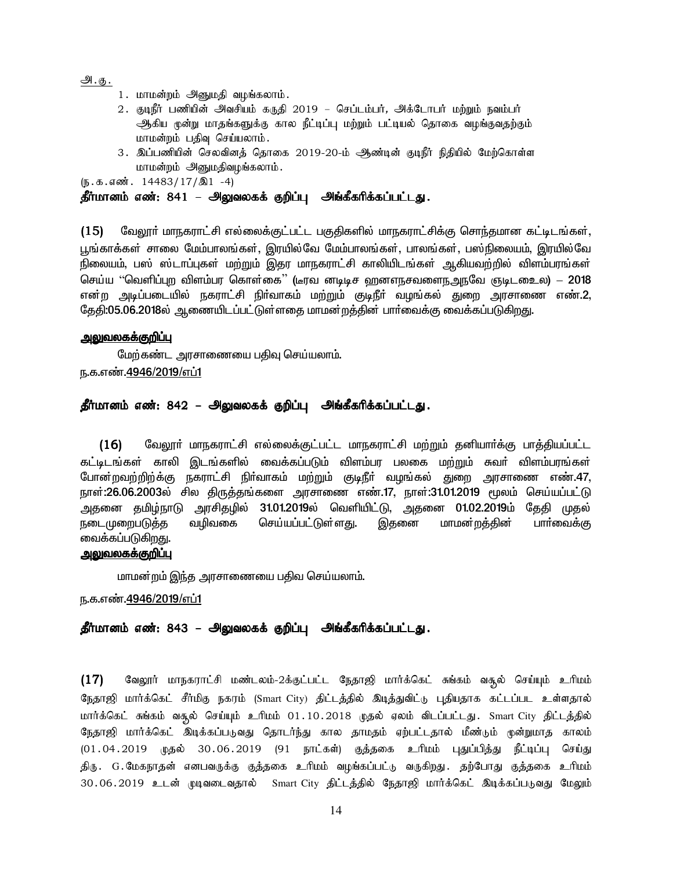அ. <u>கு .</u>

- 1. மாமன்றம் அனுமதி வழங்கலாம்.
- 2. குடிநீர் பணியின் அவசியம் கருதி 2019 செப்டம்பர், அக்டோபர் மற்றும் நவம்பர் ஆகிய முன்று மாதங்களுக்கு கால நீட்டிப்பு மற்றும் பட்டியல் தொகை வழங்குவதற்கும். மாமன்றம் பதிவு செய்யலாம்.
- 3. இப்பணியின் செலவினத் தொகை 2019-20-ம் ஆண்டின் குடிநீர் நிதியில் மேற்கொள்ள மாமன்றம் அனுமதிவழங்கலாம்.

 $(\mathfrak{g.}\mathfrak{g.}\mathfrak{g.}\mathfrak{g.}\mathfrak{g.}\mathfrak{g.}114483/17/\mathfrak{A}1 -4)$ 

### தீர்மானம் எண்: 841 – அலுவலகக் குறிப்பு அங்கீகரிக்கப்பட்டது.

(15) மேலூர் மாநகராட்சி எல்லைக்குட்பட்ட பகுதிகளில் மாநகராட்சிக்கு சொந்தமான கட்டிடங்கள், பூங்காக்கள் சாலை மேம்பாலங்கள், இரயில்வே மேம்பாலங்கள், பாலங்கள், பஸ்நிலையம், இரயில்வே நிலையம், பஸ் ஸ்டாப்புகள் மற்றும் இதர மாநகராட்சி காலியிடங்கள் ஆகியவற்றில் விளம்பரங்கள் செய்ய ''வெளிப்புற விளம்பர கொள்கை'' (டீரவ னடிடிச வானளநசவளைநஅநவே ஞடிட**ை**ல) – 2018 என்ற அடிப்படையில் நகராட்சி நிா்வாகம் மற்றும் குடிநீா் வழங்கல் துறை அரசாணை எண்.2, கேதி:05.06.2018ல் ஆணையிடப்பட்டுள்ளதை மாமன்றத்தின் பார்வைக்கு வைக்கப்படுகிறது.

### <u>அலுவலகக்குறிப்பு</u>

மேற்கண்ட அரசாணையை பதிவு செய்யலாம். ந.க.எண்.4946/2019/எப்1

### தீர்மானம் எண்: 842 – அலுவலகக் குறிப்பு அங்கீகரிக்கப்பட்டது.

 $(16)$  வேலூா் மாநகராட்சி எல்லைக்குட்பட்ட மாநகராட்சி மற்றும் தனியாா்க்கு பாத்தியப்பட்ட கட்டிடங்கள் காலி இடங்களில் வைக்கப்படும் விளம்பா பலகை மற்றும் சுவர் விளம்பாங்கள் போன்றவற்றிற்க்கு நகராட்சி நிர்வாகம் மற்றும் குடிநீர் வழங்கல் துறை அரசாணை எண்.47, நாள்:26.06.2003ல் சில திருத்தங்களை அரசாணை எண்.17, நாள்:31.01.2019 மூலம் செய்யப்பட்டு அதனை தமிழ்நாடு அரசிதழில் 31.01.2019ல் வெளியிட்டு, அதனை 01.02.2019ம் தேதி முதல் நடைமுறைபடுத்த வழிவகை செய்யப்பட்டுள்ளது. இதனை மாமன்றத்தின் பாா்வைக்கு வைக்கப்படுகிறது.

### <u>அலுவலகக்குறிப்பு</u>

மாமன்றம் இந்த அரசாணையை பதிவ செய்யலாம்.

<u>ந.க.எண்.4946/2019/எப்1</u>

### தீர்மானம் எண்: 843 – அலுவலகக் குறிப்பு அங்கீகரிக்கப்பட்டது.

 $(17)$  வேலூர் மாநகராட்சி மண்டலம்-2க்குட்பட்ட நேதாஜி மார்க்கெட் சுங்கம் வசூல் செய்யும் உரிமம் நேதாஜி மார்க்கெட் சீர்மிகு நகரம் (Smart City) திட்டத்தில் இடித்துவிட்டு புதியதாக கட்டப்பட உள்ளதால் மார்க்கெட் சுங்கம் வசூல் செய்யும் உரிமம் 01.10.2018 முதல் ஏலம் விடப்பட்டது. Smart City திட்டத்தில் நேதாஜி மார்க்கெட் இடிக்கப்படுவது தொடர்ந்து கால தாமதம் ஏற்பட்டதால் மீண்டும் முன்றுமாத காலம் (01.04.2019 முதல் 30.06.2019 (91 நாட்கள்) குத்தகை உரிமம் புதுப்பித்து நீட்டிப்பு செய்து திரு. G.மேகநாதன் எனபவருக்கு குத்தகை உரிமம் வழங்கப்பட்டு வருகிறது. தற்போது குத்தகை உரிமம் 30.06.2019 உடன் முடிவடைவதால் Smart City திட்டத்தில் நேதாஜி மார்க்கெட் இடிக்கப்படுவது மேலும்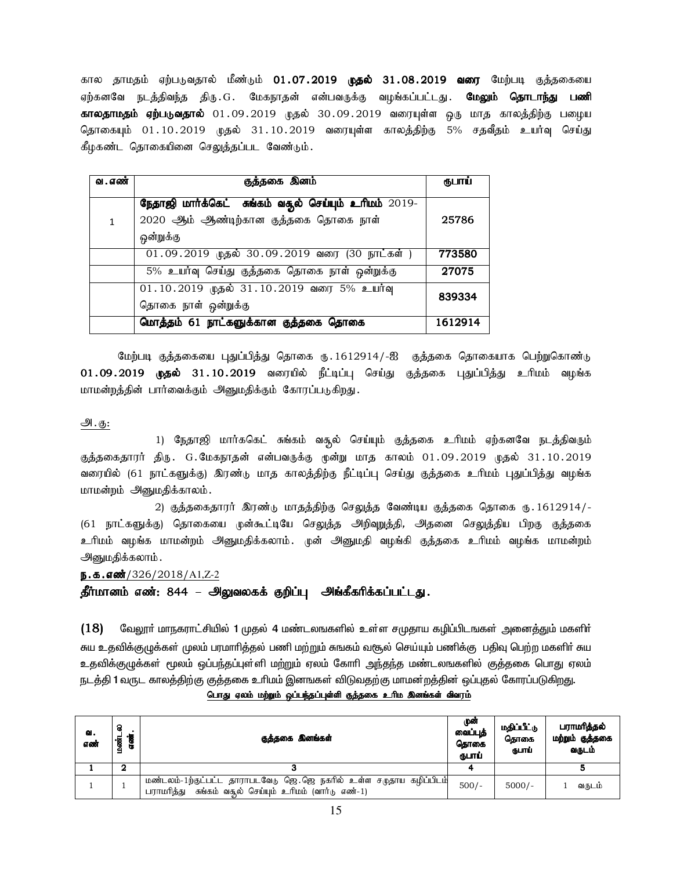கால தாமதம் ஏற்படுவதால் மீண்டும் 01**.07.2019 முதல் 31.08.2019 வரை** மேற்படி குத்தகையை ஏற்கனவே நடத்திவந்த திரு.G. மேகநாதன் என்பவருக்கு வழங்கப்பட்டது**. மேலும் தொடாந்து பணி காலதாமதம் ஏற்படுவதால்** 01.09.2019 முதல் 30.09.2019 வரையுள்ள ஒரு மாத காலத்திற்கு பழைய தொகையும் 01.10.2019 முதல் 31.10.2019 வரையுள்ள காலத்திற்கு 5% சதவீதம் உயர்வு செய்து கீழகண்ட தொகையினை செலுத்தப்பட வேண்டும்.

| வ . எண்      | குத்தகை இனம்                                          | ருபாய்  |
|--------------|-------------------------------------------------------|---------|
|              | நேதாஜி மார்க்கெட் சுங்கம் வதுல் செய்யும் உரிமம் 2019- |         |
| $\mathbf{1}$ | 2020 ஆம் ஆண்டிற்கான குத்தகை தொகை நாள்                 | 25786   |
|              | ஒன்றுக்கு                                             |         |
|              | 01.09.2019 முதல் 30.09.2019 வரை (30 நாட்கள்)          | 773580  |
|              | 5% உயர்வு செய்து குத்தகை தொகை நாள் ஒன்றுக்கு          | 27075   |
|              | 01.10.2019 முதல் 31.10.2019 வரை 5% உயர்வு             | 839334  |
|              | தொகை நாள் ஒன்றுக்கு                                   |         |
|              | மொத்தம் 61 நாட்களுக்கான குத்தகை தொகை                  | 1612914 |

மேற்படி குத்தகையை புதுப்பித்து தொகை ரு. 1612914/-ஐ குத்தகை தொகையாக பெற்றுகொண்டு  $01.09.2019$  முதல்  $31.10.2019$  வரையில் நீட்டிப்பு செய்து குத்தகை புதுப்பித்து உரிமம் வழங்க மாமன்றத்தின் பார்வைக்கும் அனுமதிக்கும் கோரப்படுகிறது.

### m.F:

1) நேதாஜி மார்ககெட் சுங்கம் வசூல் செய்யும் குத்தகை உரிமம் ஏற்கனவே நடத்திவரும் குத்தகைதாரர் திரு. G.மேகநாதன் என்பவருக்கு முன்று மாத காலம் 01.09.2019 முதல் 31.10.2019 வரையில் (61 நாட்களுக்கு) இரண்டு மாத காலத்திற்கு நீட்டிப்பு செய்து குத்தகை உரிமம் புதுப்பித்து வழங்க மாமன்றம் அனுமதிக்காலம்.

2) குத்தகைதாரர் இரண்டு மாதத்திற்கு செலுத்த வேண்டிய குத்தகை தொகை ரு. 1612914/-(61 நாட்களுக்கு) தொகையை முன்கூட்டியே செலுத்த அறிவுறுத்தி, அதனை செலுத்திய பிறகு குத்தகை உரிமம் வழங்க மாமன்றம் அனுமதிக்கலாம். முன் அனுமதி வழங்கி குத்தகை உரிமம் வழங்க மாமன்றம் அனுமதிக்கலாம்.

ந.க.எண்்/ $326/2018/A1$ , $Z$ -2

தீர்மானம் எண்: 844 – அலுவலகக் குறிப்பு அங்கீகரிக்கப்பட்டது.

 $(18)$  மேலூா் மாநகராட்சியில் 1 முதல் 4 மண்டலஙகளில் உள்ள சமுதாய கழிப்பிடஙகள் அனைத்தும் மகளிா் சுய உதவிக்குழுக்கள் முலம் பரமாரித்தல் பணி மற்றும் சுஙகம் வசூல் செய்யும் பணிக்கு பதிவு பெற்ற மகளிர் சுய உதவிக்குழுக்கள் மூலம் ஒப்பந்தப்புள்ளி மற்றும் ஏலம் கோரி அந்தந்த மண்டலஙகளில் குத்தகை பொது ஏலம் நடத்தி 1 வருட காலத்திற்கு குத்தகை உரிமம் இனஙகள் விடுவதற்கு மாமன்றத்தின் ஒப்புதல் கோரப்படுகி<u>றது</u>.

| ല.<br>எண் | s<br>'हु<br>8.<br>ভ<br>ے | குத்தகை இனங்கள்                                                                                                                  | முன்<br>வைப்புத்<br>தொகை<br>ருபாப் | மதிப்பீட்டு<br>கொகை<br>நபாப் | பராமரித்தல்<br>மற்றும் குத்தகை<br>வருடம் |
|-----------|--------------------------|----------------------------------------------------------------------------------------------------------------------------------|------------------------------------|------------------------------|------------------------------------------|
|           | 2                        |                                                                                                                                  |                                    |                              |                                          |
|           |                          | மண்டலம்-1ற்குட்பட்ட தாராபடவேடு ஜெ.ஜெ நகரில் உள்ள சமுதாய கழிப்பிடம்<br>சுங்கம் வசூல் செய்யும் உரிமம் (வார்டு எண்-1)<br>பராமரித்து | $500/-$                            | $5000/-$                     | வருடம்                                   |

<u>பொது ஏலம் மற்றும் ஒப்பந்தப்புள்ளி குத்தகை உரிம இனங்கள் விவரம்</u>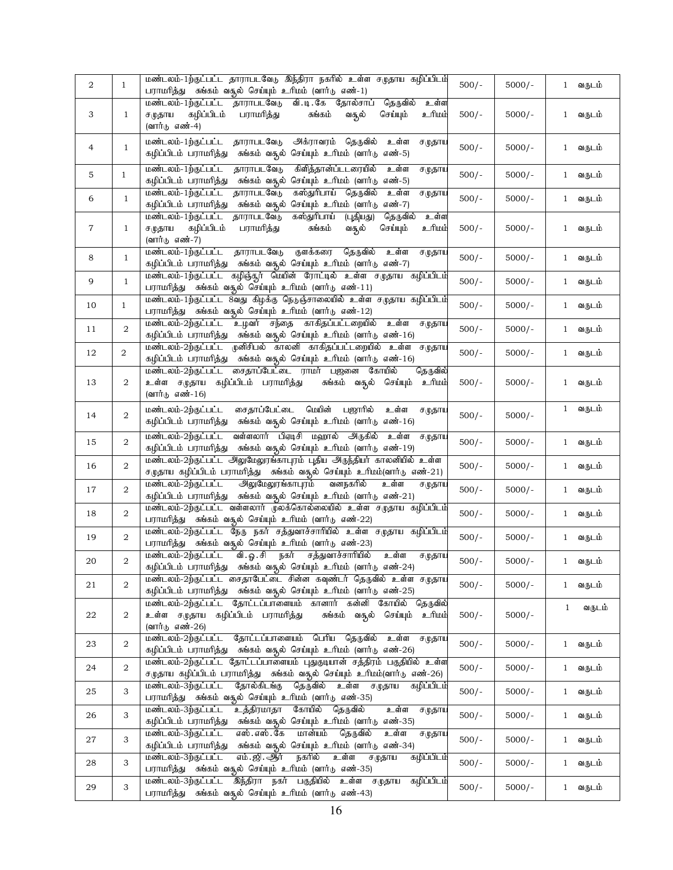| 2              | $\mathbf{1}$   | மண்டலம்-1ற்குட்பட்ட தாராபடவேடு இந்திரா நகரில் உள்ள சமுதாய கழிப்பிடம்<br>பராமரித்து சுங்கம் வசூல் செய்யும் உரிமம் (வார்டு எண்-1)                                                                           | $500/-$ | $5000/-$ | வருடம்<br>$\mathbf{1}$ |
|----------------|----------------|-----------------------------------------------------------------------------------------------------------------------------------------------------------------------------------------------------------|---------|----------|------------------------|
| 3              | $\mathbf{1}$   | மண்டலம்-1ற்குட்பட்ட தாராபடவேடு<br>வி.டி.கே தோல்சாப்<br>தெருவில்<br>உள்ள<br>கழிப்பிடம்<br>பராமரித்து<br>சுங்கம்<br>செய்யும்<br><u>ப்பரிடீ</u><br>ச $(\mu$ தாய<br>வசூல்                                     | $500/-$ | $5000/-$ | வருடம்<br>$\mathbf{1}$ |
|                |                | (வார்டு எண்-4)                                                                                                                                                                                            |         |          |                        |
| $\overline{4}$ | $\mathbf{1}$   | மண்டலம்-1ற்குட்பட்ட<br>தாராபடவேடு<br>அக்ராவரம் தெருவில்<br>உள்ள<br>ச $(\mathfrak{p}\text{-}\mathfrak{g}\text{-}\mathfrak{m})$<br>கழிப்பிடம் பராமரித்து<br>சுங்கம் வசூல் செய்யும் உரிமம் (வார்டு<br>எண்-5) | $500/-$ | $5000/-$ | வருடம்<br>1            |
| 5              | $\mathbf{1}$   | தாராபடவேடு<br>மண்டலம்-1ற்குட்பட்ட<br>கிளித்தான்ப்டடரையில்<br>உள்ள<br>ச $(\mathfrak{p}\mathfrak{S}\Pi\blacksquare$<br>கழிப்பிடம் பராமரித்து<br>சுங்கம் வசூல் செய்யும் உரிமம் (வார்டு<br>எண்-5)             | $500/-$ | $5000/-$ | வருடம்<br>$\mathbf{1}$ |
| 6              | $\mathbf{1}$   | மண்டலம்-1ற்குட்பட்ட<br>கஸ்துரிபாய் தெருவில்<br>தாராபடவேடு<br>உள்ள<br>ச $(\mathfrak{p}\text{-}\mathfrak{g}\text{-}\mathfrak{m})$<br>கழிப்பிடம் பராமரித்து<br>சுங்கம் வசூல் செய்யும் உரிமம் (வார்டு எண்-7)  | $500/-$ | $5000/-$ | வருடம்<br>$\mathbf{1}$ |
| $\overline{7}$ | $\mathbf{1}$   | மண்டலம்-1ற்குட்பட்ட<br>தாராபடவேடு<br>கஸ்துரிபாய் (புதியது)<br>தெருவில்<br>உள்ள<br>சமுதாய<br>கழிப்பிடம்<br>பராமரித்து<br>செய்யும்<br><u>ப்பரிடீ</u><br>சுங்கம்<br>வசூல்<br>(வார்டு எண்-7)                  | $500/-$ | $5000/-$ | வருடம்<br>$\mathbf{1}$ |
| 8              | $\mathbf{1}$   | மண்டலம்-1ற்குட்பட்ட<br>தாராபடவேடு<br>குளக்கரை<br>தெருவில்<br>உள்ள<br>சமுதாய<br>கழிப்பிடம் பராமரித்து சுங்கம் வசூல் செய்யும் உரிமம் (வார்டு எண்-7)                                                         | $500/-$ | $5000/-$ | வருடம்<br>$\mathbf{1}$ |
| 9              | $\mathbf{1}$   | மண்டலம்-1ற்குட்பட்ட கழிஞ்சூர் மெயின் ரோட்டில் உள்ள சமுதாய கழிப்பிடம்<br>பராமரித்து சுங்கம் வசூல் செய்யும் உரிமம் (வார்டு எண்-11)                                                                          | $500/-$ | $5000/-$ | வருடம்<br>$\mathbf{1}$ |
| 10             | $\mathbf{1}$   | மண்டலம்-1ற்குட்பட்ட 8வது கிழக்கு நெடுஞ்சாலையில் உள்ள சமுதாய கழிப்பிடம்<br>பராமரித்து சுங்கம் வசூல் செய்யும் உரிமம் (வார்டு எண்-12)                                                                        | $500/-$ | $5000/-$ | வருடம்<br>$\mathbf{1}$ |
| 11             | 2              | உழவர் சந்தை காகிதப்பட்டறையில் உள்ள சமுதாய<br>மண்டலம்-2ற்குட்பட்ட<br>கழிப்பிடம் பராமரித்து சுங்கம் வதல் செய்யும் உரிமம் (வார்டு எண்-16)                                                                    | $500/-$ | $5000/-$ | வருடம்<br>$\mathbf{1}$ |
| 12             | $\overline{2}$ | மண்டலம்-2ற்குட்பட்ட முனிசிபல் காலனி காகிதப்பட்டறையில் உள்ள சமுதாய<br>கழிப்பிடம் பராமரித்து சுங்கம் வதல் செய்யும் உரிமம் (வார்டு எண்-16)                                                                   | $500/-$ | $5000/-$ | வருடம்<br>$\mathbf{1}$ |
| 13             | 2              | சைதாப்பேட்டை ராமர் பஜனை கோயில்<br>மண்டலம்-2ற்குட்பட்ட<br>தெருவில்<br>உள்ள சமுதாய கழிப்பிடம் பராமரித்து<br>சுங்கம் வசூல்<br>செய்யும்<br><u>ப்</u> யிட உ<br>(வார்டு எண்-16)                                 | $500/-$ | $5000/-$ | $\mathbf{1}$<br>வருடம் |
| 14             | 2              | மெயின் பஜாரில்<br>மண்டலம்-2ற்குட்பட்ட<br>சைதாப்பேட்டை<br>உள்ள<br>சமுதாய<br>கழிப்பிடம் பராமரித்து சுங்கம் வதல் செய்யும் உரிமம் (வார்டு எண்-16)                                                             | $500/-$ | $5000/-$ | 1<br>வருடம்            |
| 15             | 2              | வள்ளலார் பிஏடிசி மஹால் அருகில்<br>மண்டலம்-2ற்குட்பட்ட<br>உள்ள<br>சமுதாய<br>கழிப்பிடம் பராமரித்து சுங்கம் வசூல் செய்யும் உரிமம் (வார்டு எண்-19)                                                            | $500/-$ | $5000/-$ | வருடம்<br>$\mathbf{1}$ |
| 16             | $\overline{2}$ | மண்டலம்-2ற்குட்பட்ட அலுமேலூங்காபுரம் புதிய அருந்தியா் காலனியில் உள்ள<br>சமுதாய கழிப்பிடம் பராமரித்து கங்கம் வதூல் செய்யும் உரிமம்(வார்டு எண்-21)                                                          | $500/-$ | $5000/-$ | வருடம்<br>$\mathbf{1}$ |
| 17             | 2              | <u> அலுமேலூங்காபுரம்</u><br>மண்டலம்-2ற்குட்பட்ட<br>வனநகரில்<br>உள்ள<br>சமுதாய<br>கழிப்பிடம் பராமரித்து சுங்கம் வசூல் செய்யும் உரிமம் (வார்டு எண்-21)                                                      | $500/-$ | $5000/-$ | வருடம்<br>$\mathbf{1}$ |
| 18             | 2              | மண்டலம்-2ற்குட்பட்ட வள்ளலார் முலக்கொல்லையில் உள்ள சமுதாய கழிப்பிடம்<br>பராமரித்து சுங்கம் வதுல் செய்யும் உரிமம் (வார்டு எண்-22)                                                                           | $500/-$ | $5000/-$ | வருடம்<br>$\mathbf{1}$ |
| 19             | 2              | மண்டலம்-2ற்குட்பட்ட நேரு நகர் சத்துவாச்சாரியில் உள்ள சமுதாய கழிப்பிடம்<br>பராமரித்து சுங்கம் வசூல் செய்யும் உரிமம் (வார்டு எண்-23)                                                                        | $500/-$ | $5000/-$ | வருடம்<br>$\mathbf{1}$ |
| 20             | 2              | வி.ஓ.சி நகர் சத்துவாச்சாரியில்<br>மண்டலம்-2ற்குட்பட்ட<br>உள்ள<br>ச $(\mathfrak{p}\mathfrak{S}\Pi\blacksquare$<br>கழிப்பிடம் பராமரித்து   சுங்கம் வதூல் செய்யும்  உரிமம்  (வார்டு  எண்-24)                 | $500/-$ | $5000/-$ | வருடம்<br>1            |
| 21             | 2              | மண்டலம்-2ற்குட்பட்ட சைதாபேட்டை சின்ன கவுண்டர் தெருவில் உள்ள சமுதாய<br>கழிப்பிடம் பராமரித்து சுங்கம் வசூல் செய்யும் உரிமம் (வார்டு எண்-25)                                                                 | $500/-$ | $5000/-$ | $\mathbf{1}$<br>வருடம் |
| 22             | 2              | மண்டலம்-2ற்குட்பட்ட தோட்டப்பாளையம் கானார் கன்னி<br>கோயில்<br>தெருவில்<br>உள்ள சமுதாய கழிப்பிடம் பராமரித்து<br>சுங்கம்<br>வசூல் செய்யும்<br><u>ப்யிர் உ</u><br>(வார்டு எண்-26)                             | $500/-$ | $5000/-$ | வருடம்<br>1            |
| 23             | 2              | தோட்டப்பாளையம் பெரிய தெருவில்<br>மண்டலம்-2ற்குட்பட்ட<br>உள்ள<br>ச $(\mathfrak{p}\mathfrak{B}$ ாய<br>கழிப்பிடம் பராமரித்து சுங்கம் வதுல் செய்யும் உரிமம் (வார்டு எண்-26)                                   | $500/-$ | $5000/-$ | வருடம்<br>$\mathbf{1}$ |
| 24             | 2              | மண்டலம்-2ற்குட்பட்ட தோட்டப்பாளையம் புதுகுடியான் சத்திரம் பகுதியில் உள்ள<br>சமுதாய கழிப்பிடம் பராமரித்து சுங்கம் வசூல் செய்யும் உரிமம்(வார்டு எண்-26)                                                      | $500/-$ | $5000/-$ | வருடம்<br>$\mathbf{1}$ |
| 25             | 3              | தோல்கிடங்கு<br>மண்டலம்-3ற்குட்பட்ட<br>தெருவில் உள்ள சமுதாய<br>கழிப்பிடம்<br>பராமரித்து சுங்கம் வசூல் செய்யும் உரிமம் (வார்டு எண்-35)                                                                      | $500/-$ | $5000/-$ | வருடம்<br>$\mathbf{1}$ |
| 26             | 3              | உத்திரமாதா<br>கோயில் தெருவில்<br>மண்டலம்-3ற்குட்பட்ட<br>உள்ள<br>சமுதாய<br>சுங்கம் வசூல் செய்யும் உரிமம் (வார்டு எண்-35)<br>கழிப்பிடம் பராமரித்து                                                          | $500/-$ | $5000/-$ | வருடம்<br>$\mathbf{1}$ |
| 27             | 3              | மான்யம்<br>தெருவில்<br>மண்டலம்-3ற்குட்பட்ட<br>எஸ். எஸ். கே<br>உள்ள<br>சமுதாய<br>சுங்கம் வதூல் செய்யும் உரிமம் (வார்டு எண்-34)<br>கழிப்பிடம் பராமரித்து                                                    | $500/-$ | $5000/-$ | வருடம்<br>$\mathbf{1}$ |
| 28             | 3              | மண்டலம்-3ற்குட்பட்ட<br>எம். ஜி. ஆர்<br>நகரில்<br>உள்ள<br>கழிப்பிடம்<br>சமுதாய<br>பராமரித்து சுங்கம் வசூல் செய்யும் உரிமம் (வார்டு எண்-35)                                                                 | $500/-$ | $5000/-$ | வருடம்<br>$\mathbf{1}$ |
| 29             | 3              | இந்திரா நகர் பகுதியில் உள்ள சமுதாய<br>மண்டலம்-3ற்குட்பட்ட<br>கழிப்பிடம்<br>பராமரித்து சுங்கம் வதுல் செய்யும் உரிமம் (வார்டு எண்-43)                                                                       | $500/-$ | $5000/-$ | வருடம்<br>$\mathbf{1}$ |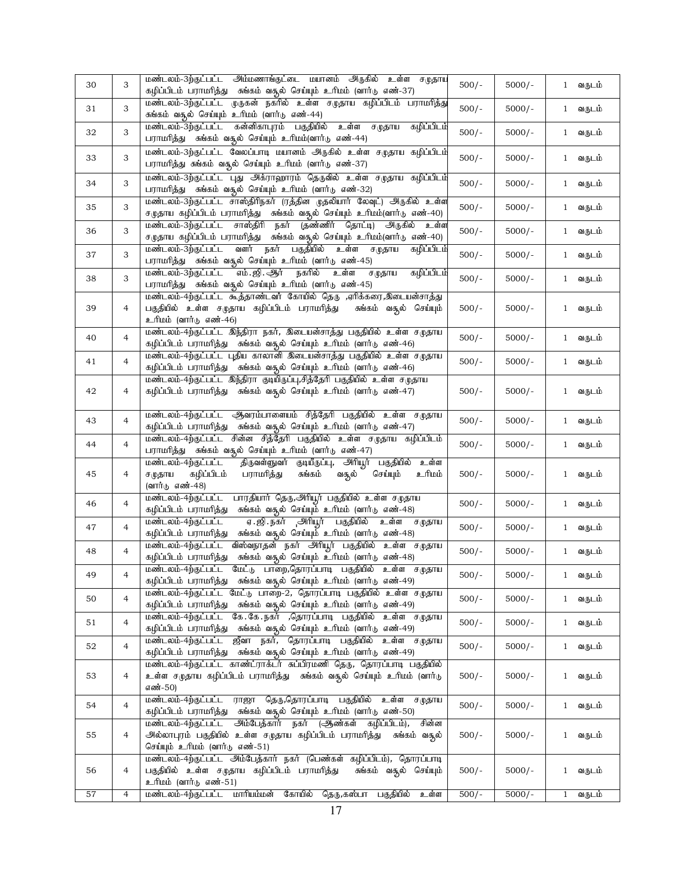| 30 | 3              | மண்டலம்-3ற்குட்பட்ட அம்மணாங்குட்டை மயானம் அருகில் உள்ள சமுதாய<br>கழிப்பிடம் பராமரித்து சுங்கம் வசூல் செய்யும் உரிமம் (வார்டு எண்-37)                                                                                                    | $500/-$ | $5000/-$ | 1 வருடம்               |
|----|----------------|-----------------------------------------------------------------------------------------------------------------------------------------------------------------------------------------------------------------------------------------|---------|----------|------------------------|
| 31 | 3              | மண்டலம்-3ற்குட்பட்ட முருகன் நகரில் உள்ள சமுதாய கழிப்பிடம் பராமரித்து                                                                                                                                                                    | $500/-$ | $5000/-$ | வருடம்<br>$\mathbf{1}$ |
|    |                | சுங்கம் வசூல் செய்யும் உரிமம் (வார்டு எண்-44)<br>மண்டலம்-3ற்குட்பட்ட கன்னிகாபுரம் பகுதியில் உள்ள<br>கழிப்பிடம்<br>சமுதாய                                                                                                                |         |          |                        |
| 32 | 3              | பராமரித்து சுங்கம் வதுல் செய்யும் உரிமம்(வார்டு எண்-44)                                                                                                                                                                                 | $500/-$ | $5000/-$ | 1 வருடம்               |
| 33 | 3              | மண்டலம்-3ற்குட்பட்ட வேலப்பாடி மயானம் அருகில் உள்ள சமுதாய கழிப்பிடம்<br>பராமரித்து சுங்கம் வதூல் செய்யும் உரிமம் (வார்டு எண்-37)                                                                                                         | $500/-$ | $5000/-$ | வருடம்<br>$\mathbf{1}$ |
| 34 | 3              | மண்டலம்-3ற்குட்பட்ட புது அக்ராஹாரம் தெருவில் உள்ள சமுதாய கழிப்பிடம்<br>பராமரித்து சுங்கம் வசூல் செய்யும் உரிமம் (வார்டு எண்-32)                                                                                                         | $500/-$ | $5000/-$ | வருடம்<br>$\mathbf{1}$ |
| 35 | 3              | மண்டலம்-3ற்குட்பட்ட சாஸ்திரிநகர் (ரத்தின முதலியார் லேவுட்) அருகில் உள்ள<br>சமுதாய கழிப்பிடம் பராமரித்து கங்கம் வதுல் செய்யும் உரிமம்(வார்டு எண்-40)                                                                                     | $500/-$ | $5000/-$ | வருடம்<br>$\mathbf{1}$ |
| 36 | 3              | மண்டலம்-3ற்குட்பட்ட சாஸ்திரி நகர் (தண்ணிர் தொட்டி) அருகில் உள்ள<br>சமுதாய கழிப்பிடம் பராமரித்து கங்கம் வதூல் செய்யும் உரிமம்(வார்டு எண்-40)                                                                                             | $500/-$ | $5000/-$ | வருடம்<br>$\mathbf{1}$ |
| 37 | 3              | வளர்<br>நகர்<br>பகுதியில் உள்ள<br>மண்டலம்-3ற்குட்பட்ட<br>கழிப்பிடம்<br>சமுதாய<br>பராமரித்து சுங்கம் வதுல் செய்யும் உரிமம் (வார்டு எண்-45)                                                                                               | $500/-$ | $5000/-$ | 1 வருடம்               |
| 38 | 3              | எம். ஜி. ஆர்<br>நகரில்<br>மண்டலம்-3ற்குட்பட்ட<br>உள்ள<br>கழிப்பிடம்<br>சமுதாய<br>பராமரித்து சுங்கம் வதுல் செய்யும் உரிமம் (வார்டு எண்-45)                                                                                               | $500/-$ | $5000/-$ | 1 வருடம்               |
| 39 | 4              | மண்டலம்-4ற்குட்பட்ட கூத்தாண்டவர் கோயில் தெரு ,ஏரிக்கரை,இடையன்சாத்து<br>பகுதியில் உள்ள சமுதாய கழிப்பிடம் பராமரித்து<br>சுங்கம் வசூல் செய்யும்<br>உரிமம் (வார்டு எண்-46)                                                                  | $500/-$ | $5000/-$ | வருடம்<br>$\mathbf{1}$ |
| 40 | 4              | மண்டலம்-4ற்குட்பட்ட இந்திரா நகர், இடையன்சாத்து பகுதியில் உள்ள சமுதாய<br>கழிப்பிடம் பராமரித்து சுங்கம் வதல் செய்யும் உரிமம் (வார்டு எண்-46)                                                                                              | $500/-$ | $5000/-$ | வருடம்<br>$\mathbf{1}$ |
| 41 | $\overline{4}$ | மண்டலம்-4ற்குட்பட்ட புதிய காலானி இடையன்சாத்து பகுதியில் உள்ள சமுதாய<br>கழிப்பிடம் பராமரித்து சுங்கம் வதூல் செய்யும் உரிமம் (வார்டு எண்-46)                                                                                              | $500/-$ | $5000/-$ | வருடம்<br>$\mathbf{1}$ |
| 42 | 4              | மண்டலம்-4ற்குட்பட்ட இந்திரா குடியிருப்பு,சித்தேரி பகுதியில் உள்ள சமுதாய<br>கழிப்பிடம் பராமரித்து சுங்கம் வதூல் செய்யும் உரிமம் (வார்டு எண்-47)                                                                                          | $500/-$ | $5000/-$ | வருடம்<br>$\mathbf{1}$ |
| 43 | 4              | மண்டலம்-4ற்குட்பட்ட ஆவரம்பாளையம் சித்தேரி பகுதியில் உள்ள சமுதாய<br>கழிப்பிடம் பராமரித்து சுங்கம் வதுல் செய்யும் உரிமம் (வார்டு எண்-47)                                                                                                  | $500/-$ | $5000/-$ | வருடம்<br>$\mathbf{1}$ |
| 44 | $\overline{4}$ | மண்டலம்-4ற்குட்பட்ட<br>சின்ன சித்தேரி பகுதியில் உள்ள சமுதாய கழிப்பிடம்<br>பராமரித்து சுங்கம் வதுல் செய்யும் உரிமம் (வார்டு எண்-47)                                                                                                      | $500/-$ | $5000/-$ | வருடம்<br>$\mathbf{1}$ |
| 45 | 4              | திருவள்ளுவர் குடியீருப்பு, அரியூர் பகுதியில் உள்ள<br>மண்டலம்-4ற்குட்பட்ட<br>கழிப்பிடம்<br><u>ப்பரி உ</u><br>பராமரித்து<br>செய்யும்<br>ச $(\mathfrak{p}\text{-}\mathfrak{g}\text{-}\mathfrak{m})$<br>சுங்கம்<br>வசூல்<br>(வார்டு எண்-48) | $500/-$ | $5000/-$ | வருடம்<br>$\mathbf{1}$ |
| 46 | $\overline{4}$ | பாரதியார் தெரு,அரியூர் பகுதியில் உள்ள சமுதாய<br>மண்டலம்-4ற்குட்பட்ட<br>சுங்கம் வதல் செய்யும் உரிமம் (வார்டு எண்-48)<br>கழிப்பிடம் பராமரித்து                                                                                            | $500/-$ | $5000/-$ | வருடம்<br>$\mathbf{1}$ |
| 47 | 4              | <u>ஏ.ஜி.நகர் அரியூர் பகுதியில் உள்ள சமுதாய</u><br>மண்டலம்-4ற்குட்பட்ட<br>கழிப்பிடம் பராமரித்து<br>சுங்கம் வசூல் செய்யும் உரிமம் (வார்டு எண்-48)                                                                                         | $500/-$ | $5000/-$ | 1 வருடம்               |
| 48 | $\overline{4}$ | விஸ்வநாதன் நகர் அரியூர் பகுதியில் உள்ள சமுதாய<br>மண்டலம்-4ற்குட்பட்ட<br>சுங்கம் வதூல் செய்யும் உரிமம் (வார்டு எண்-48)<br>கழிப்பிடம் பராமரித்து                                                                                          | $500/-$ | $5000/-$ | 1 வருடம்               |
| 49 | 4              | மண்டலம்-4ற்குட்பட்ட மேட்டு பாறை,தொரப்பாடி பகுதியில் உள்ள சமுதாய<br>கழிப்பிடம் பராமரித்து சுங்கம் வசூல் செய்யும் உரிமம் (வார்டு எண்-49)                                                                                                  | $500/-$ | $5000/-$ | 1 வருடம்               |
| 50 | 4              | மண்டலம்-4ற்குட்பட்ட மேட்டு பாறை-2, தொரப்பாடி பகுதியில் உள்ள சமுதாய<br>கழிப்பிடம் பராமரித்து சுங்கம் வசூல் செய்யும் உரிமம் (வார்டு எண்-49)                                                                                               | $500/-$ | $5000/-$ | வருடம்<br>$\mathbf{1}$ |
| 51 | 4              | கே.கே.நகர் ,தொரப்பாடி பகுதியில் உள்ள சமுதாய<br>மண்டலம்-4ற்குட்பட்ட<br>கழிப்பிடம் பராமரித்து சுங்கம் வதுல் செய்யும் உரிமம் (வார்டு எண்-49)                                                                                               | $500/-$ | $5000/-$ | வருடம்<br>$\mathbf{1}$ |
| 52 | $\overline{4}$ | மண்டலம்-4ற்குட்பட்ட ஜீவா நகர், தொரப்பாடி பகுதியில் உள்ள சமுதாய<br>கழிப்பிடம் பராமரித்து – சுங்கம் வதூல் செய்யும் உரிமம் (வார்டு எண்-49)                                                                                                 | $500/-$ | $5000/-$ | 1 வருடம்               |
| 53 | 4              | மண்டலம்-4ற்குட்பட்ட காண்ட்ராக்டர் சுப்பிரமணி தெரு, தொரப்பாடி பகுதியில்<br>உள்ள சமுதாய கழிப்பிடம் பராமரித்து – சுங்கம் வசூல் செய்யும் உரிமம் (வார்டு<br>எண்-50)                                                                          | $500/-$ | $5000/-$ | வருடம்<br>1            |
| 54 | $\overline{4}$ | மண்டலம்-4ற்குட்பட்ட ராஜா தெரு,தொரப்பாடி பகுதியில் உள்ள சமுதாய<br>கழிப்பிடம் பராமரித்து சுங்கம் வதல் செய்யும் உரிமம் (வார்டு எண்-50)                                                                                                     | $500/-$ | $5000/-$ | 1 வருடம்               |
| 55 | 4              | அம்பேத்கார் நகர் (ஆண்கள் கழிப்பிடம்),<br>சின்ன<br>மண்டலம்-4ற்குட்பட்ட<br>அல்லாபுரம் பகுதியில் உள்ள சமுதாய கழிப்பிடம் பராமரித்து<br>சுங்கம் வசூல்<br>செய்யும் உரிமம் (வார்டு எண்-51)                                                     | $500/-$ | $5000/-$ | வருடம்<br>$\mathbf{1}$ |
|    |                | மண்டலம்-4ற்குட்பட்ட அம்பேத்கார் நகர் (பெண்கள் கழிப்பிடம்), தொரப்பாடி                                                                                                                                                                    |         |          |                        |
| 56 | 4              | பகுதியில் உள்ள சமுதாய கழிப்பிடம் பராமரித்து<br>சுங்கம் வசூல் செய்யும்<br>உரிமம் (வார்டு எண்-51)                                                                                                                                         | $500/-$ | $5000/-$ | வருடம்<br>$\mathbf{1}$ |
| 57 | $\overline{4}$ | மண்டலம்-4ற்குட்பட்ட<br>மாரியம்மன்<br>கோயில்<br>தெரு,கஸ்பா பகுதியில்<br>உள்ள                                                                                                                                                             | $500/-$ | $5000/-$ | $\mathbf{1}$<br>வருடம் |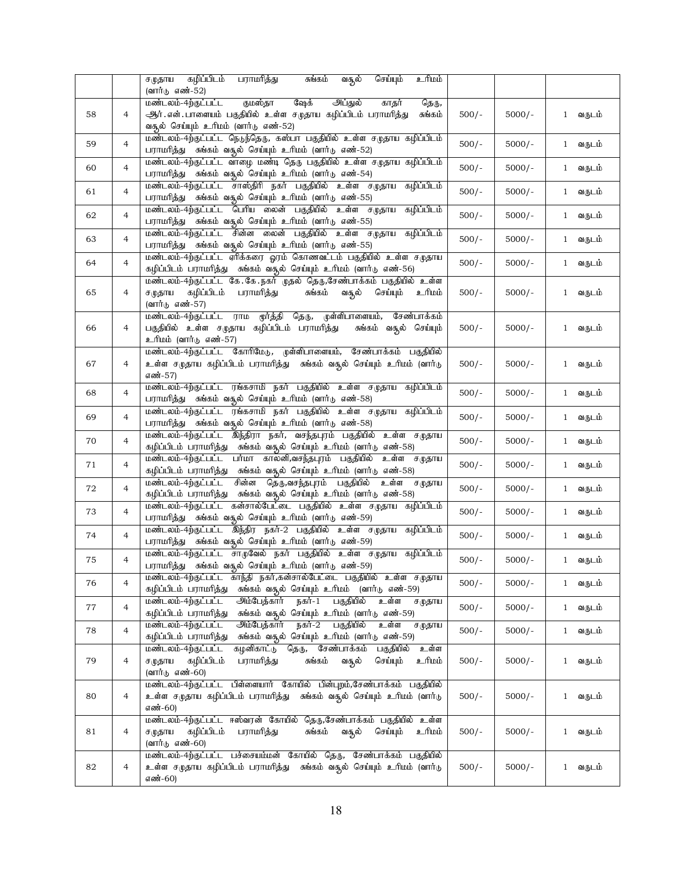|    |                | சமுதாய கழிப்பிடம்<br>பராமரித்து<br><u>ப்புரி உ</u><br>சுங்கம்<br>வசூல்<br>செய்யும்                                                                                   |         |          |                        |
|----|----------------|----------------------------------------------------------------------------------------------------------------------------------------------------------------------|---------|----------|------------------------|
|    |                | (வார்டு எண்-52)<br>ஷேக்<br>குமஸ்தா<br>அப்துல்<br>தெரு,<br>மண்டலம்-4ற்குட்பட்ட<br>காதர்                                                                               |         |          |                        |
| 58 | 4              | ஆர். என். பாளையம் பகுதியில் உள்ள சமுதாய கழிப்பிடம் பராமரித்து<br>சுங்கம்                                                                                             | $500/-$ | $5000/-$ | 1 வருடம்               |
|    |                | வசூல் செய்யும் உரிமம் (வார்டு எண்-52)                                                                                                                                |         |          |                        |
| 59 | 4              | மண்டலம்-4ற்குட்பட்ட நெடுந்தெரு, கஸ்பா பகுதியில் உள்ள சமுதாய கழிப்பிடம்<br>பராமரித்து சுங்கம் வசூல் செய்யும் உரிமம் (வார்டு எண்-52)                                   | $500/-$ | $5000/-$ | 1 வருடம்               |
| 60 | 4              | மண்டலம்-4ற்குட்பட்ட வாழை மண்டி தெரு பகுதியில் உள்ள சமுதாய கழிப்பிடம்<br>பராமரித்து சுங்கம் வதுல் செய்யும் உரிமம் (வார்டு எண்-54)                                     | $500/-$ | $5000/-$ | 1 வருடம்               |
| 61 | $\overline{4}$ | மண்டலம்-4ற்குட்பட்ட சாஸ்திரி நகர் பகுதியில் உள்ள சமுதாய<br>கழிப்பிடம்<br>பராமரித்து சுங்கம் வசூல் செய்யும் உரிமம் (வார்டு எண்-55)                                    | $500/-$ | $5000/-$ | 1 வருடம்               |
| 62 | $\overline{4}$ | மண்டலம்-4ற்குட்பட்ட பெரிய லைன் பகுதியில் உள்ள சமுதாய<br>கழிப்பிடம்                                                                                                   | $500/-$ | $5000/-$ | வருடம்<br>$\mathbf{1}$ |
| 63 | $\overline{4}$ | பராமரித்து சுங்கம் வதுல் செய்யும் உரிமம் (வார்டு எண்-55)<br>மண்டலம்-4ற்குட்பட்ட சின்ன லைன் பகுதியில் உள்ள சமுதாய கழிப்பிடம்                                          | $500/-$ | $5000/-$ | 1 வருடம்               |
|    |                | பராமரித்து சுங்கம் வதுல் செய்யும் உரிமம் (வார்டு எண்-55)<br>மண்டலம்-4ற்குட்பட்ட ஏரிக்கரை ஓரம் கொணவட்டம் பகுதியில் உள்ள சமுதாய                                        |         |          |                        |
| 64 | 4              | கழிப்பிடம் பராமரித்து சுங்கம் வதல் செய்யும் உரிமம் (வார்டு எண்-56)                                                                                                   | $500/-$ | $5000/-$ | 1 வருடம்               |
| 65 | 4              | மண்டலம்-4ற்குட்பட்ட கே.கே.நகர் முதல் தெரு,சேண்பாக்கம் பகுதியில் உள்ள<br>சமுதாய<br>கழிப்பிடம்<br>பராமரித்து<br>சுங்கம்<br>வசூல் செய்யும்<br>வ்பிடீ<br>(வார்டு எண்-57) | $500/-$ | $5000/-$ | 1 வருடம்               |
| 66 | 4              | மண்டலம்-4ற்குட்பட்ட ராம மூர்த்தி தெரு, முள்ளிபாளையம்,<br>சேண்பாக்கம்<br>பகுதியில் உள்ள சமுதாய கழிப்பிடம் பராமரித்து<br>சுங்கம் வசூல் செய்யும்                        | $500/-$ | $5000/-$ | வருடம்<br>$\mathbf{1}$ |
|    |                | உரிமம் (வார்டு எண்-57)                                                                                                                                               |         |          |                        |
| 67 | 4              | மண்டலம்-4ற்குட்பட்ட கோரிமேடு, முள்ளிபாளையம், சேண்பாக்கம் பகுதியில்<br>உள்ள சமுதாய கழிப்பிடம் பராமரித்து சுங்கம் வதுல் செய்யும் உரிமம் (வார்டு                        | $500/-$ | $5000/-$ | வருடம்<br>$\mathbf{1}$ |
|    |                | எண்-57)<br>மண்டலம்-4ற்குட்பட்ட ரங்கசாமி நகர் பகுதியில் உள்ள சமுதாய கழிப்பிடம்                                                                                        |         |          |                        |
| 68 | 4              | பராமரித்து சுங்கம் வசூல் செய்யும் உரிமம் (வார்டு எண்-58)<br>மண்டலம்-4ற்குட்பட்ட ரங்கசாமி நகர் பகுதியில் உள்ள சமுதாய கழிப்பிடம்                                       | $500/-$ | $5000/-$ | 1 வருடம்               |
| 69 | $\overline{4}$ | பராமரித்து சுங்கம் வசூல் செய்யும் உரிமம் (வார்டு எண்-58)                                                                                                             | $500/-$ | $5000/-$ | வருடம்<br>$\mathbf{1}$ |
| 70 | 4              | மண்டலம்-4ற்குட்பட்ட இந்திரா நகர், வசந்தபுரம் பகுதியில் உள்ள சமுதாய<br>கழிப்பிடம் பராமரித்து சுங்கம் வதல் செய்யும் உரிமம் (வார்டு எண்-58)                             | $500/-$ | $5000/-$ | வருடம்<br>$\mathbf{1}$ |
| 71 | 4              | மண்டலம்-4ற்குட்பட்ட பா்மா காலனி,வசந்தபுரம் பகுதியில் உள்ள சமுதாய<br>கழிப்பிடம் பராமரித்து சுங்கம் வதல் செய்யும் உரிமம் (வார்டு எண்-58)                               | $500/-$ | $5000/-$ | வருடம்<br>$\mathbf{1}$ |
| 72 | 4              | சின்ன தெரு,வசந்தபுரம் பகுதியில் உள்ள<br>மண்டலம்-4ற்குட்பட்ட<br>சமுதாய<br>கழிப்பிடம் பராமரித்து சுங்கம் வதல் செய்யும் உரிமம் (வார்டு எண்-58)                          | $500/-$ | $5000/-$ | 1 வருடம்               |
| 73 | 4              | மண்டலம்-4ற்குட்பட்ட கன்சால்பேட்டை பகுதியில் உள்ள சமுதாய கழிப்பிடம்<br>பராமரித்து சுங்கம் வசூல் செய்யும் உரிமம் (வார்டு எண்-59)                                       | $500/-$ | $5000/-$ | வருடம்<br>$\mathbf{1}$ |
| 74 | $\overline{4}$ | மண்டலம்-4ற்குட்பட்ட இந்திர நகர்-2 பகுதியில் உள்ள சமுதாய கழிப்பிடம்<br>பராமரித்து சுங்கம் வசூல் செய்யும் உரிமம் (வார்டு எண்-59)                                       | $500/-$ | $5000/-$ | வருடம்<br>$\mathbf{1}$ |
| 75 | 4              | மண்டலம்-4ற்குட்பட்ட சாழவேல் நகர் பகுதியில் உள்ள சமுதாய கழிப்பிடம்<br>பராமரித்து – சுங்கம் வதுல் செய்யும் உரிமம் (வார்டு எண்-59)                                      | $500/-$ | $5000/-$ | 1 வருடம்               |
| 76 | 4              | மண்டலம்-4ற்குட்பட்ட காந்தி நகர்,கன்சால்பேட்டை பகுதியில் உள்ள சமுதாய<br>சுங்கம் வதூல் செய்யும் உரிமம் (வார்டு எண்-59)<br>கழிப்பிடம் பராமரித்து                        | $500/-$ | $5000/-$ | 1 வருடம்               |
| 77 | 4              | நகர்-1 பகுதியில்<br>மண்டலம்-4ற்குட்பட்ட<br>அம்பேத்கார்<br>உள்ள<br>சமுதாய<br>சுங்கம் வசூல் செய்யும் உரிமம் (வார்டு எண்-59)<br>கழிப்பிடம் பராமரித்து                   | $500/-$ | $5000/-$ | 1 வருடம்               |
| 78 | $\overline{4}$ | அம்பேத்கார் நகர்-2 பகுதியில்<br>மண்டலம்-4ற்குட்பட்ட<br>உள்ள<br>சமுதாய<br>சுங்கம் வசூல் செய்யும் உரிமம் (வார்டு எண்-59)<br>கழிப்பிடம் பராமரித்து                      | $500/-$ | $5000/-$ | வருடம்<br>$\mathbf{1}$ |
|    |                | மண்டலம்-4ற்குட்பட்ட<br>கழனிகாட்டு தெரு, சேண்பாக்கம் பகுதியில்<br>உள்ள                                                                                                |         |          |                        |
| 79 | 4              | செய்யும்<br>ம்மரிடீ<br>ச முதாய<br>கழிப்பிடம்<br>பராமரித்து<br>சுங்கம்<br>வசூல்<br>(வார்டு எண்-60)                                                                    | $500/-$ | $5000/-$ | வருடம்<br>$\mathbf{1}$ |
| 80 | 4              | மண்டலம்-4ற்குட்பட்ட பிள்ளையார் கோயில் பின்புறம்,சேண்பாக்கம் பகுதியில்<br>உள்ள சமுதாய கழிப்பிடம் பராமரித்து சுங்கம் வசூல் செய்யும் உரிமம் (வார்டு<br>எண்-60)          | $500/-$ | $5000/-$ | 1 வருடம்               |
| 81 | 4              | மண்டலம்-4ற்குட்பட்ட ஈஸ்வரன் கோயில் தெரு,சேண்பாக்கம் பகுதியில் உள்ள<br>கழிப்பிடம் பராமரித்து<br>சுங்கம் வசூல் செய்யும்<br>ச $(\mu)$ தாய<br>வ்யிட உ<br>(வார்டு எண்-60) | $500/-$ | $5000/-$ | 1 வருடம்               |
| 82 | 4              | மண்டலம்-4ற்குட்பட்ட பச்சையம்மன் கோயில் தெரு, சேண்பாக்கம் பகுதியில்<br>உள்ள சமுதாய கழிப்பிடம் பராமரித்து   சுங்கம் வசூல் செய்யும்  உரிமம்  (வார்டு<br>எண்-60)         | $500/-$ | $5000/-$ | வருடம்<br>$\mathbf{1}$ |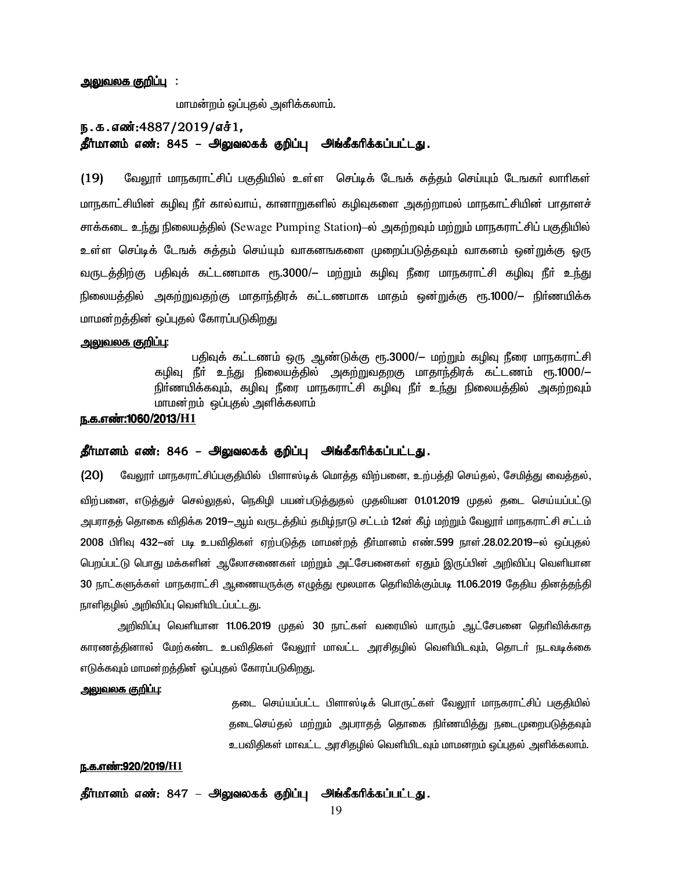#### <u>அலுவலக குறிப்பு</u> :

மாமன்றம் ஒப்புதல் அளிக்கலாம்.

### ந.க.எண்:4887/2019/எச்1, தீர்மானம் எண்: 845 – அலுவலகக் குறிப்பு அங்கீகரிக்கப்பட்டது.

(19) மேலூர் மாநகராட்சிப் பகுதியில் உள்ள செப்டிக் டேஙக் சுத்தம் செய்யும் டேஙகர் லாரிகள் மாநகாட்சியின் கழிவு நீா் கால்வாய், கானாறுகளில் கழிவுகளை அகற்றாமல் மாநகாட்சியின் பாதாளச் சாக்கடை உந்து நிலையத்தில் (Sewage Pumping Station)–ல் அகற்றவும் மற்றும் மாநகராட்சிப் பகுதியில் உள்ள செப்டிக் டேஙக் சுத்தம் செய்யும் வாகனஙகளை முறைப்படுத்தவும் வாகனம் ஒன<u>்று</u>க்கு ஒரு வருடத்திற்கு பதிவுக் கட்டணமாக ரூ.3000/– மற்றும் கழிவு நீரை மாநகராட்சி கழிவு நீர் உந்து நிலையத்தில் அகற்றுவதற்கு மாதாந்திரக் கட்டணமாக மாதம் ஒன்றுக்கு ரூ.1000/— நிா்ணயிக்க மாமன்றத்தின் ஒப்புதல் கோரப்படுகிறது

#### <u>அலுவலக குறிப்பு:</u>

பதிவுக் கட்டணம் ஒரு ஆண்டுக்கு ரூ.3000/— மற்றும் கழிவு நீரை மாநகராட்சி <u>கழிவு நீா் உந்து</u> நிலையத்தில் அகற்றுவதறகு மாதாந்திரக் கட்டணம் ரூ.1000/— நிா்ணயிக்கவும், கழிவு நீரை மாநகராட்சி கழிவு நீா் உந்து நிலையத்தில் அகற்றவும் மாமன்றம் ஒப்புதல் அளிக்கலாம்

#### ந.க.எண்:1060/2013/H1

### தீர்மானம் எண்: 846 – அலுவலகக் குறிப்பு அங்கீகரிக்கப்பட்டது.

 $(20)$  மேலூா் மாநகராட்சிப்பகுதியில் பிளாஸ்டிக் மொத்த விற்பனை, உற்பத்தி செய்தல், சேமித்து வைத்தல், விற்பனை, எடுத்துச் செல்லுதல், நெகிழி பயன்படுத்துதல் முதலியன 01.01.2019 முதல் தடை செய்யப்பட்டு அபராகக் கொகை விகிக்க 2019-ஆம் வருடக்கிய் கமிம்நாடு சட்டம் 12ன் கீம் மற்றும் வேலார் மாநகராட்சி சட்டம் . 2008 பிரிவு 432 $-$ ன் படி உபவிதிகள் ஏற்படுத்த மாமன்றத் தீா்மானம் எண்.599 நாள்.28.02.2019 $-$ ல் ஒப்புதல் பெறப்பட்டு பொது மக்களின் ஆலோசணைகள் மற்றும் அட்சேபனைகள் ஏதும் இருப்பின் அறிவிப்பு வெளியான 30 நாட்களுக்கள் மாநகராட்சி ஆணையருக்கு எழுத்து மூலமாக தெரிவிக்கும்படி 11.06.2019 தேதிய தினத்தந்தி நாளிதழில் அறிவிப்பு வெளியிடப்பட்டது.

அறிவிப்பு வெளியான 11.06.2019 முதல் 30 நாட்கள் வரையில் யாரும் ஆட்சேபனை தெரிவிக்காத காரணத்தினால் மேற்கண்ட உபவிதிகள் வேலூா் மாவட்ட அரசிதழில் வெளியிடவும், தொடா் நடவடிக்கை எடுக்கவும் மாமன்றத்தின் ஒப்புதல் கோரப்படுகிறது.

#### <u>அலுவலக குறிப்பு:</u>

தடை செய்யப்பட்ட பிளாஸ்டிக் பொருட்கள் வேலூர் மாநகராட்சிப் பகுதியில் தடைசெய்தல் மற்றும் அபராதத் தொகை நிர்ணயித்து நடைமுறைபடுத்தவும் உபவிதிகள் மாவட்ட அரசிதழில் வெளியிடவும் மாமனறம் ஒப்புதல் அளிக்கலாம்.

### <u>ந.க.எண்:920/2019/H1</u>

தீர்மானம் எண்: 847 – அலுவலகக் குறிப்பு அங்கீகரிக்கப்பட்டது.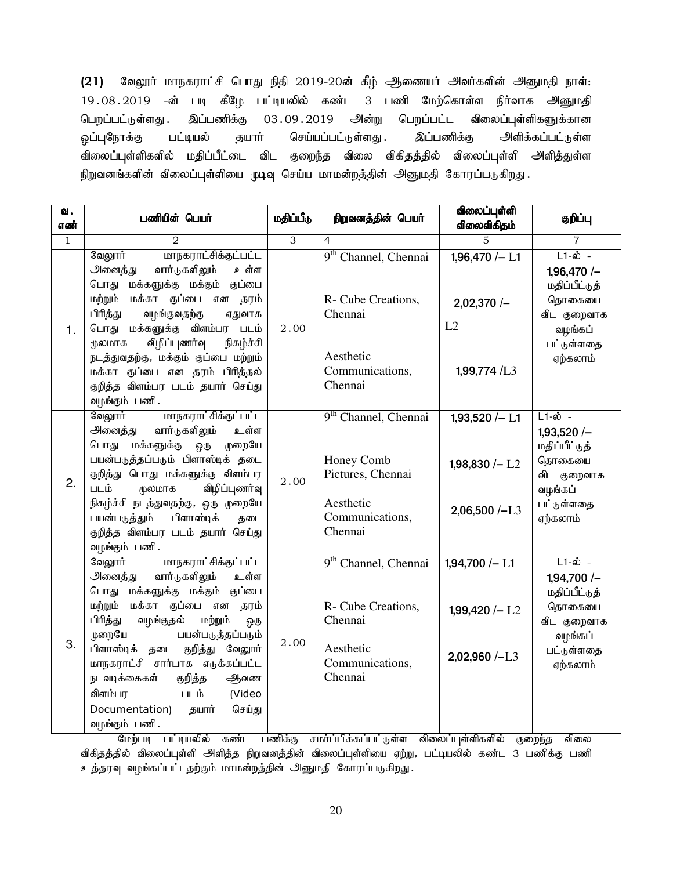$(21)$  வேலூர் மாநகராட்சி பொது நிதி 2019-20ன் கீழ் ஆணையர் அவர்களின் அனுமதி நாள்: 19.08.2019 -ன் படி கீழே பட்டியலில் கண்ட 3 பணி மேற்கொள்ள நிர்வாக அனுமதி பெறப்பட்டுள்ளது . இப்பணிக்கு 03 .09 .2019 அன்று பெறப்பட்ட விலைப்புள்ளிகளுக்கான ஒப்புநோக்கு பட்டியல் தயார் செய்யப்பட்டுள்ளது . இப்பணிக்கு அளிக்கப்பட்டுள்ள விலைப்புள்ளிகளில் மதிப்பீட்டை விட குறைந்த விலை விகிதத்தில் விலைப்புள்ளி அளித்துள்ள நிறுவனங்களின் விலைப்புள்ளியை முடிவு செய்ய மாமன்றத்தின் அனுமதி கோரப்படுகிறது.

| வ.<br>எண்    | பணியின் பெயர்                                                                                                                                                                                                                                                                                                                                                                                                | மதிப்பீடு      | நிறுவனத்தின் பெயர்                                                                                             | விலைப்புள்ளி<br>விலைவிகிதம்                                            | குறிப்பு                                                                                                           |
|--------------|--------------------------------------------------------------------------------------------------------------------------------------------------------------------------------------------------------------------------------------------------------------------------------------------------------------------------------------------------------------------------------------------------------------|----------------|----------------------------------------------------------------------------------------------------------------|------------------------------------------------------------------------|--------------------------------------------------------------------------------------------------------------------|
| $\mathbf{1}$ | $\overline{2}$                                                                                                                                                                                                                                                                                                                                                                                               | $\overline{3}$ | $\overline{4}$                                                                                                 | 5                                                                      | $\overline{7}$                                                                                                     |
| 1.           | மாநகராட்சிக்குட்பட்ட<br>வேலூர்<br>அனைத்து<br>வார்டுகளிலும்<br>உள்ள<br>பொது மக்களுக்கு மக்கும் குப்பை<br>மற்றும் மக்கா குப்பை என தரம்<br>பிரித்து<br>வழங்குவதற்கு<br>ஏதுவாக<br>பொது மக்களுக்கு விளம்பர படம்                                                                                                                                                                                                   | 2.00           | 9 <sup>th</sup> Channel, Chennai<br>R- Cube Creations,<br>Chennai                                              | $1,96,470/- L1$<br>$2,02,370/-$<br>L2                                  | $L1-\hat{\omega}$ -<br>$1,96,470/-$<br>மதிப்பீட்டுத்<br>தொகையை<br>விட குறைவாக<br>வழங்கப்                           |
|              | விழிப்புணர்வு<br>நிகழ்ச்சி<br>மூலமாக<br>நடத்துவதற்கு, மக்கும் குப்பை மற்றும்<br>மக்கா குப்பை என தரம் பிரித்தல்<br>குறித்த விளம்பர படம் தயார் செய்து<br>வழங்கும் பணி.                                                                                                                                                                                                                                         |                | Aesthetic<br>Communications,<br>Chennai                                                                        | 1,99,774 /L3                                                           | பட்டுள்ளதை<br>ஏற்கலாம்                                                                                             |
| 2.           | வேலூர் மாநகராட்சிக்குட்பட்ட<br>அனைத்து வார்டுகளிலும்<br>உள்ள<br>மக்களுக்கு ஒரு முறையே<br>பொது<br>பயன்படுத்தப்படும் பிளாஸ்டிக் தடை<br>குறித்து பொது மக்களுக்கு விளம்பர<br>மூலமாக<br>விழிப்புணர்வு<br>படம்<br>நிகழ்ச்சி நடத்துவதற்கு, ஓரு முறையே<br>பிளாஸ்டிக்<br>பயன்படுத்தும்<br>தடை<br>குறித்த விளம்பர படம் தயார் செய்து<br>வழங்கும் பணி.                                                                   | 2.00           | 9 <sup>th</sup> Channel, Chennai<br>Honey Comb<br>Pictures, Chennai<br>Aesthetic<br>Communications,<br>Chennai | $1,93,520 / - L1$<br>1,98,830 $/-$ L <sub>2</sub><br>$2,06,500 / - L3$ | $L1-\omega$ -<br>$1,93,520/-$<br>மதிப்பீட்டுத்<br>தொகையை<br>விட குறைவாக<br>வழங்கப்<br>பட்டுள்ளதை<br>ஏற்கலாம்       |
| 3.           | <u>மாநகராட்சிக்குட்பட்ட</u><br>வேலூர்<br>வார்டுகளிலும்<br>அனைத்து<br>உள்ள<br>பொது மக்களுக்கு மக்கும் குப்பை<br>மற்றும் மக்கா குப்பை என தரம்<br>பிரித்து வழங்குதல்<br>மற்றும்<br>ஒரு<br>பயன்படுத்தப்படும்<br>முறையே<br>பிளாஸ்டிக் தடை குறித்து வேலூர்<br>மாநகராட்சி சார்பாக எடுக்கப்பட்ட<br>நடவடிக்கைகள்<br>குறித்த<br>ஆவண<br>விளம்பர<br>ரி படம்<br>(Video<br>Documentation) தயார்<br>செய்து<br>வழங்கும் பணி. | 2.00           | 9 <sup>th</sup> Channel, Chennai<br>R- Cube Creations,<br>Chennai<br>Aesthetic<br>Communications,<br>Chennai   | $1,94,700$ /- L1<br>1,99,420 $/-$ L <sub>2</sub><br>$2,02,960$ /-L3    | $L1-\hat{\omega}$ -<br>$1,94,700/-$<br>மதிப்பீட்டுத்<br>தொகையை<br>விட குறைவாக<br>வழங்கப்<br>பட்டுள்ளதை<br>ஏற்கலாம் |

மேற்படி பட்டியலில் கண்ட பணிக்கு சமாப்பிக்கப்பட்டுள்ள விலைப்புள்ளிகளில் குறைந்த விலை விகிதத்தில் விலைப்புள்ளி அளித்த நிறுவனத்தின் விலைப்புள்ளியை ஏற்று, பட்டியலில் கண்ட 3 பணிக்கு பணி உத்தரவு வழங்கப்பட்டதற்கும் மாமன்றத்தின் அனுமதி கோரப்படுகிறது.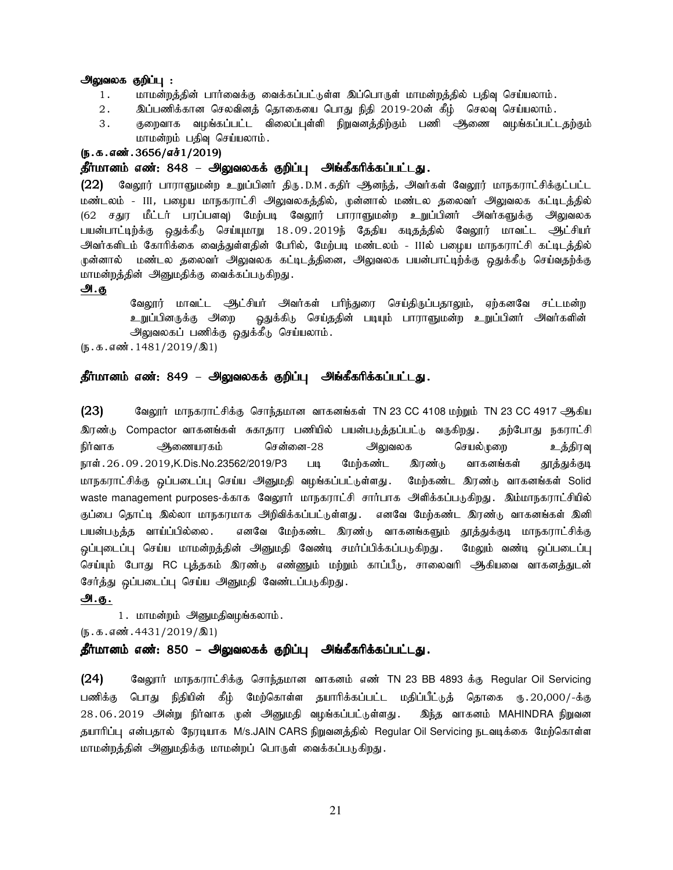#### அலுவலக குறிப்பு :

- 1. khkd;wj;jpd; ghh;itf;F itf;fg;gl;Ls;s ng;bghUs; khkd;wj;jpy; gjpt[ bra;ayhk;.
- 2. இப்பணிக்கான செலவினத் தொகையை பொது நிதி 2019-20ன் கீழ் செலவு செய்யலாம்.
- 3 . குறைவாக வழங்கப்பட்ட விலைப்புள்ளி நிறுவனத்திற்கும் பணி அிணை வழங்கப்பட்டதற்கும் மாமன்றம் பதிவு செய்யலாம்.

#### $(5.5.5.50)$  ( $5.3656$ / $5.361$ / $2019$ )

### தீர்மானம் எண்: 848 – அலுவலகக் குறிப்பு அங்கீகரிக்கப்பட்டது.

 $(22)$  வேலூர் பாராளுமன்ற உறுப்பினர் திரு.D.M.கதிர் ஆனந்த், அவர்கள் வேலூர் மாநகராட்சிக்குட்பட்ட மண்டலம் - III, பழைய மாநகராட்சி அலுவலகத்தில், முன்னால் மண்டல தலைவர் அலுவலக கட்டிடத்தில் (62 சதுர மீட்டர் பரப்பளவு) மேற்படி வேலூர் பாராளுமன்ற உறுப்பினர் அவர்களுக்கு அலுவலக பயன்பாட்டிற்க்கு ஒதுக்கீடு செய்யுமாறு 18.09.2019ந் தேதிய கடிதத்தில் வேலூர் மாவட்ட ஆட்சியர் அவர்களிடம் கோரிக்கை வைத்துள்ளதின் பேரில், மேற்படி மண்டலம் - IIIல் பழைய மாநகராட்சி கட்டிடத்தில் ருன்னால் மண்டல தலைவர் அலுவலக கட்டிடத்தினை, அலுவலக பயன்பாட்டிற்க்கு ஒதுக்கீடு செய்வதற்க்கு மாமன்றத்தின் அனுமதிக்கு வைக்கப்படுகிறது.

#### அ.கு

வேலூர் மாவட்ட அட்சியர் அவர்கள் பரிந்துரை செய்திருப்பதாலும், ஏற்கனவே சட்டமன்ற உறுப்பினருக்கு அறை ஒதுக்கிடு செய்ததின் படியும் பாராளுமன்ற உறுப்பினர் அவர்களின் அலுவலகப் பணிக்கு ஒதுக்கீடு செய்யலாம்.

 $(5.5.5.5 \text{m}^2 \cdot 1481/2019/\text{m}^2)$ 

### தீர்மானம் எண்: 849 – அலுவலகக் குறிப்பு அங்கீகரிக்கப்பட்டது.

 $(23)$  Baலூர் மாநகராட்சிக்கு சொந்தமான வாகனங்கள் TN 23 CC 4108 மற்றும் TN 23 CC 4917 ஆகிய இரண்டு Compactor வாகனங்கள் சுகாதார பணியில் பயன்படுத்தப்பட்டு வருகிறது. தற்போது நகராட்சி நிர்வாக ஆணையரகம் சென்னை-28 அலுவலக செயல்முறை உத்திரவு நாள். 26.09. 2019,K.Dis.No.23562/2019/P3 படி மேற்கண்ட இரண்டு வாகனங்கள் தூத்துக்குடி மாநகராட்சிக்கு ஒப்படைப்பு செய்ய அனுமதி வழங்கப்பட்டுள்ளது. மேற்கண்ட இரண்டு வாகனங்கள் Solid waste management purposes-க்காக வேலூர் மாநகராட்சி சார்பாக அளிக்கப்படுகிறது. இம்மாநகராட்சியில் குப்பை தொட்டி இல்லா மாநகரமாக அிறவிக்கப்பட்டுள்ளது . எனவே மேற்கண்ட இரண்டு வாகனங்கள் இனி பயன்படுத்த வாய்ப்பில்லை . எனவே மேற்கண்ட இரண்டு வாகனங்களும் தூத்துக்குடி மாநகராட்சிக்கு ஒப்புடைப்பு செய்ய மாமன்றத்தின் அனுமதி வேண்டி சமா்ப்பிக்கப்படுகிறது. மேலும் வண்டி ஒப்படைப்பு செய்யும் போது RC பக்ககம் இரண்டு எண்ணும் மற்றும் காப்பீடு, சாலைவரி ஆகியவை வாகனக்துடன் சேர்த்து ஒப்படைப்பு செய்ய அனுமதி வேண்டப்படுகிறது.

### அ.கு.

1. மாமன்றம் அனுமதிவழங்கலாம்.

 $(\mathbf{b}.\mathbf{a}.\mathbf{a} \cdot \mathbf{w}.\mathbf{a} \cdot \mathbf{w}.\mathbf{a}$ : 4431/2019/ $\mathbf{0}$ 1)

#### தீர்மானம் எண்: 850 – அலுவலகக் குறிப்பு அங்கீகரிக்கப்பட்டது.

(24) கேலுார் மாநகராட்சிக்கு சொந்தமான வாகனம் எண் TN 23 BB 4893 க்கு Regular Oil Servicing பணிக்கு பொது நிதியின் கீழ் மேற்கொள்ள தயாரிக்கப்பட்ட மதிப்பீட்டுத் தொகை ரு.20,000/-க்கு 28.06.2019 அன்று நிர்வாக முன் அனுமதி வழங்கப்பட்டுள்ளது. இந்த வாகனம் MAHINDRA நிறுவன தயாரிப்பு என்பதால் நேரடியாக M/s.JAIN CARS நிறுவனத்தில் Regular Oil Servicing நடவடிக்கை மேற்கொள்ள மாமன்றத்தின் அனுமதிக்கு மாமன்றப் பொருள் வைக்கப்படுகிறது.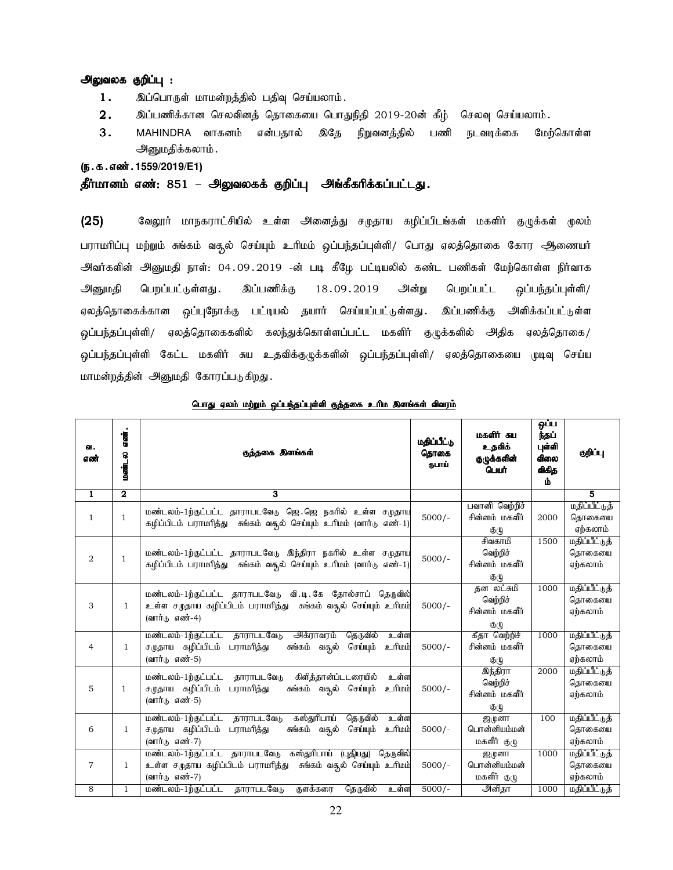### அலுவலக குறிப்பு :

- $1.$  இப்பொருள் மாமன்றத்தில் பதிவு செய்யலாம்.
- $2.$  இப்பணிக்கான செலவினத் தொகையை பொதுநிதி 2019-20ன் கீழ் செலவு செய்யலாம்.
- 3. MAHINDRA வாகனம் என்பதால் இதே நிறுவனத்தில் பணி நடவடிக்கை மேற்கொள்ள அனுமதிக்கலாம்.

(ந.க.எண்.1559/2019/E1)

தீர்மானம் எண்: 851 – அலுவலகக் குறிப்பு அங்கீகரிக்கப்பட்டது.

(25) கிஷூர் மாநகராட்சியில் உள்ள அனைத்து சமுதாய கழிப்பிடங்கள் மகளிர் குழுக்கள் முலம் பராமரிப்பு மற்றும் சுங்கம் வசூல் செய்யும் உரிமம் ஒப்பந்தப்புள்ளி/ பொது ஏலத்தொகை கோர ஆணையர் அவர்களின் அனுமதி நாள்: 04.09.2019 -ன் படி கீழே பட்டியலில் கண்ட பணிகள் மேற்கொள்ள நிர்வாக அனுமதி பெறப்பட்டுள்ளது .இப்பணிக்கு 18.09.2019 அன்று பெறப்பட்ட ஒப்பந்தப்புள்ளி/ ஏலத்தொகைக்கான ஒப்புநோக்கு பட்டியல் தயார் செய்யப்பட்டுள்ளது . இப்பணிக்கு அளிக்கப்பட்டுள்ள <u>ஒ</u>ப்பந்தப்புள்ளி/ ஏலத்தொகைகளில் கலந்துக்கொள்ளப்பட்ட மகளிர் குழுக்களில் அதிக ஏலத்தொகை*/* ஒப்பந்தப்புள்ளி கேட்ட மகளிர் சுய உதவிக்குழுக்களின் ஒப்பந்தப்புள்ளி/ ஏலத்தொகையை முடிவு செய்ய மாமன்றத்தின் அனுமதி கோரப்படுகிறது.

| о.<br>எண்      | எண்.<br>மண்டல           | குத்தகை இனங்கள்                                                                                                                                                  | மதிப்பீட்டு<br>தொகை<br>ஞபாப் | மகளிர் சுய<br>உதவிக்<br>குழுக்களின்<br>பெயர்                             | ஒப்ப<br>ந்தப்<br>புள்ளி<br>കിഞഓ<br>விகித<br>Ŵ | குறிப்பு                            |
|----------------|-------------------------|------------------------------------------------------------------------------------------------------------------------------------------------------------------|------------------------------|--------------------------------------------------------------------------|-----------------------------------------------|-------------------------------------|
| $\overline{1}$ | $\overline{\mathbf{2}}$ | 3                                                                                                                                                                |                              |                                                                          |                                               | $\overline{\mathbf{5}}$             |
| $\mathbf{1}$   | $\mathbf{1}$            | மண்டலம்-1ற்குட்பட்ட தாராபடவேடு ஜெ.ஜெ நகரில் உள்ள சமுதாய<br>கழிப்பிடம் பராமரித்து சுங்கம் வதுல் செய்யும் உரிமம் (வார்டு எண்-1)                                    | $5000/-$                     | பவானி வெற்றிச்<br>சின்னம் மகளீர்<br>குழு                                 | 2000                                          | மதிப்பீட்டுத்<br>தொகையை<br>ஏற்கலாம் |
| $\overline{2}$ | $\mathbf{1}$            | மண்டலம்-1ற்குட்பட்ட தாராபடவேடு இந்திரா நகரில் உள்ள சமுதாய<br>கழிப்பிடம் பராமரித்து சுங்கம் வதுல் செய்யும் உரிமம் (வார்டு எண்-1)                                  | $5000/-$                     | சிவகாமி<br>வெற்றிச்<br>சின்னம் மகளீர்<br>குழு                            | 1500                                          | மதிப்பீட்டுத்<br>தொகையை<br>ஏற்கலாம் |
| 3              | $\mathbf{1}$            | மண்டலம்-1ற்குட்பட்ட தாராபடவேடு வி.டி.கே தோல்சாப் தெருவில்<br>உள்ள சமுதாய கழிப்பிடம் பராமரித்து  சுங்கம் வசூல் செய்யும் உரிமம்<br>(வார்டு எண்-4)                  | $5000/-$                     | தன லட்சுமி<br>வெற்றிச்<br>சின்னம் மகளீர்<br>$\mathfrak{G}(\mathfrak{t})$ | 1000                                          | மதிப்பீட்டுத்<br>தொகையை<br>ஏற்கலாம் |
| $\overline{4}$ | $\mathbf{1}$            | தாராபடவேடு அக்ராவரம்<br>தெருவில்<br>மண்டலம்-1ற்குட்பட்ட<br>உள்ள<br><u>ப்பரி உ</u><br>சமுதாய கழிப்பிடம் பராமரித்து<br>சுங்கம் வசூல்<br>செய்யும்<br>(வார்டு எண்-5) | $5000/-$                     | கீதா வெற்றிச்<br>சின்னம் மகளீர்<br>குழு                                  | 1000                                          | மதிப்பீட்டுத்<br>தொகையை<br>ஏற்கலாம் |
| 5              | $\mathbf{1}$            | மண்டலம்-1ற்குட்பட்ட தாராபடவேடு<br>கிளித்தான்ப்டடரையில்<br>உள்ள<br>சமுதாய கழிப்பிடம் பராமரித்து<br>சுங்கம் வசூல் செய்யும்<br><u>ப்</u> யிட உ<br>(வார்டு எண்-5)    | $5000/-$                     | இந்திரா<br>வெற்றிச்<br>சின்னம் மகளீர்<br>$\mathfrak{G}(\mathfrak{t})$    | 2000                                          | மதிப்பீட்டுத்<br>தொகையை<br>ஏற்கலாம் |
| 6              | $\mathbf{1}$            | மண்டலம்-1ற்குட்பட்ட தாராபடவேடு<br>கஸ்துரிபாய் தெருவில்<br>உள்ள<br>சமுதாய கழிப்பிடம் பராமாித்து<br><u>ப்</u> யிட உ<br>செய்யும்<br>சுங்கம் வகூல்<br>(வார்டு எண்-7) | $5000/-$                     | இழுனா<br>பொன்னியம்மன்<br>மகளீர் குழு                                     | 100                                           | மதிப்பீட்டுத்<br>தொகையை<br>ஏற்கலாம் |
| 7              | $\mathbf{1}$            | மண்டலம்-1ற்குட்பட்ட தாராபடவேடு கஸ்துரிபாய் (புதியது)<br>தெருவில்<br>உள்ள சமுதாய கழிப்பிடம் பராமரித்து   சுங்கம் வசூல் செய்யும்  உரிமம்<br>(வார்டு எண்-7)         | $5000/-$                     | ஜமுனா<br>பொன்னியம்மன்<br>மகளீர் குழு                                     | 1000                                          | மதிப்பீட்டுத்<br>தொகையை<br>ஏற்கலாம் |
| 8              | $\mathbf{1}$            | தாராபடவேடு<br>மண்டலம்-1ற்குட்பட்ட<br>குளக்கரை<br>தெருவில்<br>உள்ள                                                                                                | $5000/-$                     | அனிதா                                                                    | 1000                                          | மதிப்பீட்டுத்                       |

<u>பொது ஏலம் மற்றும் ஒப்பந்தப்புள்ளி குத்தகை உரிம இனங்கள் விவரம்</u>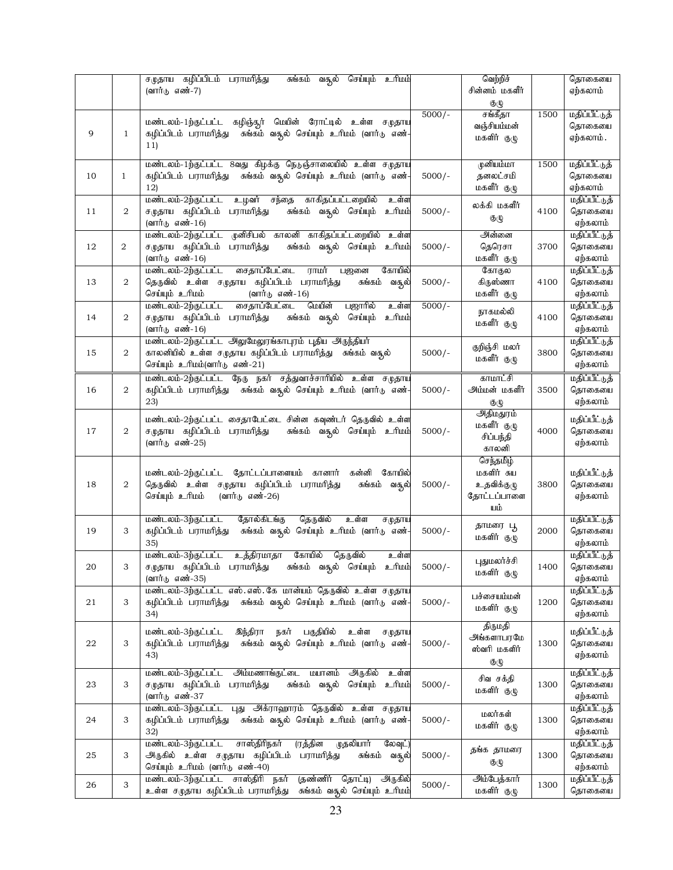| (வார்டு எண்-7)<br>சின்னம் மகளீர்<br>ஏற்கலாம்<br>குழு<br>$5000/-$<br>சங்கீதா<br>1500<br>மதிப்பீட்டுத்<br>மண்டலம்-1ற்குட்பட்ட கழிஞ்சூர் மெயின் ரோட்டில் உள்ள சமுதாய<br>வஞ்சியம்மன்<br>தொகையை<br>சுங்கம் வசூல் செய்யும் உரிமம் (வார்டு எண்-<br>9<br>கழிப்பிடம் பராமரித்து<br>$\mathbf{1}$<br>மகளிர் குழு<br>ஏற்கலாம் .<br>11)<br>மண்டலம்-1ற்குட்பட்ட 8வது கிழக்கு நெடுஞ்சாலையில் உள்ள சமுதாய<br>முனியம்மா<br>1500<br>மதிப்பீட்டுத்<br>10<br>கழிப்பிடம் பராமரித்து – சுங்கம் வசூல் செய்யும் உரிமம் (வார்டு எண்-<br>$5000/-$<br>தனலட்சமி<br>தொகையை<br>$\mathbf{1}$<br>மகளீர் குழு<br>ஏற்கலாம்<br>12)<br>காகிதப்பட்டறையில்<br>மதிப்பீட்டுத்<br>மண்டலம்-2ற்குட்பட்ட<br>உழவர் சந்தை<br>உள்ள<br>லக்கி மகளீர்<br>சமுதாய கழிப்பிடம் பராமரித்து<br>சுங்கம் வசூல் செய்யும்<br><u>உரிமம்</u><br>தொகையை<br>2<br>$5000/-$<br>4100<br>11<br>குழு<br>(வார்டு எண்-16)<br>ஏற்கலாம்<br>அன்னை<br>மண்டலம்-2ற்குட்பட்ட முனிசிபல் காலனி காகிதப்பட்டறையில் உள்ள<br>மதிப்பீட்டுத்<br>2<br>சமுதாய கழிப்பிடம் பராமாித்து<br>சுங்கம் வசூல் செய்யும் உரிமம்<br>தெரெசா<br>தொகையை<br>12<br>$5000/-$<br>3700<br>மகளீர் குழு<br>ஏற்கலாம்<br>(வார்டு எண்-16)<br>சைதாப்பேட்டை<br>மதிப்பீட்டுத்<br>மண்டலம்-2ற்குட்பட்ட<br>ராமர்<br>கோயில்<br>கோகுல<br>பஜனை<br>தெருவில் உள்ள சமுதாய கழிப்பிடம் பராமரித்து<br>$5000/-$<br>கிருஸ்ணா<br>தொகையை<br>13<br>2<br>சுங்கம்<br>4100<br>வசூல்<br>மகளீர் குழு<br>செய்யும் உரிமம்<br>(வார்டு எண்-16)<br>ஏற்கலாம்<br>மண்டலம்-2ற்குட்பட்ட<br>சைதாப்பேட்டை<br>மெயின்<br>பஜாரில்<br>$5000/-$<br>மதிப்பீட்டுத்<br>உள்ள<br>நாகமல்லி<br>சுங்கம் வசூல்<br><u>ப்பரிட உ</u><br>2<br>சமுதாய கழிப்பிடம் பராமரித்து<br>செய்யும்<br>தொகையை<br>14<br>4100<br>மகளீர் குழு<br>(வார்டு எண்-16)<br>ஏற்கலாம்<br>மண்டலம்-2ற்குட்பட்ட அலுமேலூங்காபுரம் புதிய அருந்தியா்<br>மதிப்பீட்டுத்<br>குறிஞ்சி மலர்<br>$5000/-$<br>2<br>காலனியில் உள்ள சமுதாய கழிப்பிடம் பராமரித்து  சுங்கம் வசூல்<br>3800<br>தொகையை<br>15<br>மகளீர் குழு<br>செய்யும் உரிமம்(வார்டு எண்-21)<br>ஏற்கலாம்<br>மண்டலம்-2ற்குட்பட்ட நேரு நகர் சத்துவாச்சாரியில் உள்ள சமுதாய<br>காமாட்சி<br>மதிப்பீட்டுத்<br>அம்மன் மகளீர்<br>2<br>கழிப்பிடம் பராமரித்து – சுங்கம் வசூல் செய்யும் உரிமம் (வார்டு எண்-<br>$5000/-$<br>3500<br>தொகையை<br>16<br>ஏற்கலாம்<br>23)<br>குழு<br>அதிமதுரம்<br>மண்டலம்-2ற்குட்பட்ட சைதாபேட்டை சின்ன கவுண்டர் தெருவில் உள்ள<br>மதிப்பீட்டுத்<br>மகளீர் குழு<br>தொகையை<br>17<br>2<br>சமுதாய கழிப்பிடம் பராமரித்து<br>சுங்கம் வசூல் செய்யும் உரிமம்<br>$5000/-$<br>4000<br>சிப்பந்தி<br>(வார்டு எண்-25)<br>ஏற்கலாம்<br>காலனி<br>செந்தமிழ்<br>மகளிர் சுய<br>மண்டலம்-2ற்குட்பட்ட தோட்டப்பாளையம் கானார்<br>கன்னி<br>கோயில்<br>மதிப்பீட்டுத்<br>2<br>தெருவில் உள்ள சமுதாய கழிப்பிடம் பராமரித்து<br>$5000/-$<br>3800<br>தொகையை<br>18<br>சுங்கம்<br>உதவிக்குமு<br>வசூல்<br>செய்யும் உரிமம்<br>(வார்டு எண்-26)<br>தோட்டப்பாளை<br>ஏற்கலாம்<br>யம்<br>மண்டலம்-3ற்குட்பட்ட<br>தோல்கிடங்கு<br>மதிப்பீட்டுத்<br>தெருவில்<br>உள்ள<br>சமுதாய<br>தாமரை பூ<br>கழிப்பிடம் பராமரித்து – சுங்கம் வசூல் செய்யும் உரிமம் (வார்டு எண்-<br>$5000/-$<br>தொகையை<br>19<br>3<br>2000<br>மகளிர் குழு<br>ஏற்கலாம்<br>35)<br>மண்டலம்-3ற்குட்பட்ட உத்திரமாதா கோயில் தெருவில்<br>மதிப்பீட்டுத்<br>உள்ள<br>புதுமலர்ச்சி<br>சமுதாய கழிப்பிடம் பராமரித்து   சுங்கம் வசூல் செய்யும்  உரிமம்<br>தொகையை<br>$5000/-$<br>1400<br>20<br>மகளிர் குழு<br>ஏற்கலாம்<br>(வார்டு எண்-35)<br>மண்டலம்-3ற்குட்பட்ட எஸ்.எஸ்.கே மான்யம் தெருவில் உள்ள சமுதாய<br>மதிப்பீட்டுத்<br>பச்சையம்மன்<br>சுங்கம் வசூல் செய்யும் உரிமம் (வார்டு எண்-<br>$5000/-$<br>1200<br>தொகையை<br>21<br>3<br>கழிப்பிடம் பராமரித்து<br>மகளிர் குழு<br>ஏற்கலாம்<br>34)<br>திருமதி<br>இந்திரா<br>பகுதியில் உள்ள<br>மதிப்பீட்டுத்<br>மண்டலம்-3ற்குட்பட்ட<br>நகர்<br>சமுதாய<br>அங்களாபரமே<br>சுங்கம் வசூல் செய்யும் உரிமம் (வார்டு எண்-<br>கழிப்பிடம் பராமரித்து<br>$5000/-$<br>1300<br>தொகையை<br>22<br>3<br>ஸ்வரி மகளிர்<br>ஏற்கலாம்<br>43)<br>குழு<br>அம்மணாங்குட்டை<br>அருகில்<br>மண்டலம்-3ற்குட்பட்ட<br>மயானம்<br>மதிப்பீட்டுத்<br>உள்ள<br>சிவ சக்தி<br>சமுதாய கழிப்பிடம் பராமாித்து<br>சுங்கம் வசூல் செய்யும்<br><u>ப்</u> யிட உ<br>$5000/-$<br>தொகையை<br>23<br>3<br>1300<br>மகளிர் குழு<br>(வார்டு எண்-37<br>ஏற்கலாம்<br>மண்டலம்-3ற்குட்பட்ட புது அக்ராஹாரம் தெருவில் உள்ள சமுதாட<br>மதிப்பீட்டுத்<br>மலர்கள்<br>சுங்கம் வசூல் செய்யும் உரிமம் (வார்டு எண்-<br>3<br>கழிப்பிடம் பராமரித்து<br>தொகையை<br>24<br>$5000/-$<br>1300<br>மகளிர் குழு<br>ஏற்கலாம்<br>32)<br>சாஸ்திரிநகர்<br>(ரத்தின<br>மண்டலம்-3ற்குட்பட்ட<br>முதலியார்<br>மதிப்பீட்டுத்<br>லேவுட்<br>தங்க தாமரை<br>அருகில் உள்ள சமுதாய கழிப்பிடம்<br>பராமரித்து<br>$5000/-$<br>தொகையை<br>25<br>3<br>சுங்கம்<br>1300<br>வசூல்<br>குழு<br>செய்யும் உரிமம் (வார்டு எண்-40)<br>ஏற்கலாம்<br>மண்டலம்-3ற்குட்பட்ட சாஸ்திரி நகர்<br>(தண்ணிர் தொட்டி) அருகில்<br>அம்பேத்கார்<br>மதிப்பீட்டுத்<br>3<br>$5000/-$<br>26<br>1300<br>உள்ள சமுதாய கழிப்பிடம் பராமரித்து<br>சுங்கம் வசூல் செய்யும் உரிமம்<br>மகளிர் குழு<br>தொகையை |  | சமுதாய கழிப்பிடம் பராமரித்து<br>செய்யும் உரிமம்<br>சுங்கம்<br>வசூல் | வெற்றிச் | தொகையை |
|------------------------------------------------------------------------------------------------------------------------------------------------------------------------------------------------------------------------------------------------------------------------------------------------------------------------------------------------------------------------------------------------------------------------------------------------------------------------------------------------------------------------------------------------------------------------------------------------------------------------------------------------------------------------------------------------------------------------------------------------------------------------------------------------------------------------------------------------------------------------------------------------------------------------------------------------------------------------------------------------------------------------------------------------------------------------------------------------------------------------------------------------------------------------------------------------------------------------------------------------------------------------------------------------------------------------------------------------------------------------------------------------------------------------------------------------------------------------------------------------------------------------------------------------------------------------------------------------------------------------------------------------------------------------------------------------------------------------------------------------------------------------------------------------------------------------------------------------------------------------------------------------------------------------------------------------------------------------------------------------------------------------------------------------------------------------------------------------------------------------------------------------------------------------------------------------------------------------------------------------------------------------------------------------------------------------------------------------------------------------------------------------------------------------------------------------------------------------------------------------------------------------------------------------------------------------------------------------------------------------------------------------------------------------------------------------------------------------------------------------------------------------------------------------------------------------------------------------------------------------------------------------------------------------------------------------------------------------------------------------------------------------------------------------------------------------------------------------------------------------------------------------------------------------------------------------------------------------------------------------------------------------------------------------------------------------------------------------------------------------------------------------------------------------------------------------------------------------------------------------------------------------------------------------------------------------------------------------------------------------------------------------------------------------------------------------------------------------------------------------------------------------------------------------------------------------------------------------------------------------------------------------------------------------------------------------------------------------------------------------------------------------------------------------------------------------------------------------------------------------------------------------------------------------------------------------------------------------------------------------------------------------------------------------------------------------------------------------------------------------------------------------------------------------------------------------------------------------------------------------------------------------------------------------------------------------------------------------------------------------------------------------------------------------------------------------------------------------------------------------------------------------------------------------------------------------------------------------------------|--|---------------------------------------------------------------------|----------|--------|
|                                                                                                                                                                                                                                                                                                                                                                                                                                                                                                                                                                                                                                                                                                                                                                                                                                                                                                                                                                                                                                                                                                                                                                                                                                                                                                                                                                                                                                                                                                                                                                                                                                                                                                                                                                                                                                                                                                                                                                                                                                                                                                                                                                                                                                                                                                                                                                                                                                                                                                                                                                                                                                                                                                                                                                                                                                                                                                                                                                                                                                                                                                                                                                                                                                                                                                                                                                                                                                                                                                                                                                                                                                                                                                                                                                                                                                                                                                                                                                                                                                                                                                                                                                                                                                                                                                                                                                                                                                                                                                                                                                                                                                                                                                                                                                                                                                                            |  |                                                                     |          |        |
|                                                                                                                                                                                                                                                                                                                                                                                                                                                                                                                                                                                                                                                                                                                                                                                                                                                                                                                                                                                                                                                                                                                                                                                                                                                                                                                                                                                                                                                                                                                                                                                                                                                                                                                                                                                                                                                                                                                                                                                                                                                                                                                                                                                                                                                                                                                                                                                                                                                                                                                                                                                                                                                                                                                                                                                                                                                                                                                                                                                                                                                                                                                                                                                                                                                                                                                                                                                                                                                                                                                                                                                                                                                                                                                                                                                                                                                                                                                                                                                                                                                                                                                                                                                                                                                                                                                                                                                                                                                                                                                                                                                                                                                                                                                                                                                                                                                            |  |                                                                     |          |        |
|                                                                                                                                                                                                                                                                                                                                                                                                                                                                                                                                                                                                                                                                                                                                                                                                                                                                                                                                                                                                                                                                                                                                                                                                                                                                                                                                                                                                                                                                                                                                                                                                                                                                                                                                                                                                                                                                                                                                                                                                                                                                                                                                                                                                                                                                                                                                                                                                                                                                                                                                                                                                                                                                                                                                                                                                                                                                                                                                                                                                                                                                                                                                                                                                                                                                                                                                                                                                                                                                                                                                                                                                                                                                                                                                                                                                                                                                                                                                                                                                                                                                                                                                                                                                                                                                                                                                                                                                                                                                                                                                                                                                                                                                                                                                                                                                                                                            |  |                                                                     |          |        |
|                                                                                                                                                                                                                                                                                                                                                                                                                                                                                                                                                                                                                                                                                                                                                                                                                                                                                                                                                                                                                                                                                                                                                                                                                                                                                                                                                                                                                                                                                                                                                                                                                                                                                                                                                                                                                                                                                                                                                                                                                                                                                                                                                                                                                                                                                                                                                                                                                                                                                                                                                                                                                                                                                                                                                                                                                                                                                                                                                                                                                                                                                                                                                                                                                                                                                                                                                                                                                                                                                                                                                                                                                                                                                                                                                                                                                                                                                                                                                                                                                                                                                                                                                                                                                                                                                                                                                                                                                                                                                                                                                                                                                                                                                                                                                                                                                                                            |  |                                                                     |          |        |
|                                                                                                                                                                                                                                                                                                                                                                                                                                                                                                                                                                                                                                                                                                                                                                                                                                                                                                                                                                                                                                                                                                                                                                                                                                                                                                                                                                                                                                                                                                                                                                                                                                                                                                                                                                                                                                                                                                                                                                                                                                                                                                                                                                                                                                                                                                                                                                                                                                                                                                                                                                                                                                                                                                                                                                                                                                                                                                                                                                                                                                                                                                                                                                                                                                                                                                                                                                                                                                                                                                                                                                                                                                                                                                                                                                                                                                                                                                                                                                                                                                                                                                                                                                                                                                                                                                                                                                                                                                                                                                                                                                                                                                                                                                                                                                                                                                                            |  |                                                                     |          |        |
|                                                                                                                                                                                                                                                                                                                                                                                                                                                                                                                                                                                                                                                                                                                                                                                                                                                                                                                                                                                                                                                                                                                                                                                                                                                                                                                                                                                                                                                                                                                                                                                                                                                                                                                                                                                                                                                                                                                                                                                                                                                                                                                                                                                                                                                                                                                                                                                                                                                                                                                                                                                                                                                                                                                                                                                                                                                                                                                                                                                                                                                                                                                                                                                                                                                                                                                                                                                                                                                                                                                                                                                                                                                                                                                                                                                                                                                                                                                                                                                                                                                                                                                                                                                                                                                                                                                                                                                                                                                                                                                                                                                                                                                                                                                                                                                                                                                            |  |                                                                     |          |        |
|                                                                                                                                                                                                                                                                                                                                                                                                                                                                                                                                                                                                                                                                                                                                                                                                                                                                                                                                                                                                                                                                                                                                                                                                                                                                                                                                                                                                                                                                                                                                                                                                                                                                                                                                                                                                                                                                                                                                                                                                                                                                                                                                                                                                                                                                                                                                                                                                                                                                                                                                                                                                                                                                                                                                                                                                                                                                                                                                                                                                                                                                                                                                                                                                                                                                                                                                                                                                                                                                                                                                                                                                                                                                                                                                                                                                                                                                                                                                                                                                                                                                                                                                                                                                                                                                                                                                                                                                                                                                                                                                                                                                                                                                                                                                                                                                                                                            |  |                                                                     |          |        |
|                                                                                                                                                                                                                                                                                                                                                                                                                                                                                                                                                                                                                                                                                                                                                                                                                                                                                                                                                                                                                                                                                                                                                                                                                                                                                                                                                                                                                                                                                                                                                                                                                                                                                                                                                                                                                                                                                                                                                                                                                                                                                                                                                                                                                                                                                                                                                                                                                                                                                                                                                                                                                                                                                                                                                                                                                                                                                                                                                                                                                                                                                                                                                                                                                                                                                                                                                                                                                                                                                                                                                                                                                                                                                                                                                                                                                                                                                                                                                                                                                                                                                                                                                                                                                                                                                                                                                                                                                                                                                                                                                                                                                                                                                                                                                                                                                                                            |  |                                                                     |          |        |
|                                                                                                                                                                                                                                                                                                                                                                                                                                                                                                                                                                                                                                                                                                                                                                                                                                                                                                                                                                                                                                                                                                                                                                                                                                                                                                                                                                                                                                                                                                                                                                                                                                                                                                                                                                                                                                                                                                                                                                                                                                                                                                                                                                                                                                                                                                                                                                                                                                                                                                                                                                                                                                                                                                                                                                                                                                                                                                                                                                                                                                                                                                                                                                                                                                                                                                                                                                                                                                                                                                                                                                                                                                                                                                                                                                                                                                                                                                                                                                                                                                                                                                                                                                                                                                                                                                                                                                                                                                                                                                                                                                                                                                                                                                                                                                                                                                                            |  |                                                                     |          |        |
|                                                                                                                                                                                                                                                                                                                                                                                                                                                                                                                                                                                                                                                                                                                                                                                                                                                                                                                                                                                                                                                                                                                                                                                                                                                                                                                                                                                                                                                                                                                                                                                                                                                                                                                                                                                                                                                                                                                                                                                                                                                                                                                                                                                                                                                                                                                                                                                                                                                                                                                                                                                                                                                                                                                                                                                                                                                                                                                                                                                                                                                                                                                                                                                                                                                                                                                                                                                                                                                                                                                                                                                                                                                                                                                                                                                                                                                                                                                                                                                                                                                                                                                                                                                                                                                                                                                                                                                                                                                                                                                                                                                                                                                                                                                                                                                                                                                            |  |                                                                     |          |        |
|                                                                                                                                                                                                                                                                                                                                                                                                                                                                                                                                                                                                                                                                                                                                                                                                                                                                                                                                                                                                                                                                                                                                                                                                                                                                                                                                                                                                                                                                                                                                                                                                                                                                                                                                                                                                                                                                                                                                                                                                                                                                                                                                                                                                                                                                                                                                                                                                                                                                                                                                                                                                                                                                                                                                                                                                                                                                                                                                                                                                                                                                                                                                                                                                                                                                                                                                                                                                                                                                                                                                                                                                                                                                                                                                                                                                                                                                                                                                                                                                                                                                                                                                                                                                                                                                                                                                                                                                                                                                                                                                                                                                                                                                                                                                                                                                                                                            |  |                                                                     |          |        |
|                                                                                                                                                                                                                                                                                                                                                                                                                                                                                                                                                                                                                                                                                                                                                                                                                                                                                                                                                                                                                                                                                                                                                                                                                                                                                                                                                                                                                                                                                                                                                                                                                                                                                                                                                                                                                                                                                                                                                                                                                                                                                                                                                                                                                                                                                                                                                                                                                                                                                                                                                                                                                                                                                                                                                                                                                                                                                                                                                                                                                                                                                                                                                                                                                                                                                                                                                                                                                                                                                                                                                                                                                                                                                                                                                                                                                                                                                                                                                                                                                                                                                                                                                                                                                                                                                                                                                                                                                                                                                                                                                                                                                                                                                                                                                                                                                                                            |  |                                                                     |          |        |
|                                                                                                                                                                                                                                                                                                                                                                                                                                                                                                                                                                                                                                                                                                                                                                                                                                                                                                                                                                                                                                                                                                                                                                                                                                                                                                                                                                                                                                                                                                                                                                                                                                                                                                                                                                                                                                                                                                                                                                                                                                                                                                                                                                                                                                                                                                                                                                                                                                                                                                                                                                                                                                                                                                                                                                                                                                                                                                                                                                                                                                                                                                                                                                                                                                                                                                                                                                                                                                                                                                                                                                                                                                                                                                                                                                                                                                                                                                                                                                                                                                                                                                                                                                                                                                                                                                                                                                                                                                                                                                                                                                                                                                                                                                                                                                                                                                                            |  |                                                                     |          |        |
|                                                                                                                                                                                                                                                                                                                                                                                                                                                                                                                                                                                                                                                                                                                                                                                                                                                                                                                                                                                                                                                                                                                                                                                                                                                                                                                                                                                                                                                                                                                                                                                                                                                                                                                                                                                                                                                                                                                                                                                                                                                                                                                                                                                                                                                                                                                                                                                                                                                                                                                                                                                                                                                                                                                                                                                                                                                                                                                                                                                                                                                                                                                                                                                                                                                                                                                                                                                                                                                                                                                                                                                                                                                                                                                                                                                                                                                                                                                                                                                                                                                                                                                                                                                                                                                                                                                                                                                                                                                                                                                                                                                                                                                                                                                                                                                                                                                            |  |                                                                     |          |        |
|                                                                                                                                                                                                                                                                                                                                                                                                                                                                                                                                                                                                                                                                                                                                                                                                                                                                                                                                                                                                                                                                                                                                                                                                                                                                                                                                                                                                                                                                                                                                                                                                                                                                                                                                                                                                                                                                                                                                                                                                                                                                                                                                                                                                                                                                                                                                                                                                                                                                                                                                                                                                                                                                                                                                                                                                                                                                                                                                                                                                                                                                                                                                                                                                                                                                                                                                                                                                                                                                                                                                                                                                                                                                                                                                                                                                                                                                                                                                                                                                                                                                                                                                                                                                                                                                                                                                                                                                                                                                                                                                                                                                                                                                                                                                                                                                                                                            |  |                                                                     |          |        |
|                                                                                                                                                                                                                                                                                                                                                                                                                                                                                                                                                                                                                                                                                                                                                                                                                                                                                                                                                                                                                                                                                                                                                                                                                                                                                                                                                                                                                                                                                                                                                                                                                                                                                                                                                                                                                                                                                                                                                                                                                                                                                                                                                                                                                                                                                                                                                                                                                                                                                                                                                                                                                                                                                                                                                                                                                                                                                                                                                                                                                                                                                                                                                                                                                                                                                                                                                                                                                                                                                                                                                                                                                                                                                                                                                                                                                                                                                                                                                                                                                                                                                                                                                                                                                                                                                                                                                                                                                                                                                                                                                                                                                                                                                                                                                                                                                                                            |  |                                                                     |          |        |
|                                                                                                                                                                                                                                                                                                                                                                                                                                                                                                                                                                                                                                                                                                                                                                                                                                                                                                                                                                                                                                                                                                                                                                                                                                                                                                                                                                                                                                                                                                                                                                                                                                                                                                                                                                                                                                                                                                                                                                                                                                                                                                                                                                                                                                                                                                                                                                                                                                                                                                                                                                                                                                                                                                                                                                                                                                                                                                                                                                                                                                                                                                                                                                                                                                                                                                                                                                                                                                                                                                                                                                                                                                                                                                                                                                                                                                                                                                                                                                                                                                                                                                                                                                                                                                                                                                                                                                                                                                                                                                                                                                                                                                                                                                                                                                                                                                                            |  |                                                                     |          |        |
|                                                                                                                                                                                                                                                                                                                                                                                                                                                                                                                                                                                                                                                                                                                                                                                                                                                                                                                                                                                                                                                                                                                                                                                                                                                                                                                                                                                                                                                                                                                                                                                                                                                                                                                                                                                                                                                                                                                                                                                                                                                                                                                                                                                                                                                                                                                                                                                                                                                                                                                                                                                                                                                                                                                                                                                                                                                                                                                                                                                                                                                                                                                                                                                                                                                                                                                                                                                                                                                                                                                                                                                                                                                                                                                                                                                                                                                                                                                                                                                                                                                                                                                                                                                                                                                                                                                                                                                                                                                                                                                                                                                                                                                                                                                                                                                                                                                            |  |                                                                     |          |        |
|                                                                                                                                                                                                                                                                                                                                                                                                                                                                                                                                                                                                                                                                                                                                                                                                                                                                                                                                                                                                                                                                                                                                                                                                                                                                                                                                                                                                                                                                                                                                                                                                                                                                                                                                                                                                                                                                                                                                                                                                                                                                                                                                                                                                                                                                                                                                                                                                                                                                                                                                                                                                                                                                                                                                                                                                                                                                                                                                                                                                                                                                                                                                                                                                                                                                                                                                                                                                                                                                                                                                                                                                                                                                                                                                                                                                                                                                                                                                                                                                                                                                                                                                                                                                                                                                                                                                                                                                                                                                                                                                                                                                                                                                                                                                                                                                                                                            |  |                                                                     |          |        |
|                                                                                                                                                                                                                                                                                                                                                                                                                                                                                                                                                                                                                                                                                                                                                                                                                                                                                                                                                                                                                                                                                                                                                                                                                                                                                                                                                                                                                                                                                                                                                                                                                                                                                                                                                                                                                                                                                                                                                                                                                                                                                                                                                                                                                                                                                                                                                                                                                                                                                                                                                                                                                                                                                                                                                                                                                                                                                                                                                                                                                                                                                                                                                                                                                                                                                                                                                                                                                                                                                                                                                                                                                                                                                                                                                                                                                                                                                                                                                                                                                                                                                                                                                                                                                                                                                                                                                                                                                                                                                                                                                                                                                                                                                                                                                                                                                                                            |  |                                                                     |          |        |
|                                                                                                                                                                                                                                                                                                                                                                                                                                                                                                                                                                                                                                                                                                                                                                                                                                                                                                                                                                                                                                                                                                                                                                                                                                                                                                                                                                                                                                                                                                                                                                                                                                                                                                                                                                                                                                                                                                                                                                                                                                                                                                                                                                                                                                                                                                                                                                                                                                                                                                                                                                                                                                                                                                                                                                                                                                                                                                                                                                                                                                                                                                                                                                                                                                                                                                                                                                                                                                                                                                                                                                                                                                                                                                                                                                                                                                                                                                                                                                                                                                                                                                                                                                                                                                                                                                                                                                                                                                                                                                                                                                                                                                                                                                                                                                                                                                                            |  |                                                                     |          |        |
|                                                                                                                                                                                                                                                                                                                                                                                                                                                                                                                                                                                                                                                                                                                                                                                                                                                                                                                                                                                                                                                                                                                                                                                                                                                                                                                                                                                                                                                                                                                                                                                                                                                                                                                                                                                                                                                                                                                                                                                                                                                                                                                                                                                                                                                                                                                                                                                                                                                                                                                                                                                                                                                                                                                                                                                                                                                                                                                                                                                                                                                                                                                                                                                                                                                                                                                                                                                                                                                                                                                                                                                                                                                                                                                                                                                                                                                                                                                                                                                                                                                                                                                                                                                                                                                                                                                                                                                                                                                                                                                                                                                                                                                                                                                                                                                                                                                            |  |                                                                     |          |        |
|                                                                                                                                                                                                                                                                                                                                                                                                                                                                                                                                                                                                                                                                                                                                                                                                                                                                                                                                                                                                                                                                                                                                                                                                                                                                                                                                                                                                                                                                                                                                                                                                                                                                                                                                                                                                                                                                                                                                                                                                                                                                                                                                                                                                                                                                                                                                                                                                                                                                                                                                                                                                                                                                                                                                                                                                                                                                                                                                                                                                                                                                                                                                                                                                                                                                                                                                                                                                                                                                                                                                                                                                                                                                                                                                                                                                                                                                                                                                                                                                                                                                                                                                                                                                                                                                                                                                                                                                                                                                                                                                                                                                                                                                                                                                                                                                                                                            |  |                                                                     |          |        |
|                                                                                                                                                                                                                                                                                                                                                                                                                                                                                                                                                                                                                                                                                                                                                                                                                                                                                                                                                                                                                                                                                                                                                                                                                                                                                                                                                                                                                                                                                                                                                                                                                                                                                                                                                                                                                                                                                                                                                                                                                                                                                                                                                                                                                                                                                                                                                                                                                                                                                                                                                                                                                                                                                                                                                                                                                                                                                                                                                                                                                                                                                                                                                                                                                                                                                                                                                                                                                                                                                                                                                                                                                                                                                                                                                                                                                                                                                                                                                                                                                                                                                                                                                                                                                                                                                                                                                                                                                                                                                                                                                                                                                                                                                                                                                                                                                                                            |  |                                                                     |          |        |
|                                                                                                                                                                                                                                                                                                                                                                                                                                                                                                                                                                                                                                                                                                                                                                                                                                                                                                                                                                                                                                                                                                                                                                                                                                                                                                                                                                                                                                                                                                                                                                                                                                                                                                                                                                                                                                                                                                                                                                                                                                                                                                                                                                                                                                                                                                                                                                                                                                                                                                                                                                                                                                                                                                                                                                                                                                                                                                                                                                                                                                                                                                                                                                                                                                                                                                                                                                                                                                                                                                                                                                                                                                                                                                                                                                                                                                                                                                                                                                                                                                                                                                                                                                                                                                                                                                                                                                                                                                                                                                                                                                                                                                                                                                                                                                                                                                                            |  |                                                                     |          |        |
|                                                                                                                                                                                                                                                                                                                                                                                                                                                                                                                                                                                                                                                                                                                                                                                                                                                                                                                                                                                                                                                                                                                                                                                                                                                                                                                                                                                                                                                                                                                                                                                                                                                                                                                                                                                                                                                                                                                                                                                                                                                                                                                                                                                                                                                                                                                                                                                                                                                                                                                                                                                                                                                                                                                                                                                                                                                                                                                                                                                                                                                                                                                                                                                                                                                                                                                                                                                                                                                                                                                                                                                                                                                                                                                                                                                                                                                                                                                                                                                                                                                                                                                                                                                                                                                                                                                                                                                                                                                                                                                                                                                                                                                                                                                                                                                                                                                            |  |                                                                     |          |        |
|                                                                                                                                                                                                                                                                                                                                                                                                                                                                                                                                                                                                                                                                                                                                                                                                                                                                                                                                                                                                                                                                                                                                                                                                                                                                                                                                                                                                                                                                                                                                                                                                                                                                                                                                                                                                                                                                                                                                                                                                                                                                                                                                                                                                                                                                                                                                                                                                                                                                                                                                                                                                                                                                                                                                                                                                                                                                                                                                                                                                                                                                                                                                                                                                                                                                                                                                                                                                                                                                                                                                                                                                                                                                                                                                                                                                                                                                                                                                                                                                                                                                                                                                                                                                                                                                                                                                                                                                                                                                                                                                                                                                                                                                                                                                                                                                                                                            |  |                                                                     |          |        |
|                                                                                                                                                                                                                                                                                                                                                                                                                                                                                                                                                                                                                                                                                                                                                                                                                                                                                                                                                                                                                                                                                                                                                                                                                                                                                                                                                                                                                                                                                                                                                                                                                                                                                                                                                                                                                                                                                                                                                                                                                                                                                                                                                                                                                                                                                                                                                                                                                                                                                                                                                                                                                                                                                                                                                                                                                                                                                                                                                                                                                                                                                                                                                                                                                                                                                                                                                                                                                                                                                                                                                                                                                                                                                                                                                                                                                                                                                                                                                                                                                                                                                                                                                                                                                                                                                                                                                                                                                                                                                                                                                                                                                                                                                                                                                                                                                                                            |  |                                                                     |          |        |
|                                                                                                                                                                                                                                                                                                                                                                                                                                                                                                                                                                                                                                                                                                                                                                                                                                                                                                                                                                                                                                                                                                                                                                                                                                                                                                                                                                                                                                                                                                                                                                                                                                                                                                                                                                                                                                                                                                                                                                                                                                                                                                                                                                                                                                                                                                                                                                                                                                                                                                                                                                                                                                                                                                                                                                                                                                                                                                                                                                                                                                                                                                                                                                                                                                                                                                                                                                                                                                                                                                                                                                                                                                                                                                                                                                                                                                                                                                                                                                                                                                                                                                                                                                                                                                                                                                                                                                                                                                                                                                                                                                                                                                                                                                                                                                                                                                                            |  |                                                                     |          |        |
|                                                                                                                                                                                                                                                                                                                                                                                                                                                                                                                                                                                                                                                                                                                                                                                                                                                                                                                                                                                                                                                                                                                                                                                                                                                                                                                                                                                                                                                                                                                                                                                                                                                                                                                                                                                                                                                                                                                                                                                                                                                                                                                                                                                                                                                                                                                                                                                                                                                                                                                                                                                                                                                                                                                                                                                                                                                                                                                                                                                                                                                                                                                                                                                                                                                                                                                                                                                                                                                                                                                                                                                                                                                                                                                                                                                                                                                                                                                                                                                                                                                                                                                                                                                                                                                                                                                                                                                                                                                                                                                                                                                                                                                                                                                                                                                                                                                            |  |                                                                     |          |        |
|                                                                                                                                                                                                                                                                                                                                                                                                                                                                                                                                                                                                                                                                                                                                                                                                                                                                                                                                                                                                                                                                                                                                                                                                                                                                                                                                                                                                                                                                                                                                                                                                                                                                                                                                                                                                                                                                                                                                                                                                                                                                                                                                                                                                                                                                                                                                                                                                                                                                                                                                                                                                                                                                                                                                                                                                                                                                                                                                                                                                                                                                                                                                                                                                                                                                                                                                                                                                                                                                                                                                                                                                                                                                                                                                                                                                                                                                                                                                                                                                                                                                                                                                                                                                                                                                                                                                                                                                                                                                                                                                                                                                                                                                                                                                                                                                                                                            |  |                                                                     |          |        |
|                                                                                                                                                                                                                                                                                                                                                                                                                                                                                                                                                                                                                                                                                                                                                                                                                                                                                                                                                                                                                                                                                                                                                                                                                                                                                                                                                                                                                                                                                                                                                                                                                                                                                                                                                                                                                                                                                                                                                                                                                                                                                                                                                                                                                                                                                                                                                                                                                                                                                                                                                                                                                                                                                                                                                                                                                                                                                                                                                                                                                                                                                                                                                                                                                                                                                                                                                                                                                                                                                                                                                                                                                                                                                                                                                                                                                                                                                                                                                                                                                                                                                                                                                                                                                                                                                                                                                                                                                                                                                                                                                                                                                                                                                                                                                                                                                                                            |  |                                                                     |          |        |
|                                                                                                                                                                                                                                                                                                                                                                                                                                                                                                                                                                                                                                                                                                                                                                                                                                                                                                                                                                                                                                                                                                                                                                                                                                                                                                                                                                                                                                                                                                                                                                                                                                                                                                                                                                                                                                                                                                                                                                                                                                                                                                                                                                                                                                                                                                                                                                                                                                                                                                                                                                                                                                                                                                                                                                                                                                                                                                                                                                                                                                                                                                                                                                                                                                                                                                                                                                                                                                                                                                                                                                                                                                                                                                                                                                                                                                                                                                                                                                                                                                                                                                                                                                                                                                                                                                                                                                                                                                                                                                                                                                                                                                                                                                                                                                                                                                                            |  |                                                                     |          |        |
|                                                                                                                                                                                                                                                                                                                                                                                                                                                                                                                                                                                                                                                                                                                                                                                                                                                                                                                                                                                                                                                                                                                                                                                                                                                                                                                                                                                                                                                                                                                                                                                                                                                                                                                                                                                                                                                                                                                                                                                                                                                                                                                                                                                                                                                                                                                                                                                                                                                                                                                                                                                                                                                                                                                                                                                                                                                                                                                                                                                                                                                                                                                                                                                                                                                                                                                                                                                                                                                                                                                                                                                                                                                                                                                                                                                                                                                                                                                                                                                                                                                                                                                                                                                                                                                                                                                                                                                                                                                                                                                                                                                                                                                                                                                                                                                                                                                            |  |                                                                     |          |        |
|                                                                                                                                                                                                                                                                                                                                                                                                                                                                                                                                                                                                                                                                                                                                                                                                                                                                                                                                                                                                                                                                                                                                                                                                                                                                                                                                                                                                                                                                                                                                                                                                                                                                                                                                                                                                                                                                                                                                                                                                                                                                                                                                                                                                                                                                                                                                                                                                                                                                                                                                                                                                                                                                                                                                                                                                                                                                                                                                                                                                                                                                                                                                                                                                                                                                                                                                                                                                                                                                                                                                                                                                                                                                                                                                                                                                                                                                                                                                                                                                                                                                                                                                                                                                                                                                                                                                                                                                                                                                                                                                                                                                                                                                                                                                                                                                                                                            |  |                                                                     |          |        |
|                                                                                                                                                                                                                                                                                                                                                                                                                                                                                                                                                                                                                                                                                                                                                                                                                                                                                                                                                                                                                                                                                                                                                                                                                                                                                                                                                                                                                                                                                                                                                                                                                                                                                                                                                                                                                                                                                                                                                                                                                                                                                                                                                                                                                                                                                                                                                                                                                                                                                                                                                                                                                                                                                                                                                                                                                                                                                                                                                                                                                                                                                                                                                                                                                                                                                                                                                                                                                                                                                                                                                                                                                                                                                                                                                                                                                                                                                                                                                                                                                                                                                                                                                                                                                                                                                                                                                                                                                                                                                                                                                                                                                                                                                                                                                                                                                                                            |  |                                                                     |          |        |
|                                                                                                                                                                                                                                                                                                                                                                                                                                                                                                                                                                                                                                                                                                                                                                                                                                                                                                                                                                                                                                                                                                                                                                                                                                                                                                                                                                                                                                                                                                                                                                                                                                                                                                                                                                                                                                                                                                                                                                                                                                                                                                                                                                                                                                                                                                                                                                                                                                                                                                                                                                                                                                                                                                                                                                                                                                                                                                                                                                                                                                                                                                                                                                                                                                                                                                                                                                                                                                                                                                                                                                                                                                                                                                                                                                                                                                                                                                                                                                                                                                                                                                                                                                                                                                                                                                                                                                                                                                                                                                                                                                                                                                                                                                                                                                                                                                                            |  |                                                                     |          |        |
|                                                                                                                                                                                                                                                                                                                                                                                                                                                                                                                                                                                                                                                                                                                                                                                                                                                                                                                                                                                                                                                                                                                                                                                                                                                                                                                                                                                                                                                                                                                                                                                                                                                                                                                                                                                                                                                                                                                                                                                                                                                                                                                                                                                                                                                                                                                                                                                                                                                                                                                                                                                                                                                                                                                                                                                                                                                                                                                                                                                                                                                                                                                                                                                                                                                                                                                                                                                                                                                                                                                                                                                                                                                                                                                                                                                                                                                                                                                                                                                                                                                                                                                                                                                                                                                                                                                                                                                                                                                                                                                                                                                                                                                                                                                                                                                                                                                            |  |                                                                     |          |        |
|                                                                                                                                                                                                                                                                                                                                                                                                                                                                                                                                                                                                                                                                                                                                                                                                                                                                                                                                                                                                                                                                                                                                                                                                                                                                                                                                                                                                                                                                                                                                                                                                                                                                                                                                                                                                                                                                                                                                                                                                                                                                                                                                                                                                                                                                                                                                                                                                                                                                                                                                                                                                                                                                                                                                                                                                                                                                                                                                                                                                                                                                                                                                                                                                                                                                                                                                                                                                                                                                                                                                                                                                                                                                                                                                                                                                                                                                                                                                                                                                                                                                                                                                                                                                                                                                                                                                                                                                                                                                                                                                                                                                                                                                                                                                                                                                                                                            |  |                                                                     |          |        |
|                                                                                                                                                                                                                                                                                                                                                                                                                                                                                                                                                                                                                                                                                                                                                                                                                                                                                                                                                                                                                                                                                                                                                                                                                                                                                                                                                                                                                                                                                                                                                                                                                                                                                                                                                                                                                                                                                                                                                                                                                                                                                                                                                                                                                                                                                                                                                                                                                                                                                                                                                                                                                                                                                                                                                                                                                                                                                                                                                                                                                                                                                                                                                                                                                                                                                                                                                                                                                                                                                                                                                                                                                                                                                                                                                                                                                                                                                                                                                                                                                                                                                                                                                                                                                                                                                                                                                                                                                                                                                                                                                                                                                                                                                                                                                                                                                                                            |  |                                                                     |          |        |
|                                                                                                                                                                                                                                                                                                                                                                                                                                                                                                                                                                                                                                                                                                                                                                                                                                                                                                                                                                                                                                                                                                                                                                                                                                                                                                                                                                                                                                                                                                                                                                                                                                                                                                                                                                                                                                                                                                                                                                                                                                                                                                                                                                                                                                                                                                                                                                                                                                                                                                                                                                                                                                                                                                                                                                                                                                                                                                                                                                                                                                                                                                                                                                                                                                                                                                                                                                                                                                                                                                                                                                                                                                                                                                                                                                                                                                                                                                                                                                                                                                                                                                                                                                                                                                                                                                                                                                                                                                                                                                                                                                                                                                                                                                                                                                                                                                                            |  |                                                                     |          |        |
|                                                                                                                                                                                                                                                                                                                                                                                                                                                                                                                                                                                                                                                                                                                                                                                                                                                                                                                                                                                                                                                                                                                                                                                                                                                                                                                                                                                                                                                                                                                                                                                                                                                                                                                                                                                                                                                                                                                                                                                                                                                                                                                                                                                                                                                                                                                                                                                                                                                                                                                                                                                                                                                                                                                                                                                                                                                                                                                                                                                                                                                                                                                                                                                                                                                                                                                                                                                                                                                                                                                                                                                                                                                                                                                                                                                                                                                                                                                                                                                                                                                                                                                                                                                                                                                                                                                                                                                                                                                                                                                                                                                                                                                                                                                                                                                                                                                            |  |                                                                     |          |        |
|                                                                                                                                                                                                                                                                                                                                                                                                                                                                                                                                                                                                                                                                                                                                                                                                                                                                                                                                                                                                                                                                                                                                                                                                                                                                                                                                                                                                                                                                                                                                                                                                                                                                                                                                                                                                                                                                                                                                                                                                                                                                                                                                                                                                                                                                                                                                                                                                                                                                                                                                                                                                                                                                                                                                                                                                                                                                                                                                                                                                                                                                                                                                                                                                                                                                                                                                                                                                                                                                                                                                                                                                                                                                                                                                                                                                                                                                                                                                                                                                                                                                                                                                                                                                                                                                                                                                                                                                                                                                                                                                                                                                                                                                                                                                                                                                                                                            |  |                                                                     |          |        |
|                                                                                                                                                                                                                                                                                                                                                                                                                                                                                                                                                                                                                                                                                                                                                                                                                                                                                                                                                                                                                                                                                                                                                                                                                                                                                                                                                                                                                                                                                                                                                                                                                                                                                                                                                                                                                                                                                                                                                                                                                                                                                                                                                                                                                                                                                                                                                                                                                                                                                                                                                                                                                                                                                                                                                                                                                                                                                                                                                                                                                                                                                                                                                                                                                                                                                                                                                                                                                                                                                                                                                                                                                                                                                                                                                                                                                                                                                                                                                                                                                                                                                                                                                                                                                                                                                                                                                                                                                                                                                                                                                                                                                                                                                                                                                                                                                                                            |  |                                                                     |          |        |
|                                                                                                                                                                                                                                                                                                                                                                                                                                                                                                                                                                                                                                                                                                                                                                                                                                                                                                                                                                                                                                                                                                                                                                                                                                                                                                                                                                                                                                                                                                                                                                                                                                                                                                                                                                                                                                                                                                                                                                                                                                                                                                                                                                                                                                                                                                                                                                                                                                                                                                                                                                                                                                                                                                                                                                                                                                                                                                                                                                                                                                                                                                                                                                                                                                                                                                                                                                                                                                                                                                                                                                                                                                                                                                                                                                                                                                                                                                                                                                                                                                                                                                                                                                                                                                                                                                                                                                                                                                                                                                                                                                                                                                                                                                                                                                                                                                                            |  |                                                                     |          |        |
|                                                                                                                                                                                                                                                                                                                                                                                                                                                                                                                                                                                                                                                                                                                                                                                                                                                                                                                                                                                                                                                                                                                                                                                                                                                                                                                                                                                                                                                                                                                                                                                                                                                                                                                                                                                                                                                                                                                                                                                                                                                                                                                                                                                                                                                                                                                                                                                                                                                                                                                                                                                                                                                                                                                                                                                                                                                                                                                                                                                                                                                                                                                                                                                                                                                                                                                                                                                                                                                                                                                                                                                                                                                                                                                                                                                                                                                                                                                                                                                                                                                                                                                                                                                                                                                                                                                                                                                                                                                                                                                                                                                                                                                                                                                                                                                                                                                            |  |                                                                     |          |        |
|                                                                                                                                                                                                                                                                                                                                                                                                                                                                                                                                                                                                                                                                                                                                                                                                                                                                                                                                                                                                                                                                                                                                                                                                                                                                                                                                                                                                                                                                                                                                                                                                                                                                                                                                                                                                                                                                                                                                                                                                                                                                                                                                                                                                                                                                                                                                                                                                                                                                                                                                                                                                                                                                                                                                                                                                                                                                                                                                                                                                                                                                                                                                                                                                                                                                                                                                                                                                                                                                                                                                                                                                                                                                                                                                                                                                                                                                                                                                                                                                                                                                                                                                                                                                                                                                                                                                                                                                                                                                                                                                                                                                                                                                                                                                                                                                                                                            |  |                                                                     |          |        |
|                                                                                                                                                                                                                                                                                                                                                                                                                                                                                                                                                                                                                                                                                                                                                                                                                                                                                                                                                                                                                                                                                                                                                                                                                                                                                                                                                                                                                                                                                                                                                                                                                                                                                                                                                                                                                                                                                                                                                                                                                                                                                                                                                                                                                                                                                                                                                                                                                                                                                                                                                                                                                                                                                                                                                                                                                                                                                                                                                                                                                                                                                                                                                                                                                                                                                                                                                                                                                                                                                                                                                                                                                                                                                                                                                                                                                                                                                                                                                                                                                                                                                                                                                                                                                                                                                                                                                                                                                                                                                                                                                                                                                                                                                                                                                                                                                                                            |  |                                                                     |          |        |
|                                                                                                                                                                                                                                                                                                                                                                                                                                                                                                                                                                                                                                                                                                                                                                                                                                                                                                                                                                                                                                                                                                                                                                                                                                                                                                                                                                                                                                                                                                                                                                                                                                                                                                                                                                                                                                                                                                                                                                                                                                                                                                                                                                                                                                                                                                                                                                                                                                                                                                                                                                                                                                                                                                                                                                                                                                                                                                                                                                                                                                                                                                                                                                                                                                                                                                                                                                                                                                                                                                                                                                                                                                                                                                                                                                                                                                                                                                                                                                                                                                                                                                                                                                                                                                                                                                                                                                                                                                                                                                                                                                                                                                                                                                                                                                                                                                                            |  |                                                                     |          |        |
|                                                                                                                                                                                                                                                                                                                                                                                                                                                                                                                                                                                                                                                                                                                                                                                                                                                                                                                                                                                                                                                                                                                                                                                                                                                                                                                                                                                                                                                                                                                                                                                                                                                                                                                                                                                                                                                                                                                                                                                                                                                                                                                                                                                                                                                                                                                                                                                                                                                                                                                                                                                                                                                                                                                                                                                                                                                                                                                                                                                                                                                                                                                                                                                                                                                                                                                                                                                                                                                                                                                                                                                                                                                                                                                                                                                                                                                                                                                                                                                                                                                                                                                                                                                                                                                                                                                                                                                                                                                                                                                                                                                                                                                                                                                                                                                                                                                            |  |                                                                     |          |        |
|                                                                                                                                                                                                                                                                                                                                                                                                                                                                                                                                                                                                                                                                                                                                                                                                                                                                                                                                                                                                                                                                                                                                                                                                                                                                                                                                                                                                                                                                                                                                                                                                                                                                                                                                                                                                                                                                                                                                                                                                                                                                                                                                                                                                                                                                                                                                                                                                                                                                                                                                                                                                                                                                                                                                                                                                                                                                                                                                                                                                                                                                                                                                                                                                                                                                                                                                                                                                                                                                                                                                                                                                                                                                                                                                                                                                                                                                                                                                                                                                                                                                                                                                                                                                                                                                                                                                                                                                                                                                                                                                                                                                                                                                                                                                                                                                                                                            |  |                                                                     |          |        |
|                                                                                                                                                                                                                                                                                                                                                                                                                                                                                                                                                                                                                                                                                                                                                                                                                                                                                                                                                                                                                                                                                                                                                                                                                                                                                                                                                                                                                                                                                                                                                                                                                                                                                                                                                                                                                                                                                                                                                                                                                                                                                                                                                                                                                                                                                                                                                                                                                                                                                                                                                                                                                                                                                                                                                                                                                                                                                                                                                                                                                                                                                                                                                                                                                                                                                                                                                                                                                                                                                                                                                                                                                                                                                                                                                                                                                                                                                                                                                                                                                                                                                                                                                                                                                                                                                                                                                                                                                                                                                                                                                                                                                                                                                                                                                                                                                                                            |  |                                                                     |          |        |
|                                                                                                                                                                                                                                                                                                                                                                                                                                                                                                                                                                                                                                                                                                                                                                                                                                                                                                                                                                                                                                                                                                                                                                                                                                                                                                                                                                                                                                                                                                                                                                                                                                                                                                                                                                                                                                                                                                                                                                                                                                                                                                                                                                                                                                                                                                                                                                                                                                                                                                                                                                                                                                                                                                                                                                                                                                                                                                                                                                                                                                                                                                                                                                                                                                                                                                                                                                                                                                                                                                                                                                                                                                                                                                                                                                                                                                                                                                                                                                                                                                                                                                                                                                                                                                                                                                                                                                                                                                                                                                                                                                                                                                                                                                                                                                                                                                                            |  |                                                                     |          |        |
|                                                                                                                                                                                                                                                                                                                                                                                                                                                                                                                                                                                                                                                                                                                                                                                                                                                                                                                                                                                                                                                                                                                                                                                                                                                                                                                                                                                                                                                                                                                                                                                                                                                                                                                                                                                                                                                                                                                                                                                                                                                                                                                                                                                                                                                                                                                                                                                                                                                                                                                                                                                                                                                                                                                                                                                                                                                                                                                                                                                                                                                                                                                                                                                                                                                                                                                                                                                                                                                                                                                                                                                                                                                                                                                                                                                                                                                                                                                                                                                                                                                                                                                                                                                                                                                                                                                                                                                                                                                                                                                                                                                                                                                                                                                                                                                                                                                            |  |                                                                     |          |        |
|                                                                                                                                                                                                                                                                                                                                                                                                                                                                                                                                                                                                                                                                                                                                                                                                                                                                                                                                                                                                                                                                                                                                                                                                                                                                                                                                                                                                                                                                                                                                                                                                                                                                                                                                                                                                                                                                                                                                                                                                                                                                                                                                                                                                                                                                                                                                                                                                                                                                                                                                                                                                                                                                                                                                                                                                                                                                                                                                                                                                                                                                                                                                                                                                                                                                                                                                                                                                                                                                                                                                                                                                                                                                                                                                                                                                                                                                                                                                                                                                                                                                                                                                                                                                                                                                                                                                                                                                                                                                                                                                                                                                                                                                                                                                                                                                                                                            |  |                                                                     |          |        |
|                                                                                                                                                                                                                                                                                                                                                                                                                                                                                                                                                                                                                                                                                                                                                                                                                                                                                                                                                                                                                                                                                                                                                                                                                                                                                                                                                                                                                                                                                                                                                                                                                                                                                                                                                                                                                                                                                                                                                                                                                                                                                                                                                                                                                                                                                                                                                                                                                                                                                                                                                                                                                                                                                                                                                                                                                                                                                                                                                                                                                                                                                                                                                                                                                                                                                                                                                                                                                                                                                                                                                                                                                                                                                                                                                                                                                                                                                                                                                                                                                                                                                                                                                                                                                                                                                                                                                                                                                                                                                                                                                                                                                                                                                                                                                                                                                                                            |  |                                                                     |          |        |
|                                                                                                                                                                                                                                                                                                                                                                                                                                                                                                                                                                                                                                                                                                                                                                                                                                                                                                                                                                                                                                                                                                                                                                                                                                                                                                                                                                                                                                                                                                                                                                                                                                                                                                                                                                                                                                                                                                                                                                                                                                                                                                                                                                                                                                                                                                                                                                                                                                                                                                                                                                                                                                                                                                                                                                                                                                                                                                                                                                                                                                                                                                                                                                                                                                                                                                                                                                                                                                                                                                                                                                                                                                                                                                                                                                                                                                                                                                                                                                                                                                                                                                                                                                                                                                                                                                                                                                                                                                                                                                                                                                                                                                                                                                                                                                                                                                                            |  |                                                                     |          |        |
|                                                                                                                                                                                                                                                                                                                                                                                                                                                                                                                                                                                                                                                                                                                                                                                                                                                                                                                                                                                                                                                                                                                                                                                                                                                                                                                                                                                                                                                                                                                                                                                                                                                                                                                                                                                                                                                                                                                                                                                                                                                                                                                                                                                                                                                                                                                                                                                                                                                                                                                                                                                                                                                                                                                                                                                                                                                                                                                                                                                                                                                                                                                                                                                                                                                                                                                                                                                                                                                                                                                                                                                                                                                                                                                                                                                                                                                                                                                                                                                                                                                                                                                                                                                                                                                                                                                                                                                                                                                                                                                                                                                                                                                                                                                                                                                                                                                            |  |                                                                     |          |        |
|                                                                                                                                                                                                                                                                                                                                                                                                                                                                                                                                                                                                                                                                                                                                                                                                                                                                                                                                                                                                                                                                                                                                                                                                                                                                                                                                                                                                                                                                                                                                                                                                                                                                                                                                                                                                                                                                                                                                                                                                                                                                                                                                                                                                                                                                                                                                                                                                                                                                                                                                                                                                                                                                                                                                                                                                                                                                                                                                                                                                                                                                                                                                                                                                                                                                                                                                                                                                                                                                                                                                                                                                                                                                                                                                                                                                                                                                                                                                                                                                                                                                                                                                                                                                                                                                                                                                                                                                                                                                                                                                                                                                                                                                                                                                                                                                                                                            |  |                                                                     |          |        |
|                                                                                                                                                                                                                                                                                                                                                                                                                                                                                                                                                                                                                                                                                                                                                                                                                                                                                                                                                                                                                                                                                                                                                                                                                                                                                                                                                                                                                                                                                                                                                                                                                                                                                                                                                                                                                                                                                                                                                                                                                                                                                                                                                                                                                                                                                                                                                                                                                                                                                                                                                                                                                                                                                                                                                                                                                                                                                                                                                                                                                                                                                                                                                                                                                                                                                                                                                                                                                                                                                                                                                                                                                                                                                                                                                                                                                                                                                                                                                                                                                                                                                                                                                                                                                                                                                                                                                                                                                                                                                                                                                                                                                                                                                                                                                                                                                                                            |  |                                                                     |          |        |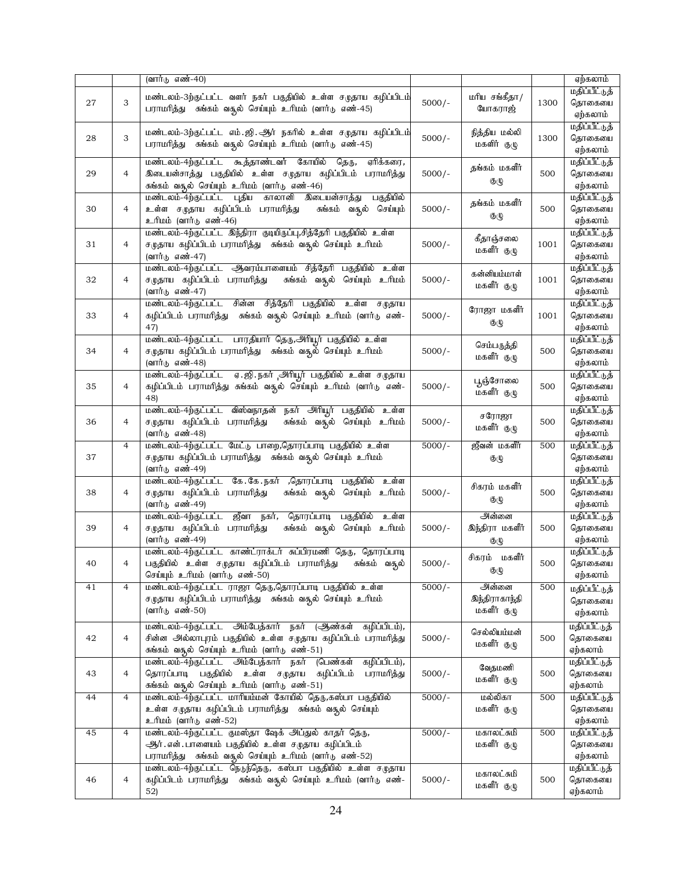|    |                | (வார்டு எண்-40)                                                                                                      |          |                              |      | ஏற்கலாம்                  |
|----|----------------|----------------------------------------------------------------------------------------------------------------------|----------|------------------------------|------|---------------------------|
|    |                |                                                                                                                      |          |                              |      | மதிப்பீட்டுத்             |
| 27 | 3              | மண்டலம்-3ற்குட்பட்ட வளர் நகர் பகுதியில் உள்ள சமுதாய கழிப்பிடம்                                                       | $5000/-$ | மரிய சங்கீதா/                | 1300 | தொகையை                    |
|    |                | பராமரித்து சுங்கம் வதுல் செய்யும் உரிமம் (வார்டு எண்-45)                                                             |          | யோகராஜ்                      |      | ஏற்கலாம்                  |
|    |                |                                                                                                                      |          |                              |      | மதிப்பீட்டுத்             |
| 28 | 3              | மண்டலம்-3ற்குட்பட்ட எம்.ஜி.ஆர் நகரில் உள்ள சமுதாய கழிப்பிடம்                                                         | $5000/-$ | நித்திய மல்லி                | 1300 | தொகையை                    |
|    |                | பராமரித்து சுங்கம் வதூல் செய்யும் உரிமம் (வார்டு எண்-45)                                                             |          | மகளிர் குழு                  |      | ஏற்கலாம்                  |
|    |                | கூத்தாண்டவர் கோயில்<br>மண்டலம்-4ற்குட்பட்ட<br>தெரு,<br>ஏரிக்கரை,                                                     |          |                              |      | மதிப்பீட்டுத்             |
| 29 | 4              | இடையன்சாத்து பகுதியில் உள்ள சமுதாய கழிப்பிடம்<br>பராமரித்து                                                          | $5000/-$ | தங்கம் மகளீர்                | 500  | தொகையை                    |
|    |                | சுங்கம் வதூல் செய்யும் உரிமம் (வார்டு எண்-46)                                                                        |          | குழு                         |      | ஏற்கலாம்                  |
|    |                | மண்டலம்-4ற்குட்பட்ட புதிய<br>காலானி இடையன்சாத்து<br>பகுதியில்                                                        |          |                              |      | மதிப்பீட்டுத்             |
| 30 | 4              | உள்ள சமுதாய கழிப்பிடம் பராமரித்து<br>சுங்கம் வசூல் செய்யும்                                                          | $5000/-$ | தங்கம் மகளீர்                | 500  | தொகையை                    |
|    |                | உரிமம் (வார்டு எண்-46)                                                                                               |          | குழு                         |      | ஏற்கலாம்                  |
|    |                | மண்டலம்-4ற்குட்பட்ட இந்திரா குடியிருப்பு,சித்தேரி பகுதியில் உள்ள                                                     |          |                              |      | மதிப்பீட்டுத்             |
| 31 | 4              | சமுதாய கழிப்பிடம் பராமரித்து சுங்கம் வதுல் செய்யும் உரிமம்                                                           | $5000/-$ | கீதாஞ்சலை                    | 1001 | தொகையை                    |
|    |                | (வார்டு எண்-47)                                                                                                      |          | மகளீர் குழு                  |      | ஏற்கலாம்                  |
|    |                | மண்டலம்-4ற்குட்பட்ட ஆவரம்பாளையம் சித்தேரி பகுதியில்<br>உள்ள                                                          |          |                              |      | மதிப்பீட்டுத்             |
| 32 | 4              | சமுதாய கழிப்பிடம் பராமரித்து<br>சுங்கம் வசூல் செய்யும் உரிமம்                                                        | $5000/-$ | கன்னியம்மாள்                 | 1001 | தொகையை                    |
|    |                | (வார்டு எண்-47)                                                                                                      |          | மகளீர் குழு                  |      | ஏற்கலாம்                  |
|    |                | சின்ன<br>சித்தேரி பகுதியில் உள்ள சமுதாய<br>மண்டலம்-4ற்குட்பட்ட                                                       |          |                              |      | மதிப்பீட்டுத்             |
| 33 | 4              | கழிப்பிடம் பராமரித்து கங்கம் வதுல் செய்யும் உரிமம் (வார்டு எண்-                                                      | $5000/-$ | ரோஜா மகளீர்                  | 1001 | தொகையை                    |
|    |                | 47)                                                                                                                  |          | குழு                         |      | ஏற்கலாம்                  |
|    |                | மண்டலம்-4ற்குட்பட்ட  பாரதியார் தெரு,அிரியூர் பகுதியில்  உள்ள                                                         |          |                              |      | மதிப்பீட்டுத்             |
| 34 | 4              | சமுதாய கழிப்பிடம் பராமரித்து   சுங்கம் வசூல் செய்யும்  உரிமம்                                                        | $5000/-$ | செம்பருத்தி                  | 500  | தொகையை                    |
|    |                | (வார்டு எண்-48)                                                                                                      |          | மகளீர் குழு                  |      | ஏற்கலாம்                  |
|    |                | மண்டலம்-4ற்குட்பட்ட ஏ.ஜி.நகர் அரியூர் பகுதியில் உள்ள சமுதாய                                                          |          |                              |      | மதிப்பீட்டுத்             |
| 35 | 4              | கழிப்பிடம் பராமரித்து சுங்கம் வசூல் செய்யும் உரிமம் (வார்டு எண்-                                                     | $5000/-$ | பூஞ்சோலை                     | 500  | தொகையை                    |
|    |                | 48)                                                                                                                  |          | மகளீர் குழு                  |      | ஏற்கலாம்                  |
|    |                | மண்டலம்-4ற்குட்பட்ட விஸ்வநாதன் நகர் அரியூர் பகுதியில் உள்ள                                                           |          |                              |      | மதிப்பீட்டுத்             |
| 36 | 4              | சமுதாய கழிப்பிடம் பராமரித்து<br>சுங்கம் வசூல் செய்யும் உரிமம்                                                        | $5000/-$ | சரோஜா                        | 500  | தொகையை                    |
|    |                | (வார்டு எண்-48)                                                                                                      |          | மகளீர் குழு                  |      | ஏற்கலாம்                  |
|    | $\overline{4}$ | மண்டலம்-4ற்குட்பட்ட மேட்டு பாறை,தொரப்பாடி பகுதியில் உள்ள                                                             | $5000/-$ | ஜீவன் மகளீர்                 | 500  | மதிப்பீட்டுத்             |
| 37 |                | சமுதாய கழிப்பிடம் பராமரித்து – சுங்கம் வதுல் செய்யும் உரிமம்                                                         |          | $\mathfrak{G}(\mathfrak{t})$ |      | தொகையை                    |
|    |                | (வார்டு எண்-49)                                                                                                      |          |                              |      | ஏற்கலாம்                  |
|    |                | மண்டலம்-4ற்குட்பட்ட கே.கே.நகர் ,தொரப்பாடி பகுதியில்<br>உள்ள                                                          |          |                              |      | மதிப்பீட்டுத்             |
| 38 | 4              | சமுதாய கழிப்பிடம் பராமாித்து<br>சுங்கம் வசூல் செய்யும் உரிமம்                                                        | $5000/-$ | சிகரம் மகளீர்                | 500  | தொகையை                    |
|    |                | (வார்டு எண்-49)                                                                                                      |          | குழு                         |      | ஏற்கலாம்                  |
|    |                | ஜீவா<br>நகர், தொரப்பாடி<br>பகுதியில்<br>மண்டலம்-4ற்குட்பட்ட<br>உள்ள                                                  |          | அன்னை                        |      | மதிப்பீட்டுத்             |
| 39 | 4              | சமுதாய கழிப்பிடம் பராமரித்து<br>சுங்கம் வசூல்<br>செய்யும் உரிமம்                                                     | $5000/-$ | இந்திரா மகளீர்               | 500  | தொகையை                    |
|    |                | (வார்டு எண்-49)                                                                                                      |          | குழு                         |      | ஏற்கலாம்                  |
|    |                | மண்டலம்-4ற்குட்பட்ட காண்ட்ராக்டர் சுப்பிரமணி தெரு, தொரப்பாடி                                                         |          |                              |      | மதிப்பீட்டுத்             |
| 40 | 4              | பகுதியில் உள்ள சமுதாய கழிப்பிடம் பராமரித்து   சுங்கம் வகுல்                                                          | $5000/-$ | சிகரம் மகளீர்                | 500  | தொகையை                    |
|    |                | செய்யும் உரிமம் (வார்டு எண்-50)                                                                                      |          | குழு                         |      | ஏற்கலாம்                  |
| 41 | $\overline{4}$ | மண்டலம்-4ற்குட்பட்ட ராஜா தெரு,தொரப்பாடி பகுதியில் உள்ள                                                               | $5000/-$ | அன்னை                        | 500  | மதிப்பீட்டுத்             |
|    |                | சமுதாய கழிப்பிடம் பராமரித்து – சுங்கம் வசூல் செய்யும் உரிமம்                                                         |          | இந்திராகாந்தி                |      | தொகையை                    |
|    |                | (வார்டு எண்-50)                                                                                                      |          | மகளீர் குழு                  |      | ஏற்கலாம்                  |
|    |                |                                                                                                                      |          |                              |      |                           |
| 42 | 4              | மண்டலம்-4ற்குட்பட்ட அம்பேத்கார் நகர் (ஆண்கள் கழிப்பிடம்),                                                            |          | செல்லியம்மன்                 | 500  | மதிப்பீட்டுத்             |
|    |                | சின்ன அல்லாபுரம் பகுதியில் உள்ள சமுதாய கழிப்பிடம் பராமரித்து                                                         | $5000/-$ | மகளீர் குழு                  |      | தொகையை                    |
|    |                | சுங்கம் வதூல் செய்யும் உரிமம் (வார்டு எண்-51)<br>மண்டலம்-4ற்குட்பட்ட அம்பேத்கார்<br>நகர்<br>(பெண்கள்<br>கழிப்பிடம்), |          |                              |      | ஏற்கலாம்<br>மதிப்பீட்டுத் |
|    |                |                                                                                                                      |          | வேதமணி                       |      |                           |
| 43 | 4              | தொரப்பாடி பகுதியில் உள்ள சமுதாய<br>கழிப்பிடம்<br>பராமரித்து                                                          | $5000/-$ | மகளீர் குழு                  | 500  | தொகையை<br>ஏற்கலாம்        |
|    |                | சுங்கம் வதூல் செய்யும் உரிமம் (வார்டு எண்-51)                                                                        |          | மல்லிகா                      |      |                           |
| 44 | 4              | மண்டலம்-4ற்குட்பட்ட மாரியம்மன் கோயில் தெரு,கஸ்பா பகுதியில்                                                           | $5000/-$ |                              | 500  | மதிப்பீட்டுத்             |
|    |                | உள்ள சமுதாய கழிப்பிடம் பராமரித்து   சுங்கம் வதுல் செய்யும்                                                           |          | மகளீர் குழு                  |      | தொகையை                    |
|    |                | உரிமம் (வார்டு எண்-52)                                                                                               |          |                              |      | ஏற்கலாம்                  |
| 45 | 4              | மண்டலம்-4ற்குட்பட்ட குமஸ்தா ஷேக் அப்துல் காதர் தெரு,                                                                 | $5000/-$ | மகாலட்சுமி                   | 500  | மதிப்பீட்டுத்             |
|    |                | ஆர்.என்.பாளையம் பகுதியில் உள்ள சமுதாய கழிப்பிடம்                                                                     |          | மகளீர் குழு                  |      | தொகையை                    |
|    |                | பராமரித்து சுங்கம் வதுல் செய்யும் உரிமம் (வார்டு எண்-52)                                                             |          |                              |      | ஏற்கலாம்                  |
| 46 |                | மண்டலம்-4ற்குட்பட்ட நெடுந்தெரு, கஸ்பா பகுதியில் உள்ள சமுதாய                                                          |          | மகாலட்சுமி                   | 500  | மதிப்பீட்டுத்             |
|    | 4              | கழிப்பிடம் பராமரித்து   சுங்கம் வசூல் செய்யும்  உரிமம்  (வார்டு  எண்-                                                | $5000/-$ | மகளீர் குழு                  |      | தொகையை                    |
|    |                | 52)                                                                                                                  |          |                              |      | ஏற்கலாம்                  |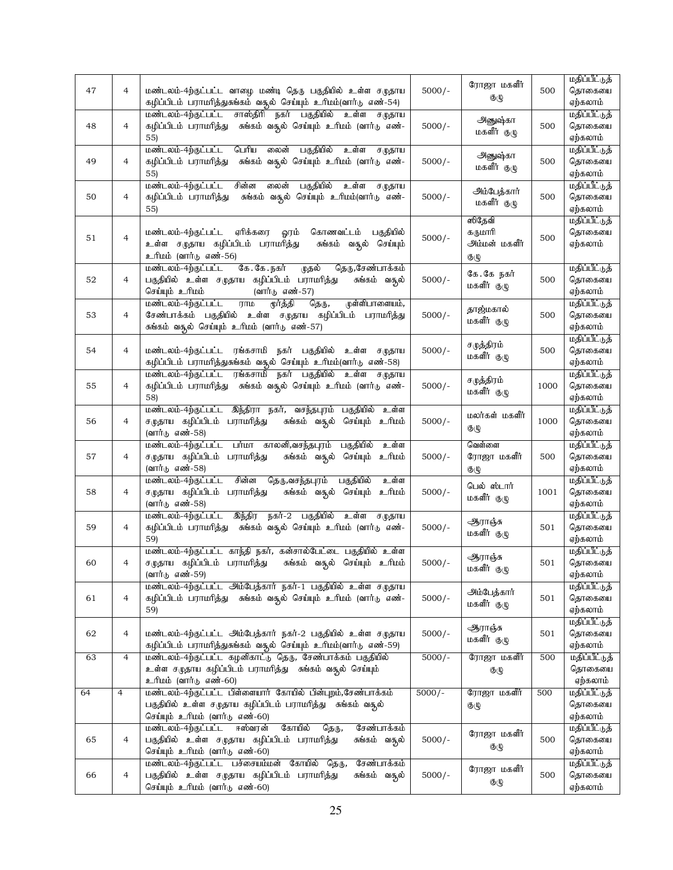|    |                |                                                                                                                                |          | ரோஜா மகளீர்                  |      | மதிப்பீட்டுத்           |
|----|----------------|--------------------------------------------------------------------------------------------------------------------------------|----------|------------------------------|------|-------------------------|
| 47 | 4              | மண்டலம்-4ற்குட்பட்ட வாழை மண்டி தெரு பகுதியில் உள்ள சமுதாய                                                                      | $5000/-$ |                              | 500  | தொகையை                  |
|    |                | கழிப்பிடம் பராமரித்துசுங்கம் வசூல் செய்யும் உரிமம்(வார்டு எண்-54)                                                              |          | குழு                         |      | ஏற்கலாம்                |
|    |                | மண்டலம்-4ற்குட்பட்ட<br>சாஸ்திரி<br>நகர்<br>பகுதியில் உள்ள<br>ச $(\mathfrak{p}\mathfrak{B}$ ரய                                  |          |                              |      | மதிப்பீட்டுத்           |
| 48 | $\overline{4}$ | கழிப்பிடம் பராமரித்து சுங்கம் வதுல் செய்யும் உரிமம் (வார்டு எண்-                                                               | $5000/-$ | அனுஷ்கா                      | 500  | தொகையை                  |
|    |                | 55)                                                                                                                            |          | மகளீர் குழு                  |      | ஏற்கலாம்                |
|    |                | மண்டலம்-4ற்குட்பட்ட<br>பெரிய<br>பகுதியில்<br>லைன்<br>உள்ள<br>சமுதாய                                                            |          |                              |      | மதிப்பீட்டுத்           |
| 49 | 4              | கழிப்பிடம் பராமரித்து<br>சுங்கம் வதூல் செய்யும் உரிமம் (வார்டு எண்-                                                            | $5000/-$ | அனுஷ்கா                      | 500  | தொகையை                  |
|    |                | 55)                                                                                                                            |          | மகளீர் குழு                  |      | ஏற்கலாம்                |
|    |                | மண்டலம்-4ற்குட்பட்ட<br>சின்ன<br>பகுதியில்<br>லைன்<br>உள்ள<br>ச $(\mathfrak{p}\mathfrak{B}$ ரய                                  |          |                              |      | மதிப்பீட்டுத்           |
| 50 | $\overline{4}$ | சுங்கம் வசூல் செய்யும் உரிமம்(வார்டு எண்-<br>கழிப்பிடம் பராமரித்து                                                             | $5000/-$ | அம்பேத்கார்                  | 500  | தொகையை                  |
|    |                | 55)                                                                                                                            |          | மகளீர் குழு                  |      | ஏற்கலாம்                |
|    |                |                                                                                                                                |          | ஸிதேவி                       |      | மதிப்பீட்டுத்           |
|    |                |                                                                                                                                |          |                              |      |                         |
| 51 | $\overline{4}$ | ஏரிக்கரை<br>மண்டலம்-4ற்குட்பட்ட<br>ஓரம்<br>கொணவட்டம்<br>பகுதியில்                                                              | $5000/-$ | கருமாரி                      | 500  | தொகையை                  |
|    |                | உள்ள சமுதாய கழிப்பிடம் பராமரித்து<br>சுங்கம் வதுல் செய்யும்                                                                    |          | அம்மன் மகளீர்                |      | ஏற்கலாம்                |
|    |                | உரிமம் (வார்டு எண்-56)                                                                                                         |          | $\mathfrak{G}(\mathfrak{t})$ |      |                         |
|    |                | கே.கே.நகர்<br>மண்டலம்-4ற்குட்பட்ட<br>முதல்<br>தெரு,சேண்பாக்கம்                                                                 |          | கே.கே நகர்                   |      | மதிப்பீட்டுத்           |
| 52 | $\overline{4}$ | பகுதியில் உள்ள சமுதாய கழிப்பிடம் பராமரித்து<br>சுங்கம் வசூல்                                                                   | $5000/-$ | மகளீர் குழு                  | 500  | தொகையை                  |
|    |                | (வார்டு எண்-57)<br>செய்யும் உரிமம்                                                                                             |          |                              |      | ஏற்கலாம்                |
|    |                | முள்ளிபாளையம்,<br>மண்டலம்-4ற்குட்பட்ட<br>தெரு,<br>$\Pi\Pi\mathbb{D}$<br>மூர்த்தி                                               |          | தாஜ்மகால்                    |      | மதிப்பீட்டுத்           |
| 53 | 4              | சேண்பாக்கம் பகுதியில் உள்ள சமுதாய கழிப்பிடம் பராமரித்து                                                                        | $5000/-$ | மகளீர் குழு                  | 500  | தொகையை                  |
|    |                | சுங்கம் வசூல் செய்யும் உரிமம் (வார்டு எண்-57)                                                                                  |          |                              |      | ஏற்கலாம்                |
|    |                |                                                                                                                                |          | சமுத்திரம்                   |      | மதிப்பீட்டுத்           |
| 54 | $\overline{4}$ | மண்டலம்-4ற்குட்பட்ட ரங்கசாமி நகர் பகுதியில் உள்ள சமுதாய                                                                        | $5000/-$ | மகளீர் குழு                  | 500  | தொகையை                  |
|    |                | கழிப்பிடம் பராமரித்துசுங்கம் வதுல் செய்யும் உரிமம்(வார்டு எண்-58)                                                              |          |                              |      | ஏற்கலாம்                |
|    |                | மண்டலம்-4ற்குட்பட்ட ரங்கசாமி<br>நகர் பகுதியில் உள்ள சமுதாய                                                                     |          |                              |      | மதிப்பீட்டுத்           |
| 55 | 4              | கழிப்பிடம் பராமரித்து சுங்கம் வதுல் செய்யும் உரிமம் (வார்டு எண்-                                                               | $5000/-$ | சமுத்திரம்                   | 1000 | தொகையை                  |
|    |                | 58)                                                                                                                            |          | மகளீர் குழு                  |      | ஏற்கலாம்                |
|    |                | மண்டலம்-4ற்குட்பட்ட இந்திரா நகர், வசந்தபுரம் பகுதியில்<br>உள்ள                                                                 |          |                              |      | மதிப்பீட்டுத்           |
| 56 | $\overline{4}$ | சமுதாய கழிப்பிடம் பராமரித்து<br>சுங்கம் வசூல் செய்யும் உரிமம்                                                                  | $5000/-$ | மலர்கள் மகளீர்               | 1000 | தொகையை                  |
|    |                | (வார்டு எண்-58)                                                                                                                |          | குழு                         |      | ஏற்கலாம்                |
|    |                | மண்டலம்-4ற்குட்பட்ட பா்மா காலனி,வசந்தபுரம் பகுதியில்<br>உள்ள                                                                   |          | வெள்ளை                       |      | மதிப்பீட்டுத்           |
| 57 | $\overline{4}$ | சமுதாய கழிப்பிடம் பராமரித்து<br>சுங்கம் வசூல் செய்யும் உரிமம்                                                                  | $5000/-$ | ரோஜா மகளீர்                  | 500  | தொகையை                  |
|    |                | (வார்டு எண்-58)                                                                                                                |          | குழு                         |      | ஏற்கலாம்                |
|    |                | சின்ன<br>தெரு,வசந்தபுரம்<br>மண்டலம்-4ற்குட்பட்ட<br>பகுதியில்<br>உள்ள                                                           |          |                              |      | மதிப்பீட்டுத்           |
| 58 | 4              | சமுதாய கழிப்பிடம் பராமரித்து<br>சுங்கம் வசூல் செய்யும்<br><u>ப்பரி உ</u>                                                       | $5000/-$ | பெல் ஸ்டார்                  | 1001 | தொகையை                  |
|    |                | (வார்டு எண்-58)                                                                                                                |          | மகளீர் குழு                  |      | ஏற்கலாம்                |
|    |                | இந்திர<br>நகர்-2 பகுதியில் உள்ள சமுதாய<br>மண்டலம்-4ற்குட்பட்ட                                                                  |          |                              |      | மதிப்பீட்டுத்           |
| 59 | 4              | கழிப்பிடம் பராமரித்து சுங்கம் வதுல் செய்யும் உரிமம் (வார்டு எண்-                                                               | $5000/-$ | ஆராஞ்சு                      | 501  | தொகையை                  |
|    |                | 59)                                                                                                                            |          | மகளீர் குழு                  |      | ஏற்கலாம்                |
|    |                |                                                                                                                                |          |                              |      |                         |
|    |                | மண்டலம்-4ற்குட்பட்ட காந்தி நகர், கன்சால்பேட்டை பகுதியில் உள்ள<br>சமுதாய கழிப்பிடம் பராமரித்து<br>சுங்கம் வசூல் செய்யும் உரிமம் | $5000/-$ | ஆராஞ்சு                      | 501  | மதிப்பீட்டுத்<br>தொகையை |
| 60 | 4              |                                                                                                                                |          | மகளீர் குழு                  |      |                         |
|    |                | (வார்டு எண்-59)                                                                                                                |          |                              |      | ஏற்கலாம்                |
|    |                | மண்டலம்-4ற்குட்பட்ட அம்பேத்கார் நகர்-1 பகுதியில் உள்ள சமுதாய                                                                   |          | அம்பேத்கார்                  |      | மதிப்பீட்டுத்           |
| 61 | 4              | கழிப்பிடம் பராமரித்து சுங்கம் வசூல் செய்யும் உரிமம் (வார்டு எண்-                                                               | $5000/-$ | மகளீர் குழு                  | 501  | தொகையை                  |
|    |                | 59)                                                                                                                            |          |                              |      | ஏற்கலாம்                |
|    |                |                                                                                                                                |          | ஆராஞ்சு                      |      | மதிப்பீட்டுத்           |
| 62 | 4              | மண்டலம்-4ற்குட்பட்ட அம்பேத்கார் நகர்-2 பகுதியில் உள்ள சமுதாய                                                                   | $5000/-$ | மகளீர் குழு                  | 501  | தொகையை                  |
|    |                | கழிப்பிடம் பராமரித்துசுங்கம் வதுல் செய்யும் உரிமம்(வார்டு எண்-59)                                                              |          |                              |      | ஏற்கலாம்                |
| 63 | $\overline{4}$ | மண்டலம்-4ற்குட்பட்ட கழனிகாட்டு தெரு, சேண்பாக்கம் பகுதியில்                                                                     | $5000/-$ | ரோஜா மகளீர்                  | 500  | மதிப்பீட்டுத்           |
|    |                | உள்ள சமுதாய கழிப்பிடம் பராமரித்து சுங்கம் வசூல் செய்யும்                                                                       |          | குழு                         |      | தொகையை                  |
|    |                | உரிமம் (வார்டு எண்-60)                                                                                                         |          |                              |      | ஏற்கலாம்                |
| 64 | $\overline{4}$ | மண்டலம்-4ற்குட்பட்ட பிள்ளையார் கோயில் பின்புறம்,சேண்பாக்கம்                                                                    | $5000/-$ | ரோஜா மகளீர்                  | 500  | மதிப்பீட்டுத்           |
|    |                | பகுதியில் உள்ள சமுதாய கழிப்பிடம் பராமரித்து   சுங்கம் வதுல்                                                                    |          | குழு                         |      | தொகையை                  |
|    |                | செய்யும் உரிமம் (வார்டு எண்-60)                                                                                                |          |                              |      | ஏற்கலாம்                |
|    |                | மண்டலம்-4ற்குட்பட்ட<br>ஈஸ்வரன்<br>கோயில்<br>சேண்பாக்கம்<br>தெரு,                                                               |          |                              |      | மதிப்பீட்டுத்           |
| 65 | 4              | பகுதியில் உள்ள சமுதாய கழிப்பிடம் பராமரித்து<br>சுங்கம் வசூல்                                                                   | $5000/-$ | ரோஜா மகளீர்                  | 500  | தொகையை                  |
|    |                | செய்யும் உரிமம் (வார்டு எண்-60)                                                                                                |          | குழு                         |      | ஏற்கலாம்                |
|    |                | மண்டலம்-4ற்குட்பட்ட பச்சையம்மன் கோயில் தெரு,<br>சேண்பாக்கம்                                                                    |          |                              |      | மதிப்பீட்டுத்           |
| 66 | 4              | பகுதியில் உள்ள சமுதாய கழிப்பிடம் பராமரித்து<br>சுங்கம் வசூல்                                                                   | $5000/-$ | ரோஜா மகளீர்                  | 500  | தொகையை                  |
|    |                | செய்யும் உரிமம் (வார்டு எண்-60)                                                                                                |          | குழு                         |      | ஏற்கலாம்                |
|    |                |                                                                                                                                |          |                              |      |                         |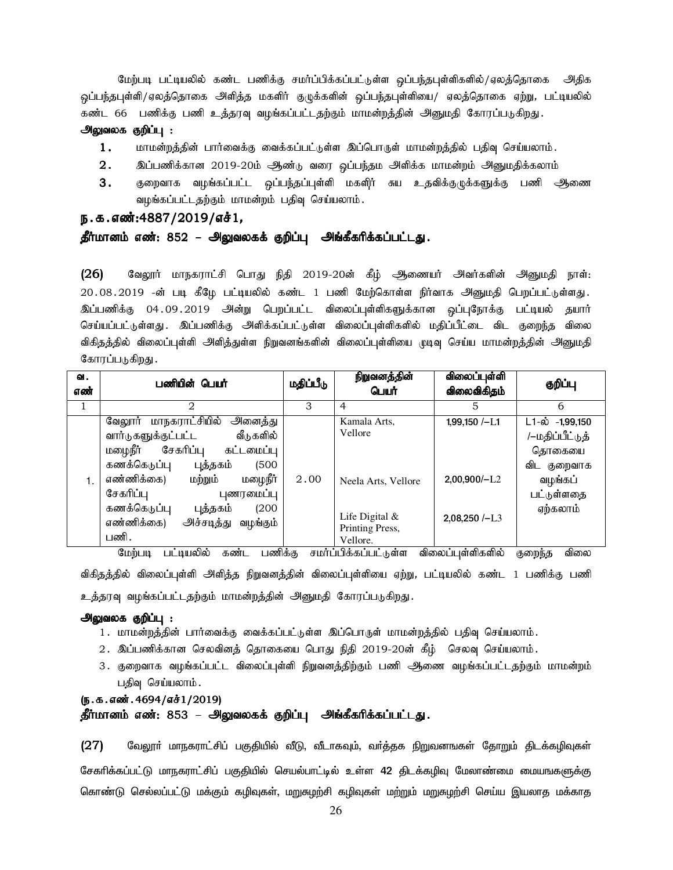மேற்படி பட்டியலில் கண்ட பணிக்கு சமர்ப்பிக்கப்பட்டுள்ள ஒப்பந்தபுள்ளிகளில்/ஏலத்தொகை அதிக ஒப்பந்தபுள்ளி/ஏலத்தொகை அளித்த மகளிர் குழுக்களின் ஒப்பந்தபுள்ளியை/ ஏலத்தொகை ஏற்று, பட்டியலில் கண்ட 66 பணிக்கு பணி உத்தரவு வழங்கப்பட்டதற்கும் மாமன்றத்தின் அனுமதி கோரப்படுகிறது.

#### அலுவலக குறிப்பு :

- $1.$  khru khing; மார்வைக்கு வைக்கப்பட்டுள்ள இப்பொருள் மாமன்றத்தில் பதிவு செய்யலாம்.
- $2.$  இப்பணிக்கான 2019-20ம் ஆண்டு வரை ஒப்பந்தம அளிக்க மாமன்றம் அனுமதிக்கலாம்
- 3. குறைவாக வழங்கப்பட்ட ஒப்பந்தப்புள்ளி மகளிர் சுய உதவிக்குழுக்களுக்கு பணி ஆணை வழங்கப்பட்டதற்கும் மாமன்றம் பதிவு செய்யலாம்.

### ந.க.எண்:4887/2019/எச்1,

### தீர்மானம் எண்: 852 – அலுவலகக் குறிப்பு அங்கீகரிக்கப்பட்டது.

(26) கேலூர் மாநகராட்சி பொது நிதி 2019-20ன் கீழ் அணையர் அவர்களின் அனுமதி நாள்: 20.08.2019 -ன் படி கீழே பட்டியலில் கண்ட 1 பணி மேற்கொள்ள நிர்வாக அனுமதி பெறப்பட்டுள்ளது. <u>இப்ப</u>ணிக்கு 04.09.2019 அன்று பெறப்பட்ட விலைப்புள்ளிகளுக்கான ஒப்புநோக்கு பட்டியல் தயார் செய்யப்பட்டுள்ளது . இப்பணிக்கு அளிக்கப்பட்டுள்ள விலைப்புள்ளிகளில் மதிப்பீட்டை விட குறைந்த விலை விகிதத்தில் விலைப்புள்ளி அளித்துள்ள நிறுவனங்களின் விலைப்புள்ளியை முடிவு செய்ய மாமன்றத்தின் அனுமதி கோரப்படுகிறது.

| ഖ.<br>எண் | பணியின் பெயர்                                                                                                                                                                                                                                                                                           | மதிப்பீடு | நிறுவனத்தின்<br>பெயர்                                                                             | விலைப்புள்ளி<br>விலைவிகிதம்                            | குறிப்பு                                                                                                          |
|-----------|---------------------------------------------------------------------------------------------------------------------------------------------------------------------------------------------------------------------------------------------------------------------------------------------------------|-----------|---------------------------------------------------------------------------------------------------|--------------------------------------------------------|-------------------------------------------------------------------------------------------------------------------|
|           | $\mathcal{D}_{\mathcal{L}}$                                                                                                                                                                                                                                                                             | 3         | 4                                                                                                 | 5                                                      | 6                                                                                                                 |
| 1.        | மாநகராட்சியில்<br>அனைத்து<br>வேலூார்<br>வார்டுகளுக்குட்பட்ட<br>வீடுகளில்<br>மழைநீர்<br>சேகரிப்பு<br>கட்டமைப்பு<br>கணக்கெடுப்பு<br>(500)<br>புத்தகம்<br>மழைநீர்<br>எண்ணிக்கை)<br>மற்றும்<br>சேகரிப்பு<br>புணரமைப்பு<br>கணக்கெடுப்பு<br>(200)<br>புத்தகம்<br>எண்ணிக்கை)<br>அச்சடித்து<br>வழங்கும்<br>பணி. | 2.00      | Kamala Arts,<br>Vellore<br>Neela Arts, Vellore<br>Life Digital $&$<br>Printing Press.<br>Vellore. | $1,99,150$ /-L1<br>$2,00,900/-L2$<br>$2.08.250 / - L3$ | $L1 - \dot{\omega}$ -1,99,150<br>/–மதிப்பீட்டுத்<br>தொகையை<br>விட<br>குறைவாக<br>வழங்கப்<br>பட்டுள்ளதை<br>ஏற்கலாம் |
|           | பணிக்கு<br>மேற்படி<br>பட்டியலில்<br>கண்ட                                                                                                                                                                                                                                                                |           | சமர்ப்பிக்கப்பட்டுள்ள                                                                             | விலைப்புள்ளிகளில்                                      | விலை<br>குறைந்த                                                                                                   |

விகிதத்தில் விலைப்புள்ளி அளித்த நிறுவனத்தின் விலைப்புள்ளியை ஏற்று, பட்டியலில் கண்ட 1 பணிக்கு பணி உத்தரவு வழங்கப்பட்டதற்கும் மாமன்றத்தின் அனுமதி கோரப்படுகிறது.

#### அலுவலக குறிப்பு :

- 1. மாமன்றத்தின் பார்வைக்கு வைக்கப்பட்டுள்ள இப்பொருள் மாமன்றத்தில் பதிவு செய்யலாம்.
- $2.$  இப்பணிக்கான செலவினத் தொகையை பொது நிதி  $2019$ - $20$ ன் கீழ் செலவு செய்யலாம்.
- 3. குறைவாக வழங்கப்பட்ட விலைப்புள்ளி நிறுவனத்திற்கும் பணி ஆணை வழங்கப்பட்டதற்கும் மாமன்றம் பதிவு செய்யலாம்.

### (ந.க.எண். 4694/எச்1/2019) தீர்மானம் எண்: 853 – அலுவலகக் குறிப்பு அங்கீகரிக்கப்பட்டது.

 $(27)$  பேலூா் மாநகராட்சிப் பகுதியில் வீடு, வீடாகவும், வா்த்தக நிறுவனஙகள் தோறும் திடக்கழிவுகள் சேகாிக்கப்பட்டு மாநகராட்சிப் பகுதியில் செயல்பாட்டில் உள்ள 42 திடக்கழிவு மேலாண்மை மையஙகளுக்கு கொண்டு செல்லப்பட்டு மக்கும் கழிவுகள், மறுசுழற்சி கழிவுகள் மற்றும் மறுசுழற்சி செய்ய இயலாத மக்காத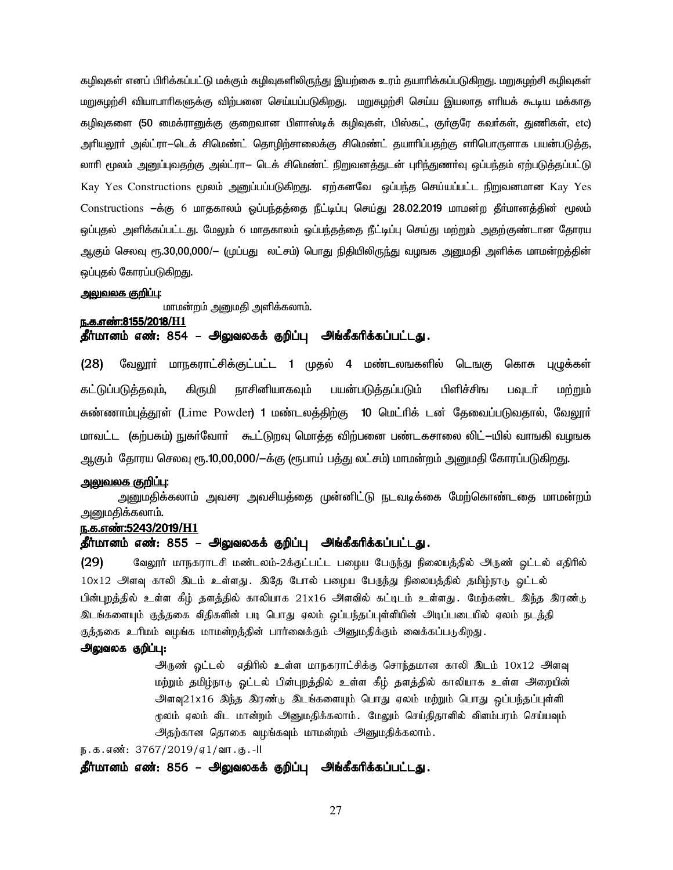கழிவுகள் எனப் பிரிக்கப்பட்டு மக்கும் கழிவுகளிலிரு<u>ந்</u>து இயற்கை உரம் தயாரிக்கப்படுகிறது. மறுசுழற்சி கழிவுகள் மறுசுழற்சி வியாபாரிகளுக்கு விற்பனை செய்யப்படுகிறது. மறுசுழற்சி செய்ய இயலாத எரியக் கூடிய மக்காத கழிவுகளை (50 மைக்ரானுக்கு குறைவான பிளாஸ்டிக் கழிவுகள், பிஸ்கட், குர்குரே கவர்கள், துணிகள், etc) அரியலூா் அல்ட்ரா $-$ டெக் சிமெண்ட் தொழிற்சாலைக்கு சிமெண்ட் தயாாிப்பதற்கு எாிபொருளாக பயன்படுத்த, லாரி மூலம் அனுப்புவதற்கு அல்ட்ரா— டெக் சிமெண்ட் நிறுவனத்துடன் புரிந்துணா்வு ஒப்பந்தம் ஏற்படுத்தப்பட்டு Kay Yes Constructions மூலம் அனுப்பப்படுகிறது. ஏற்கனவே ஒப்பந்த செய்யப்பட்ட நிறுவனமான Kay Yes Constructions —க்கு 6 மாதகாலம் ஒப்பந்தத்தை நீட்டிப்பு செய்து 28.02.2019 மாமன்ற தீா்மானத்தின் மூலம் ஒப்புதல் அளிக்கப்பட்டது. மேலும் 6 மாதகாலம் ஓப்பந்தத்தை நீட்டிப்பு செய்து மற்றும் அதற்குண்டான தோரய ஆகும் செலவு ரூ.30,00,000/— (முப்பது லட்சம்) பொது நிதியிலிருந்து வழஙக அனுமதி அளிக்க மாமன்றத்தின் ஒப்புதல் கோரப்படுகிறது.

#### <u>அலுவலக குறிப்பு:</u>

மாமன்றம் அனுமதி அளிக்கலாம்.

### e.f.v©:8155/2018/**H1** தீர்மானம் எண்: 854 – அலுவலகக் குறிப்பு அங்கீகரிக்கப்பட்டது.

(28) வேலூா் மாநகராட்சிக்குட்பட்ட 1 முதல் 4 மண்டலஙகளில் டெஙகு கொசு புழுக்கள் கட்டுப்படுத்தவும், கிருமி நாசினியாகவும் பயன்படுத்தப்படும் பிளிச்சிங பவுடர் மற்றும் சுண்ணாம்புத்தூள் (Lime Powder) 1 மண்டலத்திற்கு 10 மெட்ரிக் டன் தேவைப்படுவதால், வேலூர் மாவட்ட (கற்பகம்) நுகர்வோர் கூட்டுறவு மொத்த விற்பனை பண்டகசாலை லிட்—யில் வாஙகி வழஙக ஆகும் தோரய செலவு ரூ.10,00,000/—க்கு (ரூபாய் பத்து லட்சம்) மாமன்றம் அனுமதி கோரப்படுகிறது.

#### <u>அலுவலக குறிப்பு:</u>

அனுமதிக்கலாம் அவசர அவசியத்தை முன்னிட்டு நடவடிக்கை மேற்கொண்டதை மாமன்றம் <u>அனுமதிக்கலாம்.</u>

#### <u>ந.க.எண்:5243/2019/H1</u>

### தீர்மானம் எண்: 855 – அலுவலகக் குறிப்பு அங்கீகரிக்கப்பட்டது.

(29) வேலூர் மாநகராடசி மண்டலம்-2க்குட்பட்ட பழைய பேருந்து நிலையத்தில் அருண் ஒட்டல் எதிரில் 10x12 அளவு காலி இடம் உள்ளது. இதே போல் பழைய பேருந்து நிலையத்தில் தமிழ்நாடு ஓட்டல் பின்புறத்தில் உள்ள கீழ் தளத்தில் காலியாக 21x16 அளவில் கட்டிடம் உள்ளது. மேற்கண்ட இந்த இரண்<sub>ம்</sub> <u>இடங்களையும் குத்த</u>கை விதிகளின் படி பொது ஏலம் ஒப்பந்தப்புள்ளியின் அடிப்படையில் ஏலம் நடத்தி குத்தகை உரிமம் வழங்க மாமன்றத்தின் பார்வைக்கும் அனுமதிக்கும் வைக்கப்படுகிறது.

#### அலுவலக குறிப்பு:

அருண் ஓட்டல் எதிரில் உள்ள மாநகராட்சிக்கு சொந்தமான காலி இடம் 10x12 அளவு மற்றும் தமிழ்நாடு ஓட்டல் பின்புறத்தில் உள்ள கீழ் தளத்தில் காலியாக உள்ள அறையின் அளவு21x16 இந்த இரண்டு இடங்களையும் பொது ஏலம் மற்றும் பொது ஒப்பந்தப்புள்ளி மூலம் ஏலம் விட மான்றம் அனுமதிக்கலாம். மேலும் செய்திதாளில் விளம்பரம் செய்யவும் அதற்கான தொகை வழங்கவும் மாமன்றம் அனுமதிக்கலாம்.

ந.க.எண்: 3767/2019/ஏ1/வா.கு.-II

தீர்மானம் எண்: 856 – அலுவலகக் குறிப்பு அங்கீகரிக்கப்பட்டது.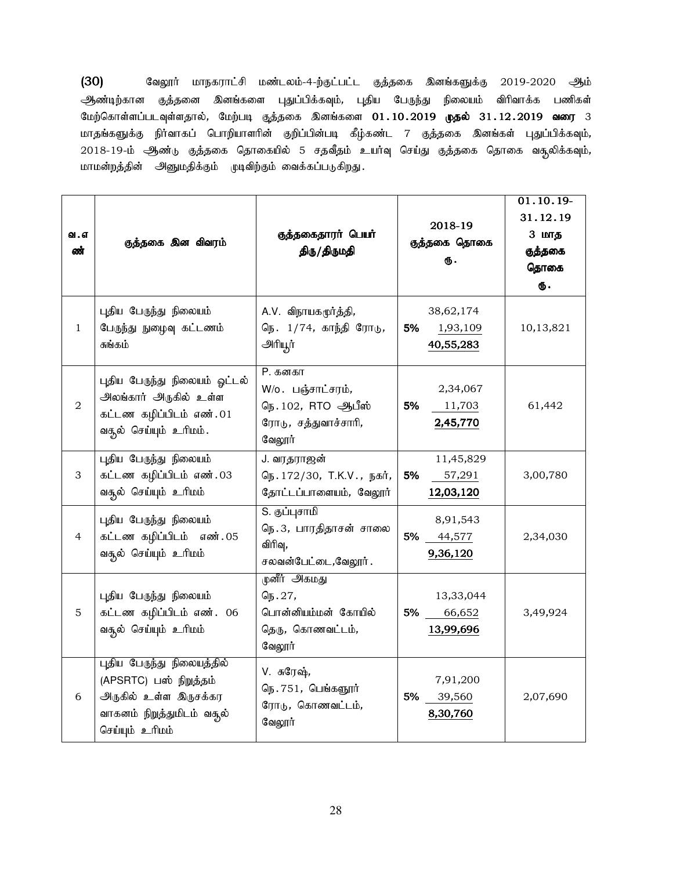(30) கிலுரர் மாநகராட்சி மண்டலம்-4-ற்குட்பட்ட குத்தகை இனங்களுக்கு 2019-2020 ஆம் ஆண்டிற்கான குத்தனை இனங்களை புதுப்பிக்கவும், புதிய பேருந்து நிலையம் விரிவாக்க பணிகள் மேற்கொள்ளப்படவுள்ளதால், மேற்படி குத்தகை இனங்களை 01.10.2019 **முதல்** 31.12.2019 **வரை** 3 மாதங்களுக்கு நிர்வாகப் பொறியாளரின் குறிப்பின்படி கீழ்கண்ட 7 குத்தகை இனங்கள் புதுப்பிக்கவும், 2018-19-ம் ஆண்டு குத்தகை தொகையில் 5 சதவீதம் உயர்வு செய்து குத்தகை தொகை வசூலிக்கவும், மாமன்றத்தின் அனுமதிக்கும் முடிவிற்கும் வைக்கப்படுகிறது.

| வ . எ<br>ண்    | குத்தகை இன விவரம்                                                                                                              | குத்தகைதாரர் பெயர்<br>திரு/திருமதி                                                  | 2018-19<br>குத்தகை தொகை<br>Ф.            | $01.10.19-$<br>31.12.19<br>3 மாத<br>குத்தகை<br>தொகை<br>ரு. |
|----------------|--------------------------------------------------------------------------------------------------------------------------------|-------------------------------------------------------------------------------------|------------------------------------------|------------------------------------------------------------|
| $\mathbf{1}$   | புதிய பேருந்து நிலையம்<br>பேருந்து நுழைவு கட்டணம்<br>சுங்கம்                                                                   | A.V. விநாயகமூர்த்தி,<br>நெ. 1/74, காந்தி ரோடு,<br>அரியூர்                           | 38,62,174<br>5%<br>1,93,109<br>40,55,283 | 10,13,821                                                  |
| $\overline{2}$ | புதிய பேருந்து நிலையம் ஓட்டல்<br>அலங்கார் அருகில் உள்ள<br>கட்டண கழிப்பிடம் எண்.01<br>வதல் செய்யும் உரிமம்.                     | P. கனகா<br>W/o. பஞ்சாட்சரம்,<br>நெ.102, RTO ஆபீஸ்<br>ரோடு, சத்துவாச்சாரி,<br>வேலூர் | 2,34,067<br>5%<br>11,703<br>2,45,770     | 61,442                                                     |
| 3              | புதிய பேருந்து நிலையம்<br>கட்டண கழிப்பிடம் எண்.03<br>வதூல் செய்யும் உரிமம்                                                     | J. வரதராஜன்<br>நெ. 172/30, T.K.V., நகர்,<br>தோட்டப்பாளையம், வேலூர்                  | 11,45,829<br>5%<br>57,291<br>12,03,120   | 3,00,780                                                   |
| $\overline{4}$ | புதிய பேருந்து நிலையம்<br>கட்டண கழிப்பிடம் எண். 05<br>வசூல் செய்யும் உரிமம்                                                    | S. குப்புசாமி<br>நெ.3, பாரதிதாசன் சாலை<br>விரிவு,<br>சலவன்பேட்டை,வேலூர்.            | 8,91,543<br>5%<br>44,577<br>9,36,120     | 2,34,030                                                   |
| 5              | புதிய பேருந்து நிலையம்<br>கட்டண கழிப்பிடம் எண். 06<br>வதூல் செய்யும் உரிமம்                                                    | முளீர் அகமது<br>நெ. 27,<br>பொன்னியம்மன் கோயில்<br>தெரு, கொணவட்டம்,<br>வேலூர்        | 13,33,044<br>5%<br>66,652<br>13,99,696   | 3,49,924                                                   |
| 6              | புதிய பேருந்து நிலையத்தில்<br>(APSRTC) பஸ் நிறுத்தம்<br>அருகில் உள்ள இருசக்கர<br>வாகனம் நிறுத்துமிடம் வசூல்<br>செய்யும் உரிமம் | V. சுரேஷ்,<br>நெ. 751, பெங்களூர்<br>ரோடு, கொணவட்டம்,<br>வேலூர்                      | 7,91,200<br>5%<br>39,560<br>8,30,760     | 2,07,690                                                   |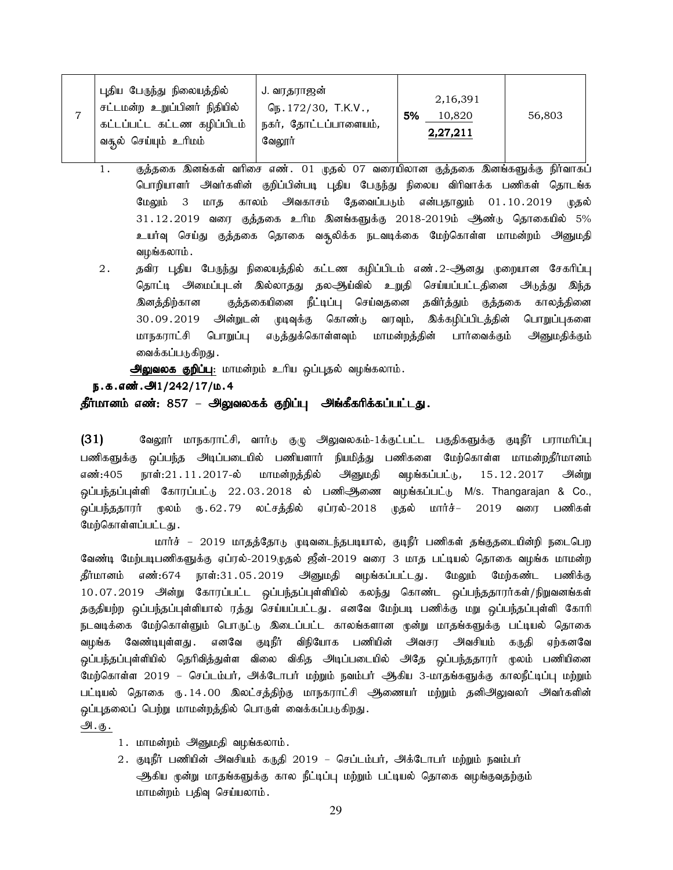|  | புதிய பேருந்து நிலையத்தில்<br>சட்டமன்ற உறுப்பினர் நிதியில்<br>் கட்டப்பட்ட கட்டண கழிப்பிடம்<br>வசூல் செய்யும் உரிமம் | J. வரதராஜன்<br>$G_{15}.172/30$ , T.K.V.,<br>நகர், தோட்டப்பாளையம்,<br>வேலூர் | 2,16,391<br>5%<br>10,820<br>2,27,211 | 56,803 |
|--|----------------------------------------------------------------------------------------------------------------------|-----------------------------------------------------------------------------|--------------------------------------|--------|
|--|----------------------------------------------------------------------------------------------------------------------|-----------------------------------------------------------------------------|--------------------------------------|--------|

- 1. சூத்தகை இனங்கள் வரிசை எண். 01 முதல் 07 வரையிலான குத்தகை இனங்களுக்கு நிர்வாகப் பொறியாளர் அவர்களின் குறிப்பின்படி புதிய பேருந்து நிலைய விரிவாக்க பணிகள் தொடங்க மேலும் 3 மாத காலம் அவகாசம் தேவைப்படும் என்பதாலும் 01.10.2019 முதல்  $31.12.2019$  வரை குத்தகை உரிம இனங்களுக்கு 2018-2019ம் ஆண்டு தொகையில் 5% உயர்வு செய்து குத்தகை தொகை வசூலிக்க நடவடிக்கை மேற்கொள்ள மாமன்றம் அனுமதி வமங்கலாம் .
- 2 . தவிர புதிய பேருந்து நிலையத்தில் கட்டண கழிப்பிடம் எண்.2-ஆனது முறையான சேகரிப்பு தொட்டி அமைப்புடன் இல்லாதது தலஆிய்வில் உறுதி செய்யப்பட்டதினை அடுத்து இந்த <u>இனத்திற்</u>கான குத்தகையினை நீட்டிப்பு செய்வதனை தவிர்த்தும் குத்தகை காலத்தினை 30.09.2019 அின்றுடன் முடிவுக்கு கொண்டு வரவும், இக்கழிப்பிடத்தின் பொறுப்புகளை மாநகராட்சி பொறுப்பு எடுத்துக்கொள்ளவும் மாமன்றத்தின் பார்வைக்கும் அனுமதிக்கும் வைக்கப்படுகிறது .

அலுவலக குறிப்பு: மாமன்றம் உரிய ஒப்புதல் வழங்கலாம்.

### ந.க.எண்.  $91/242/17/\mu.4$

#### தீர்மானம் எண்: 857 – அலுவலகக் குறிப்பு அங்கீகரிக்கப்பட்டது.

 $(31)$  Bagரர் மாநகராட்சி, வார்டு குழு அலுவலகம்-1க்குட்பட்ட பகுதிகளுக்கு குடிநீர் பராமரிப்பு பணிகளுக்கு ஒப்பந்த அடிப்படையில் பணியளார் நியமித்து பணிகளை மேற்கொள்ள மாமன்றதீர்மானம் எண்:405 நாள்:21 $\,$ .11. $\,$ 2017-ல் மாமன்றத்தில் அனுமதி வழங்கப்பட்டு, 15 $\,$ .12. $\,$ 2017 அன்று ் ஒப்பந்தப்புள்ளி கோரப்பட்டு 22.03.2018 ல் பணிஆிணை வழங்கப்பட்டு M/s. Thangarajan & Co., .<br>ஒப்பந்ததாரர் மூலம் ரு.62.79 லட்சத்தில் ஏப்ரல்-2018 முதல் மார்ச்– 2019 வரை பணிகள் மேற்கொள்ளப்பட்டது.

மார்ச் – 2019 மாதத்தோடு முடிவடைந்தபடியால், குடிநீர் பணிகள் தங்குதடையின்றி நடைபெற வேண்டி மேற்படிபணிகளுக்கு ஏப்ரல்-2019முதல் ஜீன்-2019 வரை 3 மாத பட்டியல் தொகை வழங்க மாமன்ற தீர்மானம் எண்:674 நாள்:31.05.2019 அனுமதி வழங்கப்பட்டது. மேலும் மேற்கண்ட பணிக்கு 10.07.2019 அன்று கோரப்பட்ட ஒப்பந்தப்புள்ளியில் கலந்து கொண்ட ஒப்பந்ததாரர்கள்/நிறுவனங்கள் தகுதியற்ற ஒப்பந்தப்புள்ளியால் ரத்து செய்யப்பட்டது. எனவே மேற்படி பணிக்கு மறு ஒப்பந்தப்புள்ளி கோரி நடவடிக்கை மேற்கொள்ளும் பொருட்டு இடைப்பட்ட காலங்களான முன்று மாதங்களுக்கு பட்டியல் தொகை வழங்க வேண்டியுள்ளது .எனவே குடிநீர் விநியோக பணியின் அவசர அவசியம் கருதி ஏற்கனவே <u>ஒ</u>ப்பந்தப்புள்ளியில் தெரிவித்துள்ள விலை விகித அடிப்படையில் அதே ஒப்பந்ததாரர் முலம் பணியினை மேற்கொள்ள 2019 – செப்டம்பர், அக்டோபர் மற்றும் நவம்பர் ஆகிய 3-மாதங்களுக்கு காலநீட்டிப்பு மற்றும் பட்டியல் தொகை ரு.14.00 இலட்சத்திற்கு மாநகராட்சி ஆணையர் மற்றும் தனிஅிலுவலர் அவர்களின் ஒப்புதலைப் பெற்று மாமன்றத்தில் பொருள் வைக்கப்படுகிறது.

அ.கு.

- 1. மாமன்றம் அனுமதி வழங்கலாம்.
- 2. குடிநீர் பணியின் அவசியம் கருதி 2019 செப்டம்பர், அக்டோபர் மற்றும் நவம்பர் ஆகிய முன்று மாதங்களுக்கு கால நீட்டிப்பு மற்றும் பட்டியல் தொகை வழங்குவதற்கும் மாமன்றம் பதிவு செய்யலாம்.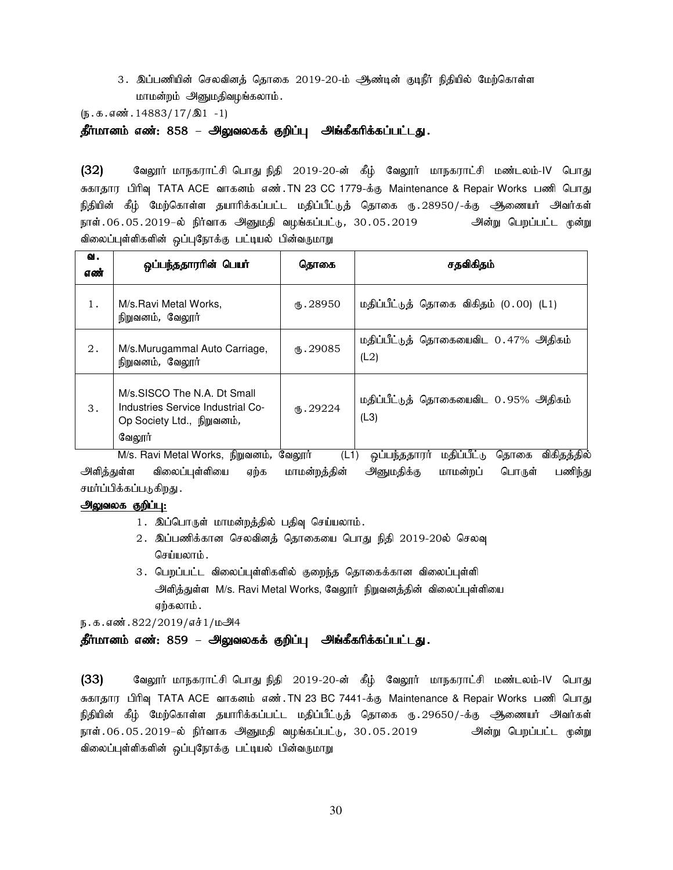3. இப்பணியின் செலவினத் தொகை 2019-20-ம் ஆண்டின் குடிநீர் நிதியில் மேற்கொள்ள மாமன்றம் அனுமதிவழங்கலாம்.

 $(\mathfrak{g.5.4} \text{m} \cdot \text{m} \cdot \text{m} \cdot \text{m} \cdot \text{m} \cdot \text{m} \cdot \text{m} \cdot \text{m} \cdot \text{m})$ 

தீர்மானம் எண்: 858 – அலுவலகக் குறிப்பு அங்கீகரிக்கப்பட்டது.

(32) வேலூர் மாநகராட்சி பொது நிதி 2019-20-ன் கீழ் வேலூர் மாநகராட்சி மண்டலம்-IV பொது சுகாதார பிரிவு TATA ACE வாகனம் எண்.TN 23 CC 1779-க்கு Maintenance & Repair Works பணி பொது நிதியின் கீழ் மேற்கொள்ள தயாரிக்கப்பட்ட மதிப்பீட்டுத் தொகை ரு.28950/-க்கு ஆணையர் அவர்கள் நாள்.06.05.2019–ல் நிர்வாக அனுமதி வழங்கப்பட்டு, 30.05.2019 அன்று பெறப்பட்ட முன்று விலைப்புள்ளிகளின் ஒப்புநோக்கு பட்டியல் பின்வருமாறு

| வ.<br>எண் | ஒப்பந்ததாரரின் பெயர்                                                                                     | தொகை      | சதவிகிதம்                                    |
|-----------|----------------------------------------------------------------------------------------------------------|-----------|----------------------------------------------|
| 1.        | M/s. Ravi Metal Works,<br>நிறுவனம், வேலூர்                                                               | 15.28950  | மதிப்பீட்டுத் தொகை விகிதம் (0.00) (L1)       |
| 2.        | M/s.Murugammal Auto Carriage,<br>நிறுவனம், வேலூர்                                                        | (B.29085) | மதிப்பீட்டுத் தொகையைவிட 0.47% அதிகம்<br>(L2) |
| 3.        | M/s.SISCO The N.A. Dt Small<br>Industries Service Industrial Co-<br>Op Society Ltd., நிறுவனம்,<br>வேலூர் | (B.29224) | மதிப்பீட்டுத் தொகையைவிட 0.95% அதிகம்<br>(L3) |

M/s. Ravi Metal Works, நிறுவனம், வேலூா் (L1) ஒப்பந்ததாரா் மதிப்பீட்டு தொகை விகிதத்தில் அளித்துள்ள விலைப்புள்ளியை ஏற்க மாமன்றத்தின் அனுமதிக்கு மாமன்றப் பொருள் பணிந்து சமர்ப்பிக்கப்படுகிறது .

#### அலுவலக குறிப்பு:

- 1. இப்பொருள் மாமன்றத்தில் பதிவு செய்யலாம்.
- 2. இப்பணிக்கான செலவினத் தொகையை பொது நிதி 2019-20ல் செலவு செய்யலாம்.
- 3. பெறப்பட்ட விலைப்புள்ளிகளில் குறைந்த தொகைக்கான விலைப்புள்ளி அளித்துள்ள M/s. Ravi Metal Works, வேலூர் நிறுவனத்தின் விலைப்புள்ளியை ஏற்கலாம் .

ந.க.எண்.822/2019/எச்1/மஅீ4

### தீர்மானம் எண்: 859 – அலுவலகக் குறிப்பு அங்கீகரிக்கப்பட்டது.

(33) வேலூர் மாநகராட்சி பொது நிதி 2019-20-ன் கீழ் வேலூர் மாநகராட்சி மண்டலம்-IV பொது சுகாதார பிரிவு TATA ACE வாகனம் எண்.TN 23 BC 7441-க்கு Maintenance & Repair Works பணி பொது நிதியின் கீழ் மேற்கொள்ள தயாரிக்கப்பட்ட மதிப்பீட்டுத் தொகை ரு.29650/-க்கு ஆணையர் அவர்கள் நாள்.06.05.2019–ல் நிர்வாக அனுமதி வழங்கப்பட்டு, 30.05.2019 அன்று பெறப்பட்ட முன்று விலைப்புள்ளிகளின் ஒப்புநோக்கு பட்டியல் பின்வருமாறு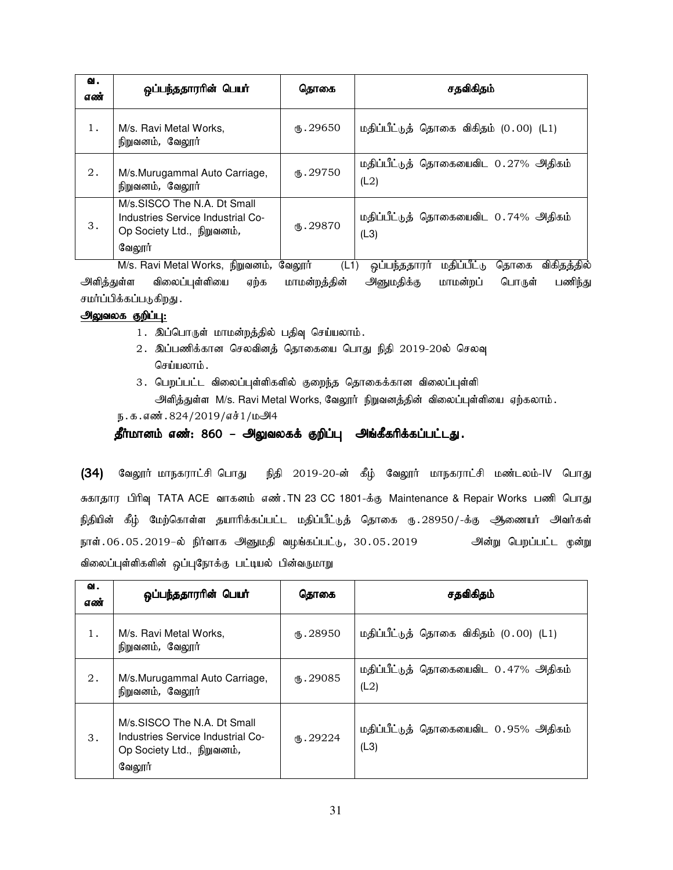| 1.<br>நிறுவனம், வேலூர் | M/s. Ravi Metal Works,                                                                         | 15.29650        | மதிப்பீட்டுத் தொகை விகிதம் (0.00) (L1)       |
|------------------------|------------------------------------------------------------------------------------------------|-----------------|----------------------------------------------|
| 2.<br>நிறுவனம், வேலூர் | M/s.Murugammal Auto Carriage,                                                                  | <b>15.29750</b> | மதிப்பீட்டுத் தொகையைவிட 0.27% அதிகம்<br>(L2) |
| 3.<br>வேலூர்           | M/s.SISCO The N.A. Dt Small<br>Industries Service Industrial Co-<br>Op Society Ltd., நிறுவனம், | (D.29870)       | மதிப்பீட்டுத் தொகையைவிட 0.74% அதிகம்<br>(L3) |

M/s. Ravi Metal Works, நிறுவனம், வேலூர் (L1) ஒப்பந்ததாரர் மதிப்பீட்டு தொகை விகிதத்தில் அளித்துள்ள விலைப்புள்ளியை ஏற்க மாமன்றத்தின் அனுமதிக்கு மாமன்றப் பொருள் பணிந்து சமர்ப்பிக்கப்படுகிறது.

### அலுவலக குறிப்பு:

- 1. இப்பொருள் மாமன்றத்தில் பதிவு செய்யலாம்.
- 2. இப்பணிக்கான செலவினத் தொகையை பொது நிதி 2019-20ல் செலவு செய்யலாம்.
- 3. பெறப்பட்ட விலைப்புள்ளிகளில் குறைந்த தொகைக்கான விலைப்புள்ளி அளித்துள்ள M/s. Ravi Metal Works, வேலூர் நிறுவனத்தின் விலைப்புள்ளியை ஏற்கலாம்.

 $p.a.$ எண். 824/2019/எச் $1/\mu$ அ4

### தீர்மானம் எண்: 860 – அலுவலகக் குறிப்பு அங்கீகரிக்கப்பட்டது.

(34) வேலூர் மாநகராட்சி பொது நிதி 2019-20-ன் கீழ் வேலூர் மாநகராட்சி மண்டலம்-IV பொது சுகாதார பிரிவு TATA ACE வாகனம் எண்.TN 23 CC 1801-க்கு Maintenance & Repair Works பணி பொது நிதியின் கீழ் மேற்கொள்ள தயாரிக்கப்பட்ட மதிப்பீட்டுத் தொகை ரு.28950/-க்கு ஆணையர் அவர்கள் நாள்.06.05.2019–ல் நிர்வாக அனுமதி வழங்கப்பட்டு, 30.05.2019 அன்று பெறப்பட்ட முன்று விலைப்புள்ளிகளின் ஒப்புநோக்கு பட்டியல் பின்வருமாறு

| வ.<br>எண் | ஒப்பந்ததாரரின் பெயர்                                                                                     | தொகை           | சதவிகிதம்                                    |
|-----------|----------------------------------------------------------------------------------------------------------|----------------|----------------------------------------------|
| 1.        | M/s. Ravi Metal Works,<br>நிறுவனம், வேலூர்                                                               | $\Phi$ . 28950 | மதிப்பீட்டுத் தொகை விகிதம் (0.00) (L1)       |
| 2.        | M/s.Murugammal Auto Carriage,<br>நிறுவனம், வேலூர்                                                        | (B.29085)      | மதிப்பீட்டுத் தொகையைவிட 0.47% அதிகம்<br>(L2) |
| 3.        | M/s.SISCO The N.A. Dt Small<br>Industries Service Industrial Co-<br>Op Society Ltd., நிறுவனம்,<br>வேலூர் | 15.29224       | மதிப்பீட்டுத் தொகையைவிட 0.95% அதிகம்<br>(L3) |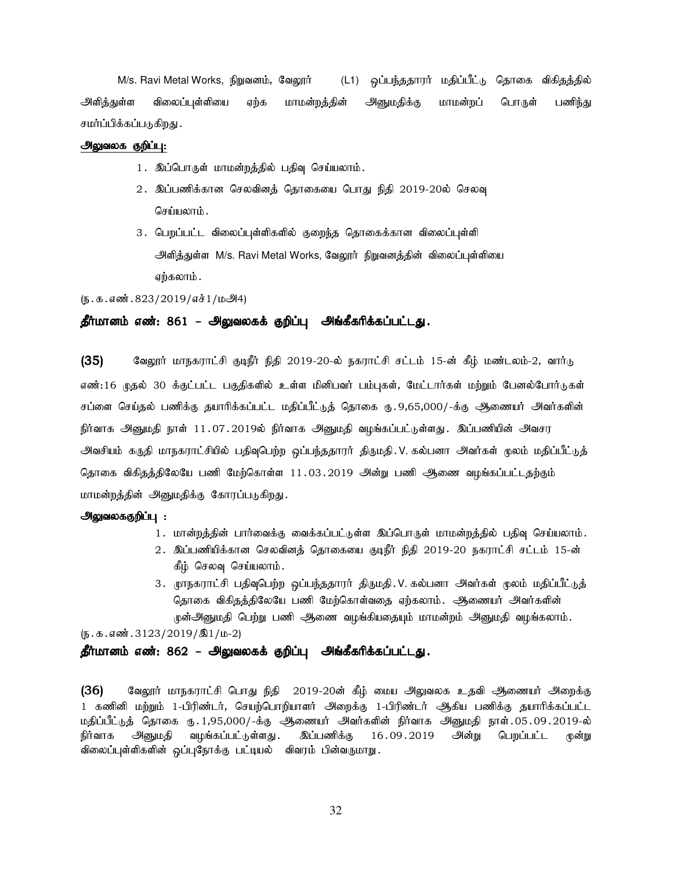M/s. Ravi Metal Works, நிறுவனம், வேலூர் (L1) ஒப்பந்ததாரர் மதிப்பீட்டு தொகை விகிதத்தில் அளிக்துள்ள விலைப்புள்ளியை எற்க மாமன்றக்கின் அனுமகிக்கு மாமன்றப் பொருள் பணிந்து சமர்ப்பிக்கப்படுகிறது .

### அலுவலக குறிப்பு:

- 1. இப்பொருள் மாமன்றத்தில் பதிவு செய்யலாம்.
- 2. இப்பணிக்கான செலவினத் தொகையை பொது நிதி 2019-20ல் செலவு செய்யலாம் .
- 3. பெறப்பட்ட விலைப்புள்ளிகளில் குறைந்த தொகைக்கான விலைப்புள்ளி அளித்துள்ள M/s. Ravi Metal Works, வேலூர் நிறுவனத்தின் விலைப்புள்ளியை ஏற்கலாம்.

(ந.க.எண். 823/2019/எச்1/மூ44)

### தீர்மானம் எண்: 861 – அலுவலகக் குறிப்பு அங்கீகரிக்கப்பட்டது.

(35) வேலூர் மாநகராட்சி குடிநீர் நிதி 2019-20-ல் நகராட்சி சட்டம் 15-ன் கீழ் மண்டலம்-2, வார்டு எண்:16 முதல் 30 க்குட்பட்ட பகுதிகளில் உள்ள மினிபவர் பம்புகள், மேட்டார்கள் மற்றும் பேனல்போர்டுகள் சப்ளை செய்தல் பணிக்கு தயாரிக்கப்பட்ட மதிப்பீட்டுத் தொகை ரு. 9,65,000/-க்கு ஆணையர் அவர்களின் நிர்வாக அனுமதி நாள் 11.07.2019ல் நிர்வாக அனுமதி வழங்கப்பட்டுள்ளது. இப்பணியின் அவசர அவசியம் கருதி மாநகராட்சியில் பதிவுபெற்ற ஒப்பந்ததாரா் திருமதி. V. கல்பனா அவா்கள் முலம் மதிப்பீட்டுத் தொகை விகிதத்திலேயே பணி மேற்கொள்ள 11.03.2019 அன்று பணி ஆணை வழங்கப்பட்டதற்கும் மாமன்றத்தின் அனுமதிக்கு கோரப்படுகிறது.

#### அலுவலககுறிப்பு :

- 1. மான்றத்தின் பார்வைக்கு வைக்கப்பட்டுள்ள இப்பொருள் மாமன்றத்தில் பதிவு செய்யலாம்.
- 2. இப்பணியிக்கான செலவினத் தொகையை குடிநீர் நிதி 2019-20 நகராட்சி சட்டம் 15-ன் கீழ் செலவு செய்யலாம்.
- 3. முாநகராட்சி பதிவுபெற்ற ஒப்பந்ததாரா் திருமதி.V. கல்பனா அவா்கள் முலம் மதிப்பீட்டுத் தொகை விகிதத்திலேயே பணி மேற்கொள்வதை ஏற்கலாம். ஆணையர் அவர்களின் நுன்அனுமதி பெற்று பணி ஆணை வழங்கியதையும் மாமன்றம் அனுமதி வழங்கலாம்.

 $(\mathfrak{g.5.4}$   $\mathfrak{g.3123}/2019/\mathfrak{A}1/\mathfrak{w-2})$ 

### தீர்மானம் எண்: 862 – அலுவலகக் குறிப்பு அங்கீகரிக்கப்பட்டது.

 $(36)$  Baலூர் மாநகராட்சி பொது நிதி 2019-20ன் கீழ் மைய அலுவலக உதவி ஆணையர் அறைக்கு 1 கணினி மற்றும் 1-பிரிண்டர், செயற்பொறியாளர் அறைக்கு 1-பிரிண்டர் ஆகிய பணிக்கு தயாரிக்கப்பட்ட மதிப்பீட்டுத் தொகை ரு. 1,95,000/-க்கு ஆணையர் அவர்களின் நிர்வாக அனுமதி நாள். 05. 09. 2019-ல் நிர்வாக அனுமதி வழங்கப்பட்டுள்ளது. இப்பணிக்கு 16.09.2019 அன்று பெறப்பட்ட முன்று விலைப்புள்ளிகளின் ஒப்புநோக்கு பட்டியல் விவரம் பின்வருமாறு.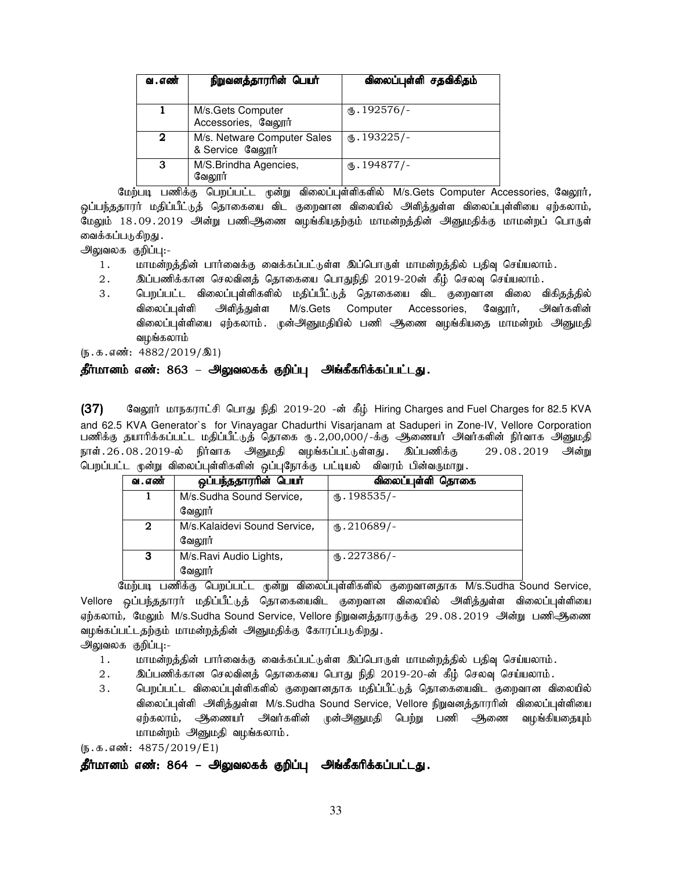| வ . எண் | நிறுவனத்தாரரின் பெயர்                           | விலைப்புள்ளி சதவிகிதம்     |
|---------|-------------------------------------------------|----------------------------|
|         | M/s.Gets Computer<br>Accessories, வேலூர்        | $\omega$ . 192576/-        |
| 2       | M/s. Netware Computer Sales<br>& Service வேலூர் | $\omega$ . 193225/-        |
| з       | M/S.Brindha Agencies,<br>வேலூர்                 | $\textcircled{f}.194877/-$ |

மேற்படி பணிக்கு பெறப்பட்ட முன்று விலைப்புள்ளிகளில் M/s.Gets Computer Accessories, வேலூர், <u>ஒ</u>ப்பந்ததாரர் மதிப்பீட்டுத் தொகையை விட குறைவான விலையில் அளித்துள்ள விலைப்புள்ளியை ஏற்கலாம், மேலும் 18.09.2019 அன்று பணிஆணை வழங்கியதற்கும் மாமன்றத்தின் அனுமதிக்கு மாமன்றப் பொருள் வைக்கப்படுகிறது .

அலுவலக குறிப்பு:-

- 1. khr மன்றத்தின் பார்வைக்கு வைக்கப்பட்டுள்ள இப்பொருள் மாமன்றத்தில் பதிவு செய்யலாம்.
- 2. இப்பணிக்கான செலவினத் தொகையை பொதுநிதி 2019-20ன் கீழ் செலவு செய்யலாம்.
- 3 . பெறப்பட்ட விலைப்புள்ளிகளில் மதிப்பீட்டுத் தொகையை விட குறைவான விலை விகிதத்தில் விலைப்புள்ளி அளித்துள்ள M/s.Gets Computer Accessories, வேலூர்*, அ*வர்களின் விலைப்புள்ளியை ஏற்கலாம். முன்அனுமதியில் பணி ஆகணை வழங்கியதை மாமன்றம் அனுமதி வழங்கலாம்

 $(5.5.5 \cdot \text{m} \cdot \text{m} \cdot 4882/2019/\text{m}1)$ 

### தீர்மானம் எண்: 863 – அலுவலகக் குறிப்பு அங்கீகரிக்கப்பட்டது.

(37) கேலூர் மாநகராட்சி பொது நிதி 2019-20 -ன் கீழ் Hiring Charges and Fuel Charges for 82.5 KVA and 62.5 KVA Generator`s for Vinayagar Chadurthi Visarjanam at Saduperi in Zone-IV, Vellore Corporation பணிக்கு தயாரிக்கப்பட்ட மதிப்பீட்டுத் தொகை ரு. 2,00,000/-க்கு ஆணையர் அவர்களின் நிர்வாக அனுமதி நாள்.26.08.2019-ல் நிர்வாக அனுமதி வழங்கப்பட்டுள்ளது. இப்பணிக்கு 29.08.2019 அன்று பெறப்பட்ட முன்று விலைப்புள்ளிகளின் ஒப்புநோக்கு பட்டியல் விவரம் பின்வருமாறு.

| வ . எண் | ஒப்பந்ததாரரின் பெயர்         | விலைப்புள்ளி தொகை   |
|---------|------------------------------|---------------------|
|         | M/s.Sudha Sound Service,     | $\omega$ . 198535/- |
|         | வேலூர்                       |                     |
| 2       | M/s.Kalaidevi Sound Service, | $M.210689/-$        |
|         | வேலூர்                       |                     |
| 3       | M/s.Ravi Audio Lights,       | $\omega$ . 227386/- |
|         | வேலூர்                       |                     |

மேற்படி பணிக்கு பெறப்பட்ட முன்று விலைப்புள்ளிகளில் குறைவானதாக M/s.Sudha Sound Service, Vellore ஒப்பந்ததாரர் மதிப்பீட்டுத் தொகையைவிட குறைவான விலையில் அளித்துள்ள விலைப்புள்ளியை ஏற்கலாம், மேலும் M/s.Sudha Sound Service, Vellore நிறுவனத்தாரருக்கு  $29.08.2019$  அன்று பணிஆணை வழங்கப்பட்டதற்கும் மாமன்றத்தின் அனுமதிக்கு கோரப்படுகிறது.

அலுவலக குறிப்பு:-

- 1. khkd;wj;jpd; ghh;itf;F itf;fg;gl;Ls;s ng;bghUs; khkd;wj;jpy; gjpt[ bra;ayhk;.
- 2 . இப்பணிக்கான செலவினத் தொகையை பொது நிதி 2019-20-ன் கீழ் செலவு செய்யலாம் .
- 3. பெறப்பட்ட விலைப்புள்ளிகளில் குறைவானதாக மதிப்பீட்டுத் தொகையைவிட குறைவான விலையில் விலைப்புள்ளி அ்ளித்துள்ள M/s.Sudha Sound Service, Vellore நிறுவனத்தாரரின் விலைப்புள்ளியை ஏற்கலாம், அிணையர் அவர்களின் முன்அனுமதி பெற்று பணி ஆணை வழங்கியதையும் மாமன்றம் அனுமதி வழங்கலாம்.

 $(\mathfrak{g.}\mathfrak{s.}\mathfrak{s.}\mathfrak{s.}\mathfrak{so}$ ்: 4875/2019/E1)

### தீர்மானம் எண்: 864 – அலுவலகக் குறிப்பு அங்கீகரிக்கப்பட்டது.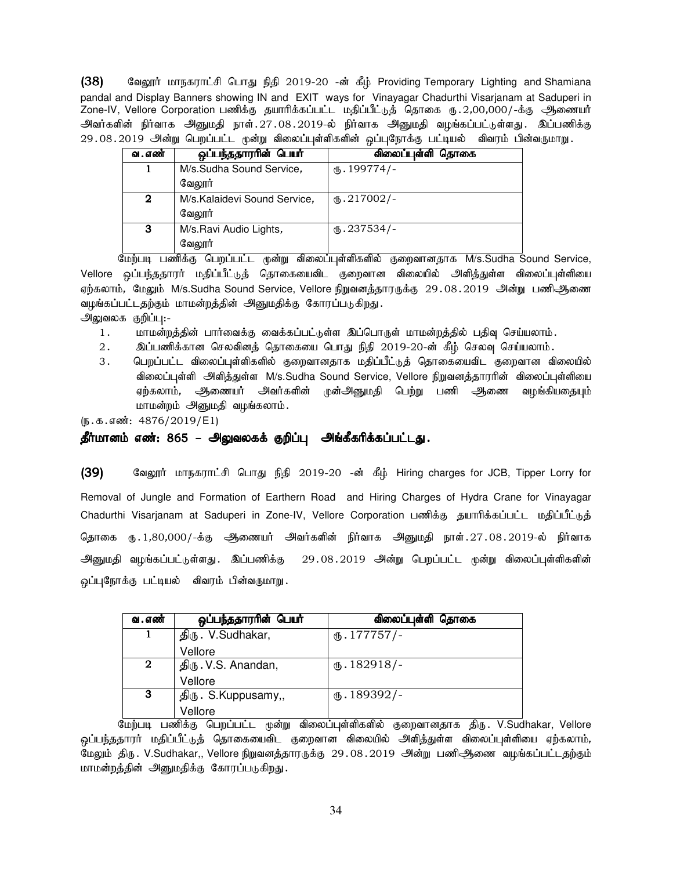(38) கேலூர் மாநகராட்சி பொது நிதி 2019-20 -ன் கீழ் Providing Temporary Lighting and Shamiana pandal and Display Banners showing IN and EXIT ways for Vinayagar Chadurthi Visarjanam at Saduperi in Zone-IV, Vellore Corporation gzpf;F jahhpf;fg;gl;l kjpg;gPl;Lj; bjhif U}.2,00,000/-f;F Mizah; அவர்களின் நிர்வாக அனுமதி நாள்.27.08.2019-ல் நிர்வாக அனுமதி வழங்கப்பட்டுள்ளது. இப்பணிக்கு 29.08.2019 அன்று பெறப்பட்ட முன்று விலைப்புள்ளிகளின் ஒப்புநோக்கு பட்டியல் விவரம் பின்வருமாறு.

| வ . எண் | ஒப்பந்ததாரரின் பெயர்         | விலைப்புள்ளி தொகை     |
|---------|------------------------------|-----------------------|
|         | M/s.Sudha Sound Service,     | $\mathbf{0}.199774/-$ |
|         | வேலார்                       |                       |
| 2       | M/s.Kalaidevi Sound Service, | $\omega$ .217002/-    |
|         | வேலூர்                       |                       |
| 3       | M/s.Ravi Audio Lights,       | $\times$ .237534/-    |
|         | வேலூர்                       |                       |

மேற்படி பணிக்கு பெறப்பட்ட முன்று விலைப்புள்ளிகளில் குறைவானதாக M/s.Sudha Sound Service, Vellore ஒப்பந்ததாரர் மதிப்பீட்டுத் தொகையைவிட குறைவான விலையில் அளித்துள்ள விலைப்புள்ளியை ஏற்கலாம், மேலும் M/s.Sudha Sound Service, Vellore நிறுவனத்தாரருக்கு 29.08.2019 அன்று பணிஆணை வழங்கப்பட்டதற்கும் மாமன்றத்தின் அனுமதிக்கு கோரப்படுகிறது. அலுவலக குறிப்பு:-

- 1. மாமன்றத்தின் பார்வைக்கு வைக்கப்பட்டுள்ள இப்பொருள் மாமன்றத்தில் பதிவு செய்யலாம்.
- 2. இப்பணிக்கான செலவினத் தொகையை பொது நிதி 2019-20-ன் கீழ் செலவு செய்யலாம்.
- 3 . பெறப்பட்ட விலைப்புள்ளிகளில் குறைவானதாக மதிப்பீட்டுத் தொகையைவிட குறைவான விலையில் விலைப்புள்ளி அளிக்குள்ள M/s.Sudha Sound Service, Vellore நிறுவனக்காரரின் விலைப்பள்ளியை ஏற்கலாம், அிணையர் அவர்களின் முன்அனுமதி பெற்று பணி அணை வழங்கியதையும் மாமன்றம் அனுமதி வழங்கலாம்.

 $(5.5.5 \cdot \text{m} \cdot \text{m} \cdot 4876/2019/\text{E1})$ 

### தீர்மானம் எண்: 865 – அலுவலகக் குறிப்பு அங்கீகரிக்கப்பட்டது.

(39) குவலூர் மாநகராட்சி பொது நிதி 2019-20 -ன் கீம் Hiring charges for JCB, Tipper Lorry for Removal of Jungle and Formation of Earthern Road and Hiring Charges of Hydra Crane for Vinayagar Chadurthi Visarjanam at Saduperi in Zone-IV, Vellore Corporation பணிக்கு தயாரிக்கப்பட்ட மதிப்பீட்டுத் தொகை ரூ. 1,80,000/-க்கு ஆணையர் அவர்களின் நிர்வாக அனுமதி நாள். 27.08.2019-ல் நிர்வாக அனுமதி வழங்கப்பட்டுள்ளது. இப்பணிக்கு 29.08.2019 அன்று பெறப்பட்ட முன்று விலைப்புள்ளிகளின் ஒப்புநோக்கு பட்டியல் விவரம் பின்வருமாறு.

| வ . எண் | ஒப்பந்ததாரரின் பெயர் | விலைப்புள்ளி தொகை   |
|---------|----------------------|---------------------|
| 1       | திரு. V.Sudhakar,    | $\omega$ . 177757/- |
|         | Vellore              |                     |
| 2       | திரு. V.S. Anandan,  | $\text{I}82918/-$   |
|         | Vellore              |                     |
| 3       | திரு. S.Kuppusamy,,  | $\text{I}89392/-$   |
|         | Vellore              |                     |

மேற்படி பணிக்கு பெறப்பட்ட முன்று விலைப்புள்ளிகளில் குறைவானதாக திரு. V.Sudhakar, Vellore <u>ஒ</u>ப்பந்ததாரர் மதிப்பீட்டுத் தொகையைவிட குறைவான விலையில் அளித்துள்ள விலைப்புள்ளியை ஏற்கலாம், மேலும் திரு. V.Sudhakar,, Vellore நிறுவனத்தாரருக்கு 29.08.2019 அன்று பணிஅிணை வழங்கப்பட்டதற்கும் மாமன்றத்தின் அனுமதிக்கு கோரப்படுகிறது.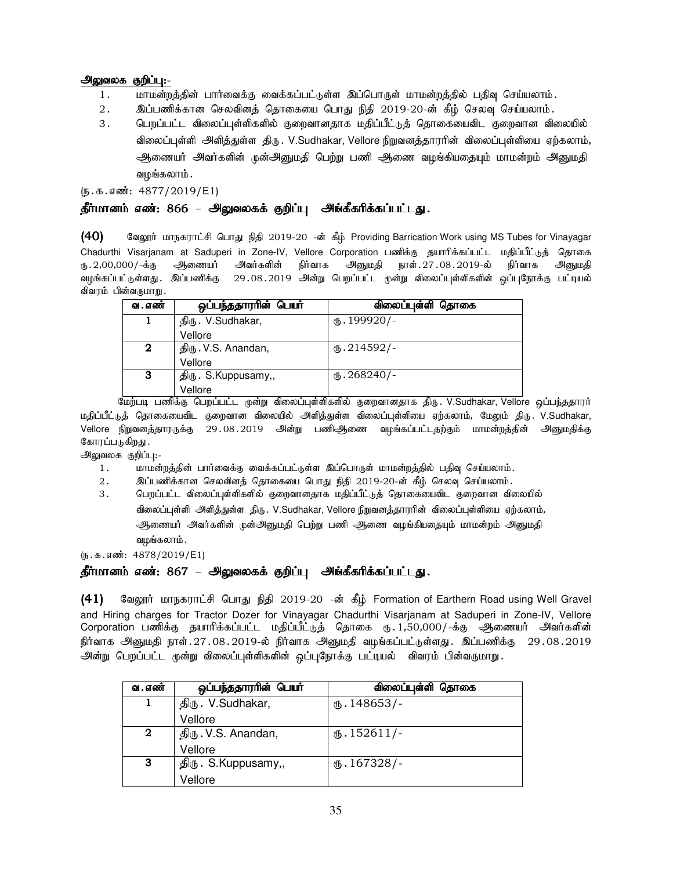### அலுவலக குறிப்பு:-

- 1. khr மன்றத்தின் பார்வைக்கு வைக்கப்பட்டுள்ள இப்பொருள் மாமன்றத்தில் பதிவு செய்யலாம்.
- 2. இப்பணிக்கான செலவினத் தொகையை பொது நிதி 2019-20-ன் கீழ் செலவு செய்யலாம்.
- 3 . பெறப்பட்ட விலைப்புள்ளிகளில் குறைவானதாக மதிப்பீட்டுத் தொகையைவிட குறைவான விலையில் விலைப்புள்ளி அளித்துள்ள திரு. V.Sudhakar, Vellore நிறுவனத்தாரரின் விலைப்புள்ளியை ஏற்கலாம், அணையர் அவர்களின் முன்அனுமதி பெற்று பணி ஆணை வழங்கியதையும் மாமன்றம் அனுமதி வழங்கலாம் .

 $(\mathfrak{h}.\mathfrak{g}.\mathfrak{g}.$  எண்: 4877/2019/E1)

### <u>தீர்மானம் எண்: 866 – அலுவலகக் குறிப்பு</u> அங்கீகரிக்கப்பட்டது.

 $(40)$  Belogin; மாநகராட்சி பொது நிதி 2019-20 -ன் கீழ் Providing Barrication Work using MS Tubes for Vinayagar Chadurthi Visarjanam at Saduperi in Zone-IV, Vellore Corporation பணிக்கு தயாரிக்கப்பட்ட மதிப்பீட்டுத் தொகை ரு.2,00,000/-க்கு ஆணையா் அவர்களின் நிர்வாக அனுமதி நாள்.27.08.2019-ல் நிர்வாக அனுமதி வழங்கப்பட்டுள்ளது . இப்பணிக்கு 29 . 08 . 2019 அன்று பெறப்பட்ட முன்று விலைப்புள்ளிகளின் ஒப்புநோக்கு பட்டியல் விவரம் பின்வருமாறு.

| வ . எண் | ஒப்பந்ததாரரின் பெயர் | விலைப்புள்ளி தொகை    |
|---------|----------------------|----------------------|
|         | திரு. V.Sudhakar,    | $(D.199920)$ -       |
|         | Vellore              |                      |
| 2       | திரு. V.S. Anandan,  | $\omega$ .214592/-   |
|         | Vellore              |                      |
| 3       | திரு. S.Kuppusamy,,  | $\text{I}$ .268240/- |
|         | Vellore              |                      |

மேற்படி பணிக்கு பெறப்பட்ட முன்று விலைப்புள்ளிகளில் குறைவானதாக திரு. V.Sudhakar, Vellore ஒப்பந்ததாரர் மதிப்பீட்டுத் தொகையைவிட குறைவான விலையில் அி்த்துள்ள விலைப்புள்ளியை ஏற்கலாம், மேலும் திரு. V.Sudhakar, Vellore நிறுவனத்தாரருக்கு 29.08.2019 அன்று பணிஆிணை வழங்கப்பட்டதற்கும் மாமன்றத்தின் அனுமதிக்கு கோரப்படுகிறது.

அலுவலக குறிப்பு:-

- 1. khkd;wj;jpd; ghh;itf;F itf;fg;gl;Ls;s ng;bghUs; khkd;wj;jpy; gjpt[ bra;ayhk;.
- 2. இப்பணிக்கான செலவினத் தொகையை பொது நிதி 2019-20-ன் கீழ் செலவு செய்யலாம்.
- 3 . பெறப்பட்ட விலைப்புள்ளிகளில் குறைவானதாக மதிப்பீட்டுத் தொகையைவிட குறைவான விலையில் விலைப்புள்ளி அளித்துள்ள திரு . V.Sudhakar, Vellore நிறுவனத்தாரரின் விலைப்புள்ளியை ஏற்கலாம், ஆணையர் அவர்களின் முன்அனுமதி பெற்று பணி ஆணை வழங்கியதையும் மாமன்றம் அனுமதி வழங்கலாம் .

 $(5.5.5 \cdot \frac{1000 \cdot 4878}{2019 \cdot 51})$ 

### தீர்மானம் எண்: 867 – அலுவலகக் குறிப்பு அங்கீகரிக்கப்பட்டது.

(41) மேலூர் மாநகராட்சி பொது நிதி 2019-20 -ன் கீழ் Formation of Earthern Road using Well Gravel and Hiring charges for Tractor Dozer for Vinayagar Chadurthi Visarjanam at Saduperi in Zone-IV, Vellore Corporation பணிக்கு தயாரிக்கப்பட்ட மதிப்பீட்டுத் தொகை ரு.1,50,000/-க்கு ஆணையர் அவர்களின் நிர்வாக அனுமதி நாள்.27.08.2019-ல் நிர்வாக அனுமதி வழங்கப்பட்டுள்ளது. இப்பணிக்கு 29.08.2019 அன்று பெறப்பட்ட முன்று விலைப்புள்ளிகளின் ஒப்புநோக்கு பட்டியல் விவரம் பின்வருமாறு.

| வ . எண்      | ஒப்பந்ததாரரின் பெயர் | விலைப்புள்ளி தொகை            |
|--------------|----------------------|------------------------------|
|              | திரு. V.Sudhakar,    | $\text{I}48653/-$            |
|              | Vellore              |                              |
| $\mathbf{2}$ | திரு. V.S. Anandan,  | $\text{I}52611/-$            |
|              | Vellore              |                              |
| 3            | திரு. S.Kuppusamy,,  | $\textcircled{f}$ . 167328/- |
|              | Vellore              |                              |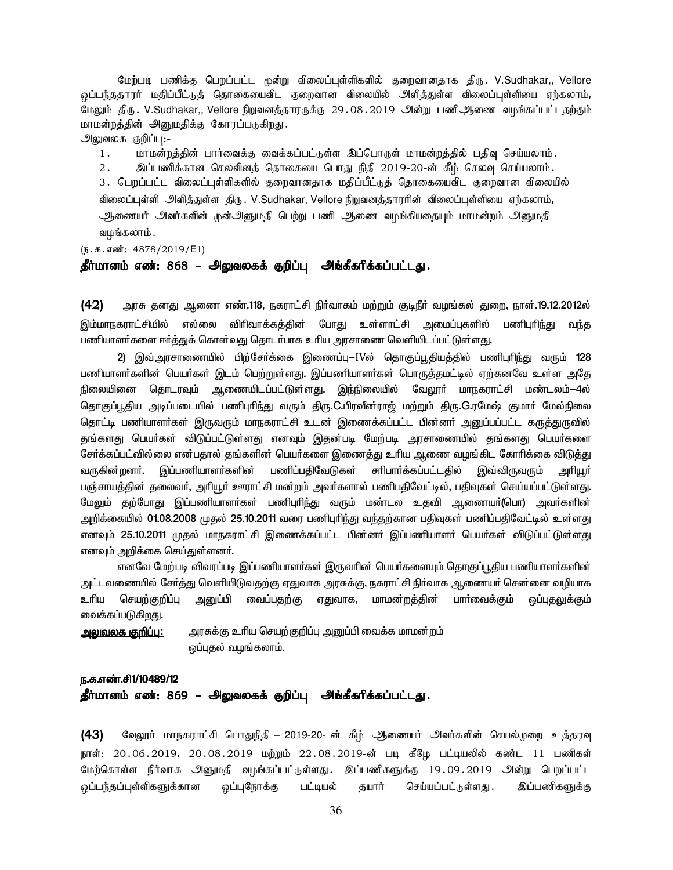மேற்படி பணிக்கு பெறப்பட்ட முன்று விலைப்புள்ளிகளில் குறைவானதாக திரு. V.Sudhakar,, Vellore <u>ஒ</u>ப்பந்ததாரர் மதிப்பீட்டுத் தொகையைவிட குறைவான விலையில் அளித்துள்ள விலைப்புள்ளியை ஏற்கலாம், மேலும் திரு. V.Sudhakar,, Vellore நிறுவனத்தாரருக்கு 29.08.2019 அன்று பணிஅிணை வழங்கப்பட்டதற்கும் மாமன்றத்தின் அனுமதிக்கு கோரப்படுகிறது.

அலுவலக குறிப்பு:-

1. khr மன்றத்தின் பார்வைக்கு வைக்கப்பட்டுள்ள இப்பொருள் மாமன்றத்தில் பதிவு செய்யலாம்.

2. இப்பணிக்கான செலவினத் தொகையை பொது நிதி 2019-20-ன் கீழ் செலவு செய்யலாம். 3. பெறப்பட்ட விலைப்புள்ளிகளில் குறைவானதாக மதிப்பீட்டுத் தொகையைவிட குறைவான விலையில் விலைப்புள்ளி அளித்துள்ள திரு . V.Sudhakar, Vellore நிறுவனத்தாரரின் விலைப்புள்ளியை ஏற்கலாம், ஆணையர் அவர்களின் முன்அனுமதி பெற்று பணி ஆணை வழங்கியதையும் மாமன்றம் அனுமதி வழங்கலாம்.

 $(5.5.5.5\frac{1}{2019} + 4878/2019)$  E1)

### தீர்மானம் எண்: 868 – அலுவலகக் குறிப்பு அங்கீகரிக்கப்பட்டது.

 $(42)$  அரசு தனது ஆணை எண்.118, நகராட்சி நிர்வாகம் மற்றும் குடிநீர் வழங்கல் துறை, நாள்.19.12.2012ல் <u>இம்மாந</u>கராட்சியில் எல்லை விரிவாக்கத்தின் போது உள்ளாட்சி அமைப்புகளில் பணிபுரிந்து வந்த பணியாளர்களை ஈர்க்குக் கொள்வது கொடர்பாக உரிய அரசாணை வெளியிடப்பட்டுள்ளது.

2) இவ்அரசாணையில் பிற்சேர்க்கை இணைப்பு $-$ IVல் தொகுப்பூதியத்தில் பணிபுரிந்து வரும் 128 பணியாளர்களின் பெயர்கள் இடம் பெற்றுள்ளது. இப்பணியாளர்கள் பொருத்தமட்டில் ஏற்கனவே உள்ள அதே நிலையினை தொடரவும் ஆணையிடப்பட்டுள்ளது. இந்நிலையில் வேலூா் மாநகராட்சி மண்டலம்—4ல் தொகுப்பூதிய அடிப்படையில் பணிபுரிந்து வரும் திரு.C.பிரவீன்ராஜ் மற்றும் திரு.G.ரமேஷ் குமார் மேல்நிலை தொட்டி பணியாளா்கள் இருவரும் மாநகராட்சி உடன் இணைக்கப்பட்ட பின்னா் அனுப்பப்பட்ட கருத்துருவில் தங்களது பெயர்கள் விடுப்பட்டுள்ளது எனவும் இதன்படி மேற்படி அரசாணையில் தங்களது பெயர்களை சேர்க்கப்பட்வில்லை என்பதால் தங்களின் பெயர்களை இணைத்து உரிய ஆணை வழங்கிட கோரிக்கை விடுத்து வருகின்றனா். இப்பணியாளா்களின் பணிப்பதிவேடுகள் சாிபாா்க்கப்பட்டதில் இவ்விருவரும் அாியூா் பஞ்சாயத்தின் தலைவா், அாியூா் ஊராட்சி மன்றம் அவா்களால் பணிபதிவேட்டில், பதிவுகள் செய்யப்பட்டுள்ளது. மேலும் தற்போது இப்பணியாளா்கள் பணிபுாிந்து வரும் மண்டல உதவி ஆணையா்(பொ) அவா்களின் அறிக்கையில் 01.08.2008 முதல் 25.10.2011 வரை பணிபுரிந்து வந்தற்கான பதிவுகள் பணிப்பதிவேட்டில் உள்ளது எனவும் 25.10.2011 முதல் மாநகராட்சி இணைக்கப்பட்ட பின்னா் இப்பணியாளா் பெயா்கள் விடுப்பட்டுள்ளது எனவும் அறிக்கை செய்துள்ளனர்.

எனவே மேற்படி விவரப்படி இப்பணியாளர்கள் இருவரின் பெயர்களையும் தொகுப்பூதிய பணியாளர்களின் அட்டவணையில் சேர்த்து வெளியிடுவதற்கு ஏதுவாக அரசுக்கு, நகராட்சி நிர்வாக ஆணையர் சென்னை வழியாக உரிய செயற்குறிப்பு அனுப்பி வைப்பதற்கு ஏதுவாக, மாமன்றத்தின் பாா்வைக்கும் ஒப்புதலுக்கும் வைக்கப்படுகி<u>றத</u>ு.

mYtyf F¿¥ò**:** muR¡F cça braw¦F¿¥ò mD¥Ã it¡f khkd¦w« ஒப்புதல் வழங்கலாம்.

#### ந.க.எண்.சி1/10489/12

தீர்மானம் எண்: 869 – அலுவலகக் குறிப்பு அங்கீகரிக்கப்பட்டது.

(43) வேலூர் மாநகராட்சி பொதுநிதி – 2019-20- ன் கீழ் ஆணையர் அவர்களின் செயல்முறை உத்தரவு நாள்: 20.06.2019, 20.08.2019 மற்றும் 22.08.2019-ன் படி கீழே பட்டியலில் கண்ட 11 பணிகள் மேற்கொள்ள நிர்வாக அனுமதி வழங்கப்பட்டுள்ளது. இப்பணிகளுக்கு 19.09.2019 அன்று பெறப்பட்ட .<br>ஒப்பந்தப்புள்ளிகளுக்கான ஒப்புநோக்கு பட்டியல் தயார் செய்யப்பட்டுள்ளது . இப்பணிகளுக்கு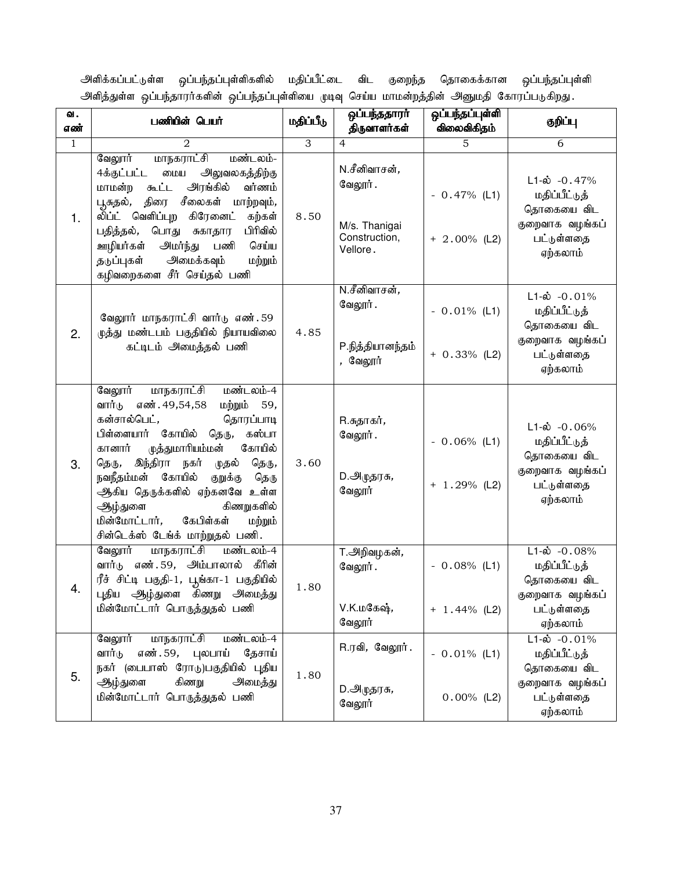அளிக்கப்பட்டுள்ள ஒப்பந்தப்புள்ளிகளில் மதிப்பீட்டை விட குறைந்த தொகைக்கான ஒப்பந்தப்புள்ளி அளித்துள்ள ஒப்பந்தாரர்களின் ஒப்பந்தப்புள்ளியை முடிவு செய்ய மாமன்றத்தின் அனுமதி கோரப்படுகிறது.

| ഖ.<br>எண்    | பணியின் பெயர்                                                                                                                                                                                                                                                                                                                                                                                                         | மதிப்பீடு | ஒப்பந்ததாரா்<br>திருவாளர்கள்                                          | ஒப்பந்தப்புள்ளி<br>விலைவிகிதம்    | குறிப்பு                                                                                             |
|--------------|-----------------------------------------------------------------------------------------------------------------------------------------------------------------------------------------------------------------------------------------------------------------------------------------------------------------------------------------------------------------------------------------------------------------------|-----------|-----------------------------------------------------------------------|-----------------------------------|------------------------------------------------------------------------------------------------------|
| $\mathbf{1}$ | $\mathfrak{D}$                                                                                                                                                                                                                                                                                                                                                                                                        | 3         | $\overline{4}$                                                        | 5                                 | 6                                                                                                    |
| 1.           | மாநகராட்சி<br>வேலூர்<br>மண்டலம்-<br>4க்குட்பட்ட<br>அலுவலகத்திற்கு<br>மைய<br>அரங்கில்<br>வர்ணம்<br>மாமன்ற<br>கூட்ட<br>திரை சீலைகள்<br>மாற்றவும்,<br>பூசுதல்,<br>லி்ப்ட் வெளிப்புற<br>கிரேனை <b>ட்</b><br>கற்கள்<br>பிரிவில்<br>பொது சுகாதார<br>பதித்தல்,<br>செய்ய<br>ஊழியர்கள்<br>அமர்ந்து<br>பணி<br>அமைக்கவும்<br>தடுப்புகள்<br>மற்றும்<br>கழிவறைகளை சீர் செய்தல் பணி                                                 | 8.50      | N.சீனிவாசன்,<br>வேலூர்.<br>M/s. Thanigai<br>Construction,<br>Vellore. | $-0.47%$ (L1)<br>$+ 2.00\%$ (L2)  | $L1-\omega$ -0.47%<br>மதிப்பீட்டுத்<br>தொகையை விட<br>குறைவாக வழங்கப்<br>பட்டுள்ளதை<br>ஏற்கலாம்       |
| 2.           | வேலூர் மாநகராட்சி வார்டு எண். 59<br>ழுத்து மண்டபம் பகுதியில் நியாயவிலை<br>கட்டிடம் அமைத்தல் பணி                                                                                                                                                                                                                                                                                                                       | 4.85      | N.சீனிவாசன்,<br>வேலூர்.<br>P.நித்தியானந்தம்<br>, வேலூர்               | $-0.01\%$ (L1)<br>$+ 0.33\%$ (L2) | $L1-\omega$ -0.01%<br>மதிப்பீட்டுத்<br>தொகையை விட<br>குறைவாக வழங்கப்<br>பட்டுள்ளதை<br>ஏற்கலாம்       |
| 3.           | வேலூர்<br>மண்டலம்-4<br>மாநகராட்சி<br>எண். 49,54,58<br>வார்டு<br>மற்றும் 59,<br>கன்சால்பெட்,<br>தொரப்பாடி<br>பிள்ளையார் கோயில் தெரு,<br>கஸ்பா<br>கோயில்<br>முத்துமாரியம்மன்<br>கானார்<br>இந்திரா<br>நகர்<br>தெரு,<br>தெரு,<br>முதல்<br>கோயில்<br>குறுக்கு<br>நவநீதம்மன்<br>தெரு<br>ஆகிய தெருக்களில் ஏற்கனவே உள்ள<br>கிணறுகளில்<br>ஆழ்துளை<br>கேபிள்கள்<br>மின்மோட்டார்,<br>மற்றும்<br>சின்டெக்ஸ் டேங்க் மாற்றுதல் பணி. | 3.60      | R.சுதாகர் <i>,</i><br>வேலூர்.<br>D.ஆழுதரசு <i>,</i><br>வேலூர்         | $-0.06\%$ (L1)<br>$+ 1.29%$ (L2)  | $L1-\dot{\omega}$ -0.06%<br>மதிப்பீட்டுத்<br>தொகையை விட<br>குறைவாக வழங்கப்<br>பட்டுள்ளதை<br>ஏற்கலாம் |
| 4.           | <u>மாநகராட்சி</u><br>வேலூர்<br>மண்டலம்-4<br>வார்டு எண்.59, அம்பாலால்<br>கீரின்<br>ரீச் சிட்டி பகுதி-1, பூங்கா-1 பகுதியில்<br>புதிய ஆழ்துளை கிணறு அமைத்து<br>மின்மோட்டார் பொருத்துதல் பணி                                                                                                                                                                                                                              | 1.80      | <del>T</del> .அறிவழகன்,<br>வேலூர்.<br>V.K.மகேஷ்,<br>வேலூர்            | $-0.08\%$ (L1)<br>$+ 1.44\%$ (L2) | $L1-\dot{\omega}$ -0.08%<br>மதிப்பீட்டுத்<br>தொகையை விட<br>குறைவாக வழங்கப்<br>பட்டுள்ளதை<br>ஏற்கலாம் |
| 5.           | வேலூர்<br>மாநகராட்சி<br>மண்டலம்-4<br>எண்். 59, புலபாய்<br>வார்டு<br>தேசாய்<br>நகர் (பைபாஸ் ரோடு)பகுதியில் புதிய<br>கிணறு<br>ஆழ்துளை<br>அமைத்து<br>மின்மோட்டார் பொருத்துதல் பணி                                                                                                                                                                                                                                        | 1.80      | R.ரவி, வேலூர்.<br>D.அழுதரசு <i>,</i><br>வேலூர்                        | $-0.01\%$ (L1)<br>$0.00\%$ (L2)   | $L1-\hat{\omega}$ -0.01%<br>மதிப்பீட்டுத்<br>தொகையை விட<br>குறைவாக வழங்கப்<br>பட்டுள்ளதை<br>ஏற்கலாம் |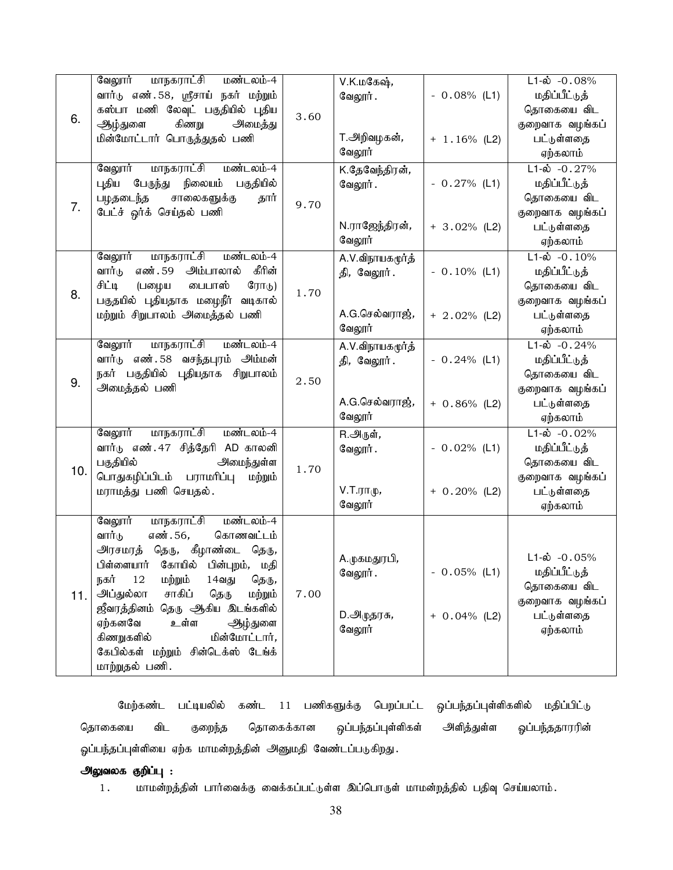|     | மாநகராட்சி<br>வேலூர்<br>மண்டலம்-4        |      | V.K.மகேஷ்,          |                 | $L1 - \dot{\omega}$ - 0.08%  |
|-----|------------------------------------------|------|---------------------|-----------------|------------------------------|
| 6.  | வார்டு எண். 58, ஸ்ரீசாய் நகர் மற்றும்    | 3.60 | வேலூர்.             | $-0.08\%$ (L1)  | மதிப்பீட்டுத்                |
|     | கஸ்பா மணி லேவுட் பகுதியில் புதிய         |      |                     |                 | தொகையை விட                   |
|     | கிணறு<br>ஆழ்துளை<br>அமைத்து              |      |                     |                 | குறைவாக வழங்கப்              |
|     | மின்மோட்டார் பொருத்துதல் பணி             |      | T.அறிவழகன்,         | $+ 1.16\%$ (L2) | பட்டுள்ளதை                   |
|     |                                          |      | வேலூர்              |                 | ஏற்கலாம்                     |
|     | <u>மாநகராட்சி</u><br>மண்டலம்-4<br>வேலூர் |      | K.தேவேந்திரன்,      |                 | $L1-\dot{\omega} - 0.27\%$   |
|     | பேருந்து நிலையம்<br>பகுதியில்<br>புதிய   | 9.70 | வேலூர்.             | $-0.27\%$ (L1)  | மதிப்பீட்டுத்                |
|     | பழதடைந்த<br>சாலைகளுக்கு<br>தார்          |      |                     |                 | தொகையை விட                   |
| 7.  | பேட்ச் ஒர்க் செய்தல் பணி                 |      |                     |                 | குறைவாக வழங்கப்              |
|     |                                          |      | N.ராஜேந்திரன்,      | $+ 3.02\%$ (L2) | பட்டுள்ளதை                   |
|     |                                          |      | வேலூர்              |                 | ஏற்கலாம்                     |
|     | மாநகராட்சி<br>வேலூர்<br>மண்டலம்-4        |      | A.V.விநாயகமூர்த்    |                 | $L1-\dot{\omega}$ -0.10%     |
|     | கீரின்<br>எண். 59 அம்பாலால்<br>வார்டு    |      | தி, வேலூர்.         | $-0.10\%$ (L1)  | மதிப்பீட்டுத்                |
|     | சிட்டி<br>டையாஸ்<br>(பழைய<br>ரோடு)       | 1.70 |                     |                 | தொகையை விட                   |
| 8.  | பகுதயில் புதியதாக மழைநீர் வடிகால்        |      |                     |                 | குறைவாக வழங்கப்              |
|     | மற்றும் சிறுபாலம் அமைத்தல் பணி           |      | A.G.செல்வராஜ்,      | $+ 2.02\%$ (L2) | பட்டுள்ளதை                   |
|     |                                          |      | வேலூர்              |                 | ஏற்கலாம்                     |
|     | வேலூர்<br><u>மாநகராட்சி</u><br>மண்டலம்-4 |      | A.V.விநாயகமூர்த்    |                 | $L1 - \dot{\omega} - 0.24\%$ |
|     | வார்டு எண். 58 வசந்தபுரம் அம்மன்         | 2.50 | தி, வேலூர்.         | $-0.24%$ (L1)   | மதிப்பீட்டுத்                |
| 9.  | நகர் பகுதியில் புதியதாக சிறுபாலம்        |      |                     |                 | தொகையை விட                   |
|     | அமைத்தல் பணி                             |      |                     |                 | குறைவாக வழங்கப்              |
|     |                                          |      | A.G.செல்வராஜ்,      | $+ 0.86\%$ (L2) | பட்டுள்ளதை                   |
|     |                                          |      | வேலூர்              |                 | ஏற்கலாம்                     |
|     | வேலூர்<br>மாநகராட்சி<br>மண்டலம்-4        |      | R.அருள்,            |                 | $L1-\dot{\omega} - 0.02\%$   |
|     | வார்டு எண். 47 சித்தேரி AD காலனி         | 1.70 | வேலூர்.             | $-0.02%$ (L1)   | மதிப்பீட்டுத்                |
| 10. | பகுதியில்<br>அமைந்துள்ள                  |      |                     |                 | தொகையை விட                   |
|     | பொதுகழிப்பிடம் பராமரிப்பு<br>மற்றும்     |      |                     |                 | குறைவாக வழங்கப்              |
|     | மராமத்து பணி செயதல்.                     |      | $V.T.\tau\pi\psi$ , | $+ 0.20\%$ (L2) | பட்டுள்ளதை                   |
|     |                                          |      | வேலூர்              |                 | ஏற்கலாம்                     |
|     | மாநகராட்சி<br>வேலூர்<br>மண்டலம்-4        |      |                     |                 |                              |
|     | எண். 56,<br>கொணவட்டம்<br>வார்டு          | 7.00 |                     |                 |                              |
| 11. | அரசமரத் தெரு, கீழாண்டை தெரு,             |      | A.முகமதுரபி,        |                 | $L1-\dot{\omega}$ -0.05%     |
|     | பிள்ளையார் கோயில் பின்புறம், மதி         |      | வேலூர்.             | $-0.05%$ (L1)   | மதிப்பீட்டுத்                |
|     | 12<br>நகர்<br>மற்றும்<br>14வது<br>தெரு,  |      |                     |                 | தொகையை விட                   |
|     | அப்துல்லா<br>சாகிப்<br>மற்றும்<br>தெரு   |      |                     |                 | குறைவாக வழங்கப்              |
|     | ஜீவரத்தினம் தெரு ஆகிய இடங்களில்          |      | D.அழுதரசு <i>,</i>  | $+ 0.04\%$ (L2) | பட்டுள்ளதை                   |
|     | ஏற்கனவே<br>உள்ள<br>ஆழ்துளை               |      | வேலூர்              |                 | ஏற்கலாம்                     |
|     | கிணறுகளில்<br>மின்மோட்டார்,              |      |                     |                 |                              |
|     | கேபில்கள் மற்றும் சின்டெக்ஸ் டேங்க்      |      |                     |                 |                              |
|     | மாற்றுதல் பணி.                           |      |                     |                 |                              |

மேற்கண்ட பட்டியலில் கண்ட 11 பணிகளுக்கு பெறப்பட்ட ஓப்பந்தப்புள்ளிகளில் மதிப்பிட்டு தொகையை விட குறைந்த தொகைக்கான ஒப்பந்தப்புள்ளிகள் அளித்துள்ள ஓப்பந்ததாரரின் ஓப்பந்தப்புள்ளியை ஏற்க மாமன்றத்தின் அனுமதி வேண்டப்படுகிறது.

### அலுவலக குறிப்பு :

1. மாமன்றத்தின் பார்வைக்கு வைக்கப்பட்டுள்ள இப்பொருள் மாமன்றத்தில் பதிவு செய்யலாம்.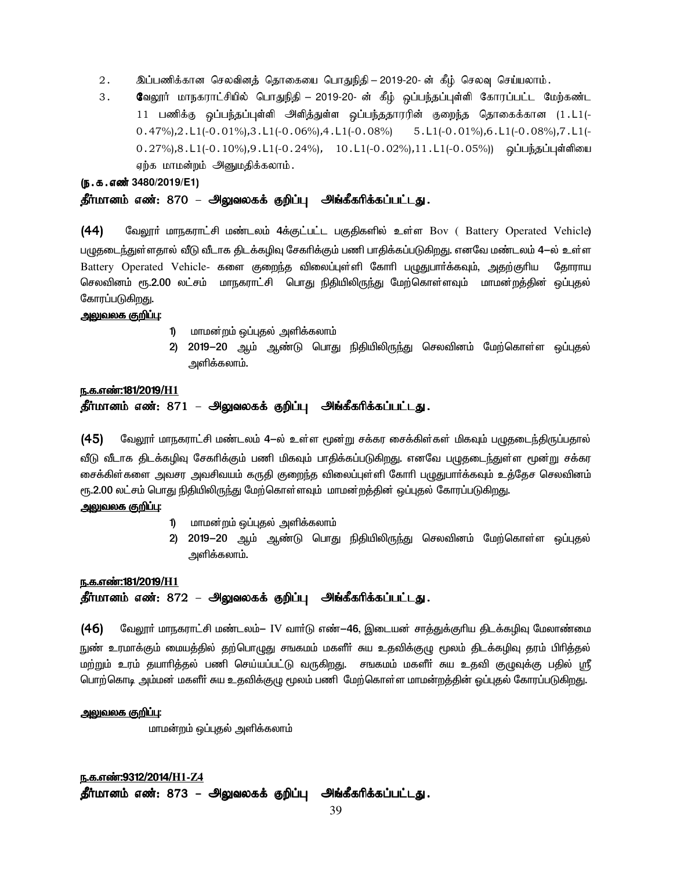- 2 . இப்பணிக்கான செலவினத் தொகையை பொதுநிதி 2019-20- ன் கீழ் செலவு செய்யலாம் .
- 3. BtY]h; khefuhl;rpapy; bghJepjp B 2019-20- d; fPH; xg;ge;jg;g[s;sp Bfhug;gl;l Bkw;fz;l 11 பணிக்கு ஒப்பந்தப்புள்ளி அளித்துள்ள ஒப்பந்ததாரரின் குறைந்த தொகைக்கான (1.L1(- $0.47\%$ ),  $2. L1$ (- $0.01\%$ ),  $3. L1$ (- $0.06\%$ ),  $4. L1$ (- $0.08\%$ ) 5.L1(- $0.01\%$ ),  $6. L1$ (- $0.08\%$ ),  $7. L1$ (- $(0.27\%)$ , $8. L1$ (- $0.10\%)$ , $9. L1$ (- $0.24\%)$ ,  $10. L1$ (- $0.02\%)$ , $11. L1$ (- $0.05\%)$ ) ஓப்பந்தப்புள்ளியை ஏற்க மாமன்றம் அனுமதிக்கலாம்.

(ந.க.எண் 3480/2019/E1)

### தீர்மானம் எண்: 870 – அலுவலகக் குறிப்பு அங்கீகரிக்கப்பட்டது.

 $(44)$  மேலூர் மாநகராட்சி மண்டலம் 4க்குட்பட்ட பகுதிகளில் உள்ள Bov ( Battery Operated Vehicle) பழுதடைந்துள்ளதால் வீடு வீடாக திடக்கழிவு சேகரிக்கும் பணி பாதிக்கப்படுகிறது. எனவே மண்டலம் 4—ல் உள்ள Battery Operated Vehicle- களை குறைந்த விலைப்புள்ளி கோரி பமுதுபார்க்கவும், அதற்குரிய கோராய செலவினம் ரூ.2.00 லட்சம் மாநகராட்சி பொது நிதியிலிருந்து மேற்கொள்ளவும் மாமன்றத்தின் ஒப்புதல் கோரப்படுகி<u>றத</u>ு.

#### <u>அலுவலக குறிப்பு:</u>

- 1) மாமன்றம் ஒப்புதல் அளிக்கலாம்
- 2) 2019−20 ஆம் ஆண்டு பொது நிதியிலிருந்து செலவினம் மேற்கொள்ள ஒப்புதல் அளிக்கலாம்.

#### e.f.v©:181/2019/**H1**

### தீர்மானம் எண்: 871 – அலுவலகக் குறிப்பு அங்கீகரிக்கப்பட்டது.

(45) வேலூர் மாநகராட்சி மண்டலம் 4-ல் உள்ள மூன்று சக்கர சைக்கிள்கள் மிகவும் பழுதடைந்திருப்பதால் வீடு வீடாக கிடக்கமிவ சேகரிக்கும் பணி மிகவம் பாகிக்கப்படுகிறது. எனவே பமுகடைந்துள்ள மூன்று சக்கர சைக்கிள்களை அவசர அவசிவயம் கருதி குறைந்த விலைப்புள்ளி கோரி பழுதுபார்க்கவும் உத்தேச செலவினம் ரூ.2.00 லட்சம் பொது நிதியிலிருந்து மேற்கொள்ளவும் மாமன்றத்தின் ஒப்புதல் கோரப்படுகிறது.

<u>அலுவலக குறிப்பு:</u>

- 1) மாமன்றம் ஒப்புதல் அளிக்கலாம்
- 2) 2019−20 ஆம் ஆண்டு பொது நிதியிலிருந்து செலவினம் மேற்கொள்ள ஒப்புதல் அளிக்கலாம்.

#### <u>ந.க.எண்:181/2019/H1</u>

### தீர்மானம் எண்: 872 – அலுவலகக் குறிப்பு அங்கீகரிக்கப்பட்டது.

(46) கேலூர் மாநகராட்சி மண்டலம்— IV வார்டு எண்-46, இடையன் சாத்துக்குரிய திடக்கழிவு மேலாண்மை நுண் உரமாக்கும் மையத்தில் தற்பொழுது சஙகமம் மகளீா் சுய உதவிக்குழு மூலம் திடக்கழிவு தரம் பிரித்தல் <u>மற்று</u>ம் உரம் தயாரித்தல் பணி செய்யப்பட்டு வருகிறது. சஙகமம் மகளீா் சுய உதவி குழுவுக்கு பதில் ஸ்ரீ பொற்கொடி அம்மன் மகளீா் சுய உதவிக்குழு மூலம் பணி மேற்கொள்ள மாமன்றத்தின் ஒப்புதல் கோரப்படுகிறது.

#### <u>அலுவலக குறிப்பு:</u>

மாமன்றம் ஒப்புதல் அளிக்கலாம்

e.f.v©:9312/2014/**H1-Z4** தீர்மானம் எண்: 873 – அலுவலகக் குறிப்பு அங்கீகரிக்கப்பட்டது.